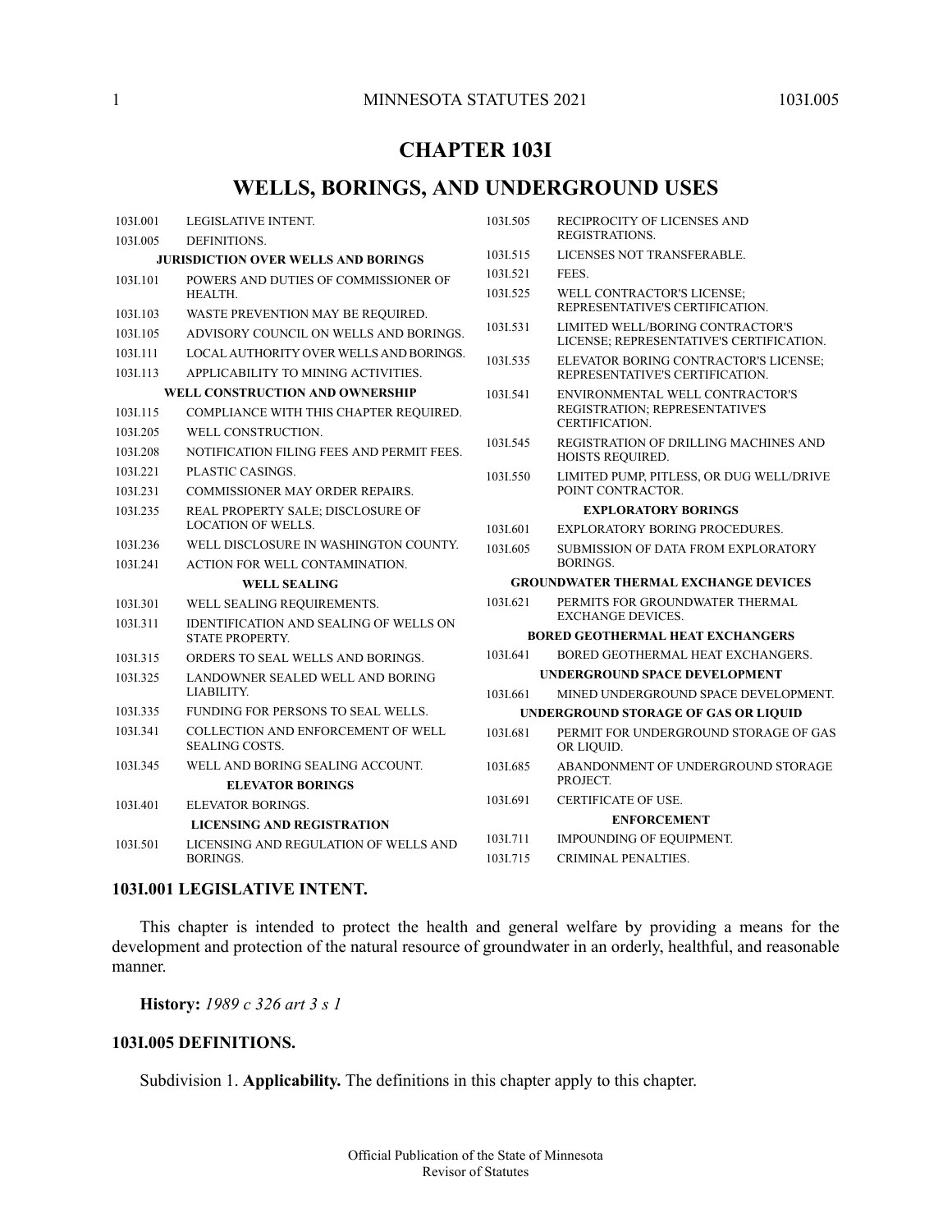# **CHAPTER 103I**

# **WELLS, BORINGS, AND UNDERGROUND USES**

| 1031.001                                   | LEGISLATIVE INTENT.                                              | 1031.505                                | RECIPROCITY OF LICENSES AND                                   |
|--------------------------------------------|------------------------------------------------------------------|-----------------------------------------|---------------------------------------------------------------|
| 1031.005                                   | DEFINITIONS.                                                     |                                         | REGISTRATIONS.                                                |
| <b>JURISDICTION OVER WELLS AND BORINGS</b> |                                                                  | 1031.515                                | LICENSES NOT TRANSFERABLE.                                    |
| 103I.101                                   | POWERS AND DUTIES OF COMMISSIONER OF                             | 1031.521                                | FEES.                                                         |
|                                            | HEALTH.                                                          | 1031.525                                | WELL CONTRACTOR'S LICENSE;<br>REPRESENTATIVE'S CERTIFICATION. |
| 103I.103                                   | WASTE PREVENTION MAY BE REQUIRED.                                | 1031.531                                | LIMITED WELL/BORING CONTRACTOR'S                              |
| 1031.105                                   | ADVISORY COUNCIL ON WELLS AND BORINGS.                           |                                         | LICENSE; REPRESENTATIVE'S CERTIFICATION.                      |
| 103I.111                                   | LOCAL AUTHORITY OVER WELLS AND BORINGS.                          | 1031.535                                | ELEVATOR BORING CONTRACTOR'S LICENSE;                         |
| 103I.113                                   | APPLICABILITY TO MINING ACTIVITIES.                              |                                         | REPRESENTATIVE'S CERTIFICATION.                               |
| <b>WELL CONSTRUCTION AND OWNERSHIP</b>     |                                                                  | 1031.541                                | ENVIRONMENTAL WELL CONTRACTOR'S                               |
| 1031.115                                   | COMPLIANCE WITH THIS CHAPTER REQUIRED.                           |                                         | REGISTRATION; REPRESENTATIVE'S<br>CERTIFICATION.              |
| 1031.205                                   | WELL CONSTRUCTION.                                               | 1031.545                                | REGISTRATION OF DRILLING MACHINES AND                         |
| 1031.208                                   | NOTIFICATION FILING FEES AND PERMIT FEES.                        |                                         | HOISTS REQUIRED.                                              |
| 1031.221                                   | PLASTIC CASINGS.                                                 | 1031.550                                | LIMITED PUMP, PITLESS, OR DUG WELL/DRIVE                      |
| 103I.231                                   | COMMISSIONER MAY ORDER REPAIRS.                                  |                                         | POINT CONTRACTOR.                                             |
| 1031.235                                   | REAL PROPERTY SALE; DISCLOSURE OF                                |                                         | <b>EXPLORATORY BORINGS</b>                                    |
|                                            | <b>LOCATION OF WELLS.</b>                                        | 1031.601                                | <b>EXPLORATORY BORING PROCEDURES.</b>                         |
| 103I.236                                   | WELL DISCLOSURE IN WASHINGTON COUNTY.                            | 1031.605                                | SUBMISSION OF DATA FROM EXPLORATORY<br>BORINGS.               |
| 103I.241                                   | ACTION FOR WELL CONTAMINATION.                                   |                                         | <b>GROUNDWATER THERMAL EXCHANGE DEVICES</b>                   |
|                                            | <b>WELL SEALING</b>                                              | 103I.621                                | PERMITS FOR GROUNDWATER THERMAL                               |
| 1031.301                                   | WELL SEALING REQUIREMENTS.                                       |                                         | <b>EXCHANGE DEVICES.</b>                                      |
| 1031.311                                   | IDENTIFICATION AND SEALING OF WELLS ON<br><b>STATE PROPERTY.</b> | <b>BORED GEOTHERMAL HEAT EXCHANGERS</b> |                                                               |
| 1031.315                                   | ORDERS TO SEAL WELLS AND BORINGS.                                | 1031.641                                | BORED GEOTHERMAL HEAT EXCHANGERS.                             |
| 1031.325                                   | LANDOWNER SEALED WELL AND BORING                                 |                                         | <b>UNDERGROUND SPACE DEVELOPMENT</b>                          |
|                                            | LIABILITY.                                                       | 1031.661                                | MINED UNDERGROUND SPACE DEVELOPMENT.                          |
| 1031.335                                   | FUNDING FOR PERSONS TO SEAL WELLS.                               | UNDERGROUND STORAGE OF GAS OR LIQUID    |                                                               |
| 1031.341                                   | COLLECTION AND ENFORCEMENT OF WELL<br><b>SEALING COSTS.</b>      | 1031.681                                | PERMIT FOR UNDERGROUND STORAGE OF GAS<br>OR LIQUID.           |
| 1031.345                                   | WELL AND BORING SEALING ACCOUNT.                                 | 1031.685                                | ABANDONMENT OF UNDERGROUND STORAGE                            |
|                                            | <b>ELEVATOR BORINGS</b>                                          |                                         | PROJECT.                                                      |
| 1031.401                                   | <b>ELEVATOR BORINGS.</b>                                         | 1031.691                                | <b>CERTIFICATE OF USE.</b>                                    |
|                                            | <b>LICENSING AND REGISTRATION</b>                                |                                         | <b>ENFORCEMENT</b>                                            |
| 1031.501                                   | LICENSING AND REGULATION OF WELLS AND                            | 1031.711                                | IMPOUNDING OF EQUIPMENT.                                      |
|                                            | BORINGS.                                                         | 1031.715                                | CRIMINAL PENALTIES.                                           |

# <span id="page-0-1"></span><span id="page-0-0"></span>**103I.001 LEGISLATIVE INTENT.**

This chapter is intended to protect the health and general welfare by providing a means for the development and protection of the natural resource of groundwater in an orderly, healthful, and reasonable manner.

**History:** *1989 c 326 art 3 s 1*

### **103I.005 DEFINITIONS.**

Subdivision 1. **Applicability.** The definitions in this chapter apply to this chapter.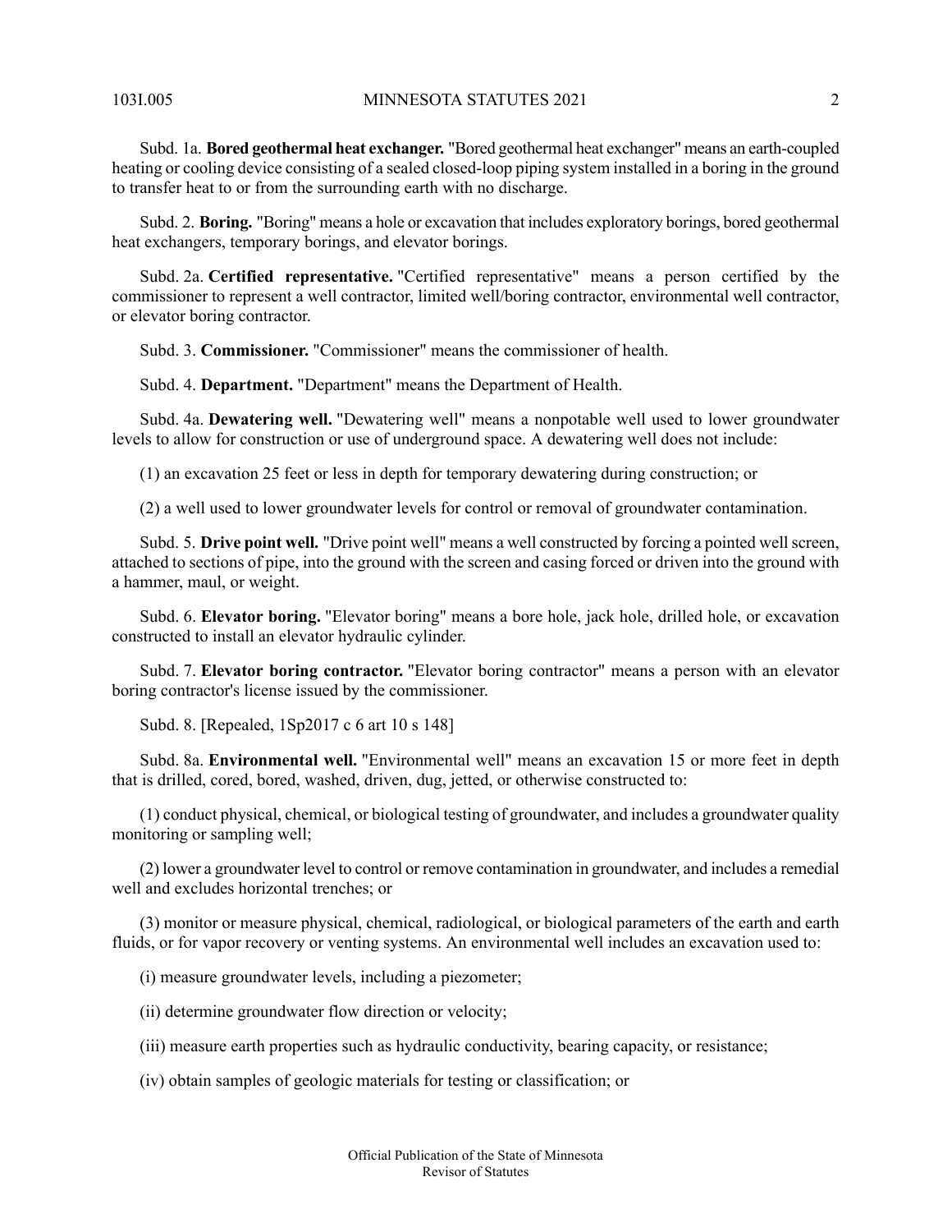Subd. 1a. **Bored geothermal heat exchanger.** "Bored geothermal heat exchanger" means an earth-coupled heating or cooling device consisting of a sealed closed-loop piping system installed in a boring in the ground to transfer heat to or from the surrounding earth with no discharge.

Subd. 2. **Boring.** "Boring" means a hole or excavation that includes exploratory borings, bored geothermal heat exchangers, temporary borings, and elevator borings.

Subd. 2a. **Certified representative.** "Certified representative" means a person certified by the commissioner to represent a well contractor, limited well/boring contractor, environmental well contractor, or elevator boring contractor.

Subd. 3. **Commissioner.** "Commissioner" means the commissioner of health.

Subd. 4. **Department.** "Department" means the Department of Health.

Subd. 4a. **Dewatering well.** "Dewatering well" means a nonpotable well used to lower groundwater levels to allow for construction or use of underground space. A dewatering well does not include:

(1) an excavation 25 feet or less in depth for temporary dewatering during construction; or

(2) a well used to lower groundwater levels for control or removal of groundwater contamination.

Subd. 5. **Drive point well.** "Drive point well" means a well constructed by forcing a pointed wellscreen, attached to sections of pipe, into the ground with the screen and casing forced or driven into the ground with a hammer, maul, or weight.

Subd. 6. **Elevator boring.** "Elevator boring" means a bore hole, jack hole, drilled hole, or excavation constructed to install an elevator hydraulic cylinder.

Subd. 7. **Elevator boring contractor.** "Elevator boring contractor" means a person with an elevator boring contractor's license issued by the commissioner.

Subd. 8. [Repealed, 1Sp2017 c 6 art 10 s 148]

Subd. 8a. **Environmental well.** "Environmental well" means an excavation 15 or more feet in depth that is drilled, cored, bored, washed, driven, dug, jetted, or otherwise constructed to:

(1) conduct physical, chemical, or biological testing of groundwater, and includes a groundwater quality monitoring or sampling well;

(2) lower a groundwater level to control or remove contamination in groundwater, and includes a remedial well and excludes horizontal trenches; or

(3) monitor or measure physical, chemical, radiological, or biological parameters of the earth and earth fluids, or for vapor recovery or venting systems. An environmental well includes an excavation used to:

(i) measure groundwater levels, including a piezometer;

(ii) determine groundwater flow direction or velocity;

(iii) measure earth properties such as hydraulic conductivity, bearing capacity, or resistance;

(iv) obtain samples of geologic materials for testing or classification; or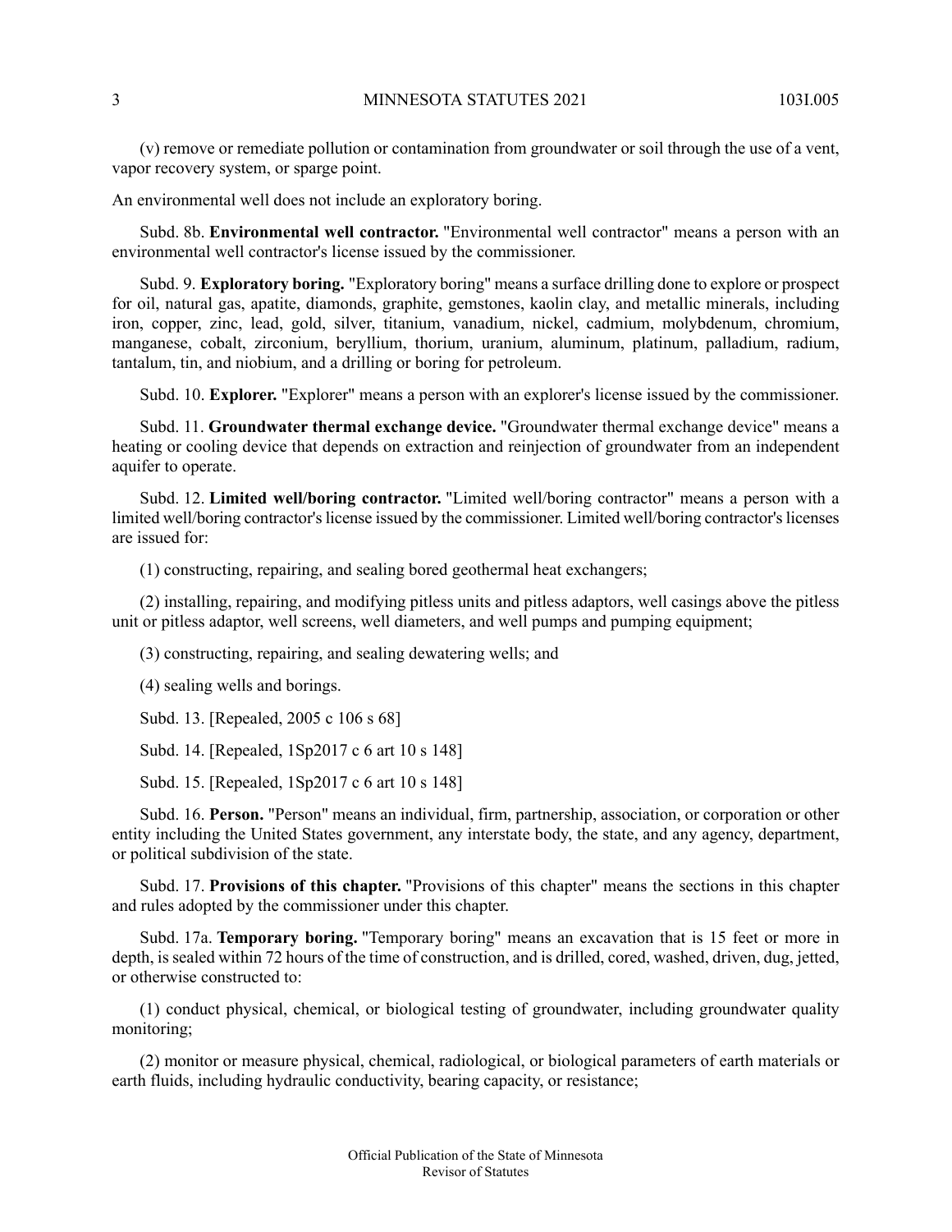(v) remove or remediate pollution or contamination from groundwater or soil through the use of a vent, vapor recovery system, or sparge point.

An environmental well does not include an exploratory boring.

Subd. 8b. **Environmental well contractor.** "Environmental well contractor" means a person with an environmental well contractor's license issued by the commissioner.

Subd. 9. **Exploratory boring.** "Exploratory boring" means a surface drilling done to explore or prospect for oil, natural gas, apatite, diamonds, graphite, gemstones, kaolin clay, and metallic minerals, including iron, copper, zinc, lead, gold, silver, titanium, vanadium, nickel, cadmium, molybdenum, chromium, manganese, cobalt, zirconium, beryllium, thorium, uranium, aluminum, platinum, palladium, radium, tantalum, tin, and niobium, and a drilling or boring for petroleum.

Subd. 10. **Explorer.** "Explorer" means a person with an explorer's license issued by the commissioner.

Subd. 11. **Groundwater thermal exchange device.** "Groundwater thermal exchange device" means a heating or cooling device that depends on extraction and reinjection of groundwater from an independent aquifer to operate.

Subd. 12. **Limited well/boring contractor.** "Limited well/boring contractor" means a person with a limited well/boring contractor's license issued by the commissioner. Limited well/boring contractor's licenses are issued for:

(1) constructing, repairing, and sealing bored geothermal heat exchangers;

(2) installing, repairing, and modifying pitless units and pitless adaptors, well casings above the pitless unit or pitless adaptor, well screens, well diameters, and well pumps and pumping equipment;

(3) constructing, repairing, and sealing dewatering wells; and

(4) sealing wells and borings.

Subd. 13. [Repealed, 2005 c 106 s 68]

Subd. 14. [Repealed, 1Sp2017 c 6 art 10 s 148]

Subd. 15. [Repealed, 1Sp2017 c 6 art 10 s 148]

Subd. 16. **Person.** "Person" means an individual, firm, partnership, association, or corporation or other entity including the United States government, any interstate body, the state, and any agency, department, or political subdivision of the state.

Subd. 17. **Provisions of this chapter.** "Provisions of this chapter" means the sections in this chapter and rules adopted by the commissioner under this chapter.

Subd. 17a. **Temporary boring.** "Temporary boring" means an excavation that is 15 feet or more in depth, is sealed within 72 hours of the time of construction, and is drilled, cored, washed, driven, dug, jetted, or otherwise constructed to:

(1) conduct physical, chemical, or biological testing of groundwater, including groundwater quality monitoring;

(2) monitor or measure physical, chemical, radiological, or biological parameters of earth materials or earth fluids, including hydraulic conductivity, bearing capacity, or resistance;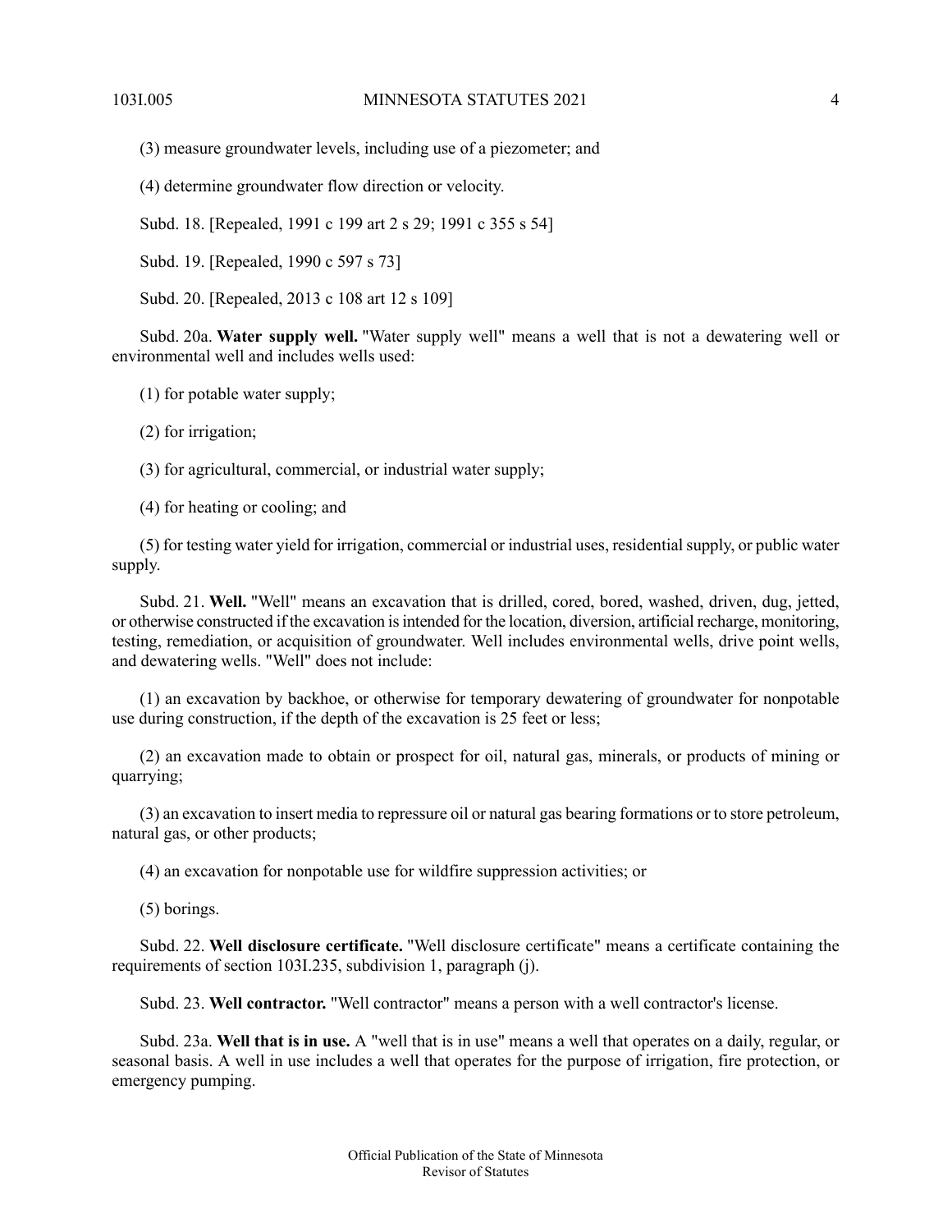(3) measure groundwater levels, including use of a piezometer; and

(4) determine groundwater flow direction or velocity.

Subd. 18. [Repealed, 1991 c 199 art 2 s 29; 1991 c 355 s 54]

Subd. 19. [Repealed, 1990 c 597 s 73]

Subd. 20. [Repealed, 2013 c 108 art 12 s 109]

Subd. 20a. **Water supply well.** "Water supply well" means a well that is not a dewatering well or environmental well and includes wells used:

(1) for potable water supply;

(2) for irrigation;

(3) for agricultural, commercial, or industrial water supply;

(4) for heating or cooling; and

(5) for testing water yield for irrigation, commercial or industrial uses, residential supply, or public water supply.

Subd. 21. **Well.** "Well" means an excavation that is drilled, cored, bored, washed, driven, dug, jetted, or otherwise constructed if the excavation isintended for the location, diversion, artificial recharge, monitoring, testing, remediation, or acquisition of groundwater. Well includes environmental wells, drive point wells, and dewatering wells. "Well" does not include:

(1) an excavation by backhoe, or otherwise for temporary dewatering of groundwater for nonpotable use during construction, if the depth of the excavation is 25 feet or less;

(2) an excavation made to obtain or prospect for oil, natural gas, minerals, or products of mining or quarrying;

(3) an excavation to insert media to repressure oil or natural gas bearing formations or to store petroleum, natural gas, or other products;

(4) an excavation for nonpotable use for wildfire suppression activities; or

(5) borings.

Subd. 22. **Well disclosure certificate.** "Well disclosure certificate" means a certificate containing the requirements of section 103I.235, subdivision 1, paragraph (j).

Subd. 23. **Well contractor.** "Well contractor" means a person with a well contractor's license.

Subd. 23a. **Well that is in use.** A "well that is in use" means a well that operates on a daily, regular, or seasonal basis. A well in use includes a well that operates for the purpose of irrigation, fire protection, or emergency pumping.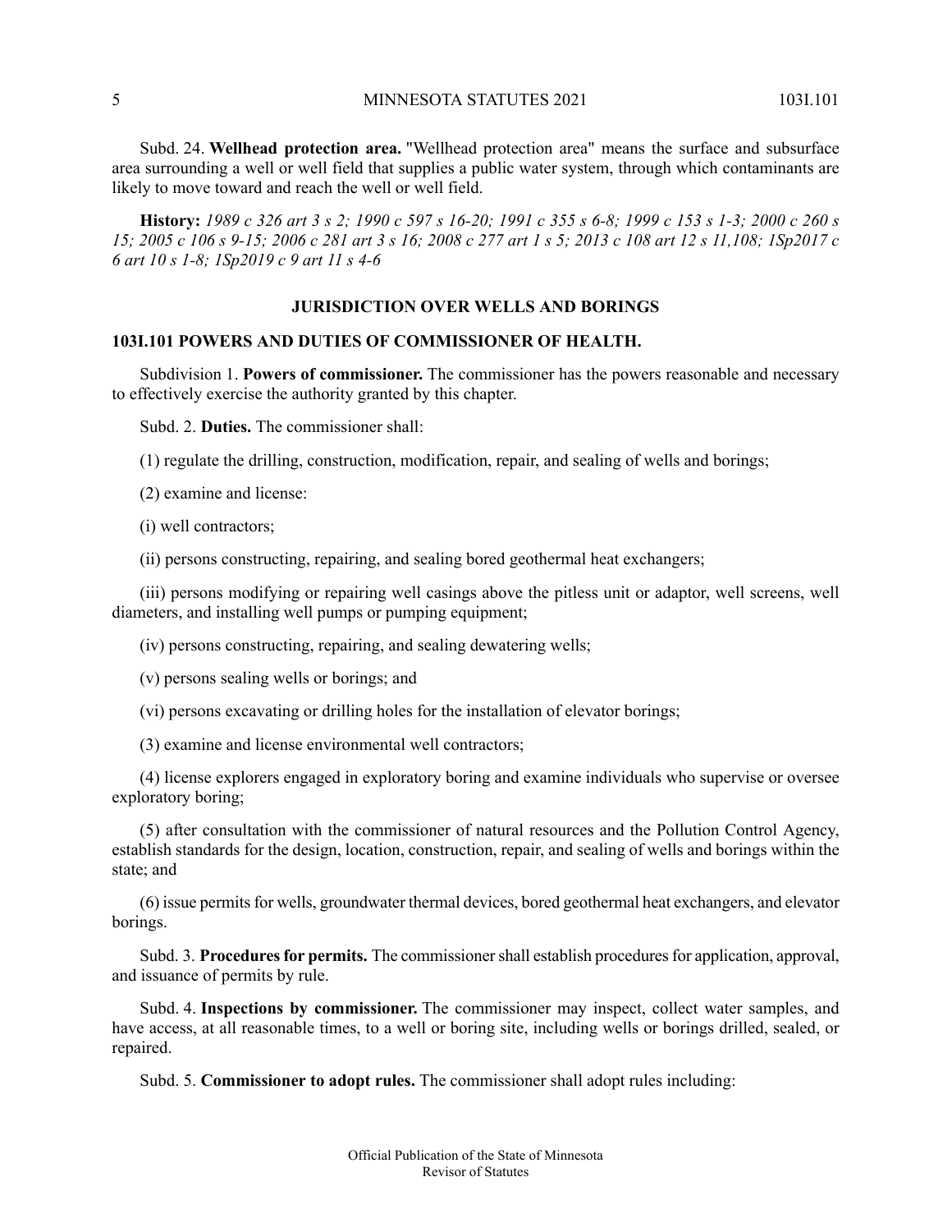Subd. 24. **Wellhead protection area.** "Wellhead protection area" means the surface and subsurface area surrounding a well or well field that supplies a public water system, through which contaminants are likely to move toward and reach the well or well field.

<span id="page-4-0"></span>History: 1989 c 326 art 3 s 2; 1990 c 597 s 16-20; 1991 c 355 s 6-8; 1999 c 153 s 1-3; 2000 c 260 s 15; 2005 c 106 s 9-15; 2006 c 281 art 3 s 16; 2008 c 277 art 1 s 5; 2013 c 108 art 12 s 11, 108; 1Sp2017 c *6 art 10 s 1-8; 1Sp2019 c 9 art 11 s 4-6*

# **JURISDICTION OVER WELLS AND BORINGS**

#### <span id="page-4-1"></span>**103I.101 POWERS AND DUTIES OF COMMISSIONER OF HEALTH.**

Subdivision 1. **Powers of commissioner.** The commissioner has the powers reasonable and necessary to effectively exercise the authority granted by this chapter.

Subd. 2. **Duties.** The commissioner shall:

(1) regulate the drilling, construction, modification, repair, and sealing of wells and borings;

(2) examine and license:

(i) well contractors;

(ii) persons constructing, repairing, and sealing bored geothermal heat exchangers;

(iii) persons modifying or repairing well casings above the pitless unit or adaptor, well screens, well diameters, and installing well pumps or pumping equipment;

(iv) persons constructing, repairing, and sealing dewatering wells;

(v) persons sealing wells or borings; and

- (vi) persons excavating or drilling holes for the installation of elevator borings;
- (3) examine and license environmental well contractors;

(4) license explorers engaged in exploratory boring and examine individuals who supervise or oversee exploratory boring;

(5) after consultation with the commissioner of natural resources and the Pollution Control Agency, establish standards for the design, location, construction, repair, and sealing of wells and borings within the state; and

(6) issue permitsfor wells, groundwater thermal devices, bored geothermal heat exchangers, and elevator borings.

Subd. 3. **Procedures for permits.** The commissioner shall establish procedures for application, approval, and issuance of permits by rule.

Subd. 4. **Inspections by commissioner.** The commissioner may inspect, collect water samples, and have access, at all reasonable times, to a well or boring site, including wells or borings drilled, sealed, or repaired.

Subd. 5. **Commissioner to adopt rules.** The commissioner shall adopt rules including: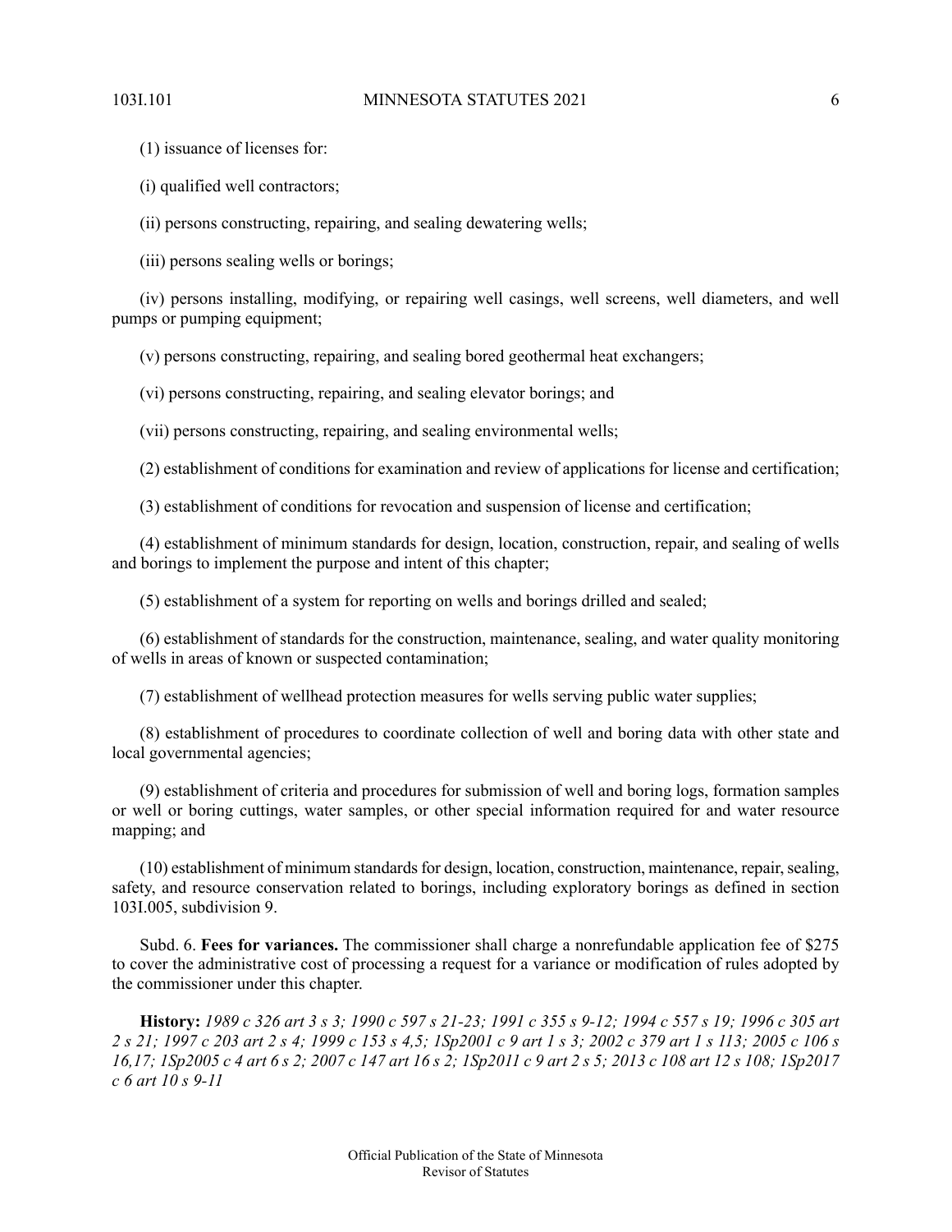(1) issuance of licenses for:

(i) qualified well contractors;

(ii) persons constructing, repairing, and sealing dewatering wells;

(iii) persons sealing wells or borings;

(iv) persons installing, modifying, or repairing well casings, well screens, well diameters, and well pumps or pumping equipment;

(v) persons constructing, repairing, and sealing bored geothermal heat exchangers;

(vi) persons constructing, repairing, and sealing elevator borings; and

(vii) persons constructing, repairing, and sealing environmental wells;

(2) establishment of conditions for examination and review of applications for license and certification;

(3) establishment of conditions for revocation and suspension of license and certification;

(4) establishment of minimum standards for design, location, construction, repair, and sealing of wells and borings to implement the purpose and intent of this chapter;

(5) establishment of a system for reporting on wells and borings drilled and sealed;

(6) establishment of standards for the construction, maintenance, sealing, and water quality monitoring of wells in areas of known or suspected contamination;

(7) establishment of wellhead protection measures for wells serving public water supplies;

(8) establishment of procedures to coordinate collection of well and boring data with other state and local governmental agencies;

(9) establishment of criteria and procedures for submission of well and boring logs, formation samples or well or boring cuttings, water samples, or other special information required for and water resource mapping; and

<span id="page-5-0"></span>(10) establishment of minimum standardsfor design, location, construction, maintenance, repair,sealing, safety, and resource conservation related to borings, including exploratory borings as defined in section 103I.005, subdivision 9.

Subd. 6. **Fees for variances.** The commissioner shall charge a nonrefundable application fee of \$275 to cover the administrative cost of processing a request for a variance or modification of rules adopted by the commissioner under this chapter.

History: 1989 c 326 art 3 s 3; 1990 c 597 s 21-23; 1991 c 355 s 9-12; 1994 c 557 s 19; 1996 c 305 art 2 s 21; 1997 c 203 art 2 s 4; 1999 c 153 s 4.5; 1Sp2001 c 9 art 1 s 3; 2002 c 379 art 1 s 113; 2005 c 106 s 16,17; 1Sp2005 c 4 art 6 s 2; 2007 c 147 art 16 s 2; 1Sp2011 c 9 art 2 s 5; 2013 c 108 art 12 s 108; 1Sp2017 *c 6 art 10 s 9-11*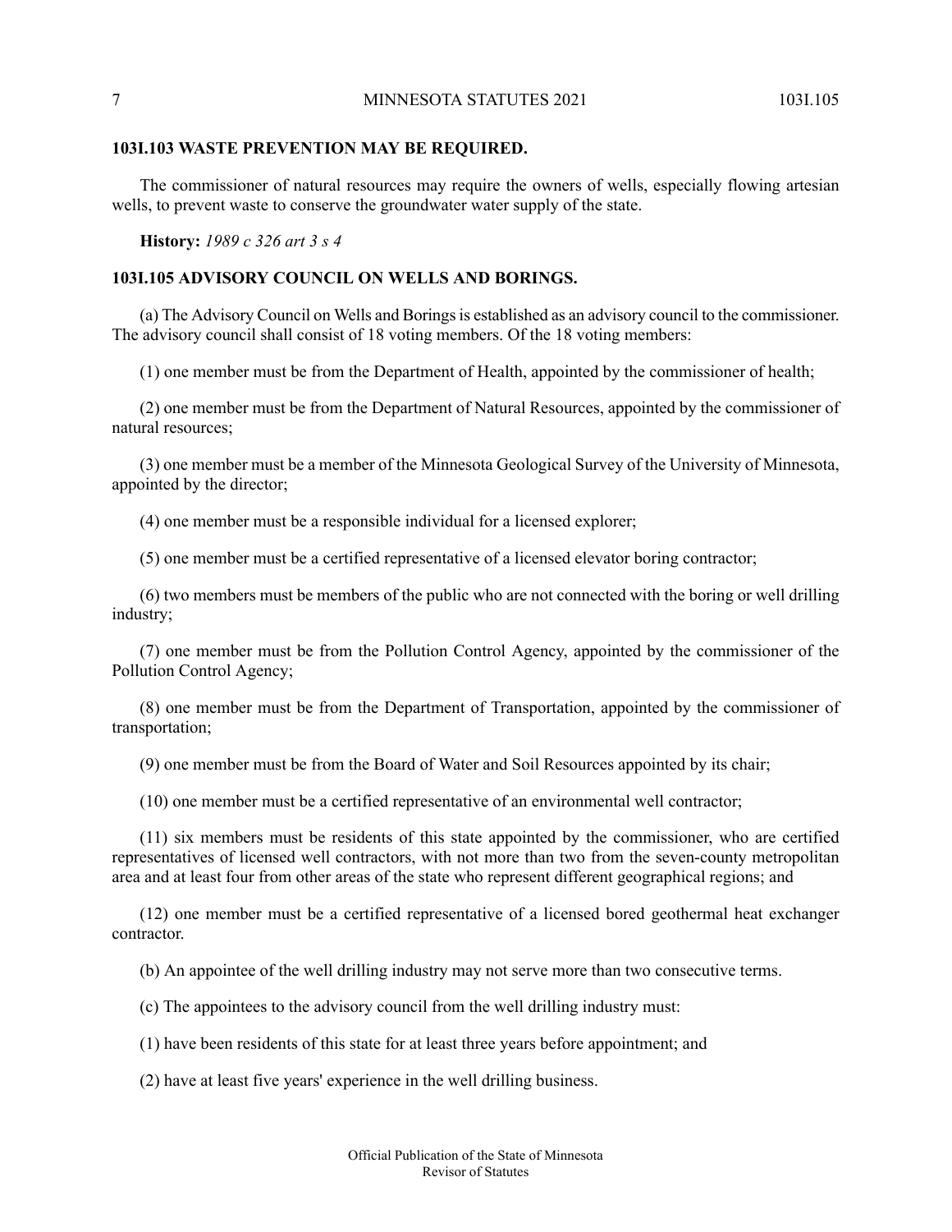#### **103I.103 WASTE PREVENTION MAY BE REQUIRED.**

The commissioner of natural resources may require the owners of wells, especially flowing artesian wells, to prevent waste to conserve the groundwater water supply of the state.

### <span id="page-6-0"></span>**History:** *1989 c 326 art 3 s 4*

# **103I.105 ADVISORY COUNCIL ON WELLS AND BORINGS.**

(a) The Advisory Council on Wells and Boringsis established as an advisory council to the commissioner. The advisory council shall consist of 18 voting members. Of the 18 voting members:

(1) one member must be from the Department of Health, appointed by the commissioner of health;

(2) one member must be from the Department of Natural Resources, appointed by the commissioner of natural resources;

(3) one member must be a member of the Minnesota Geological Survey of the University of Minnesota, appointed by the director;

(4) one member must be a responsible individual for a licensed explorer;

(5) one member must be a certified representative of a licensed elevator boring contractor;

(6) two members must be members of the public who are not connected with the boring or well drilling industry;

(7) one member must be from the Pollution Control Agency, appointed by the commissioner of the Pollution Control Agency;

(8) one member must be from the Department of Transportation, appointed by the commissioner of transportation;

(9) one member must be from the Board of Water and Soil Resources appointed by its chair;

(10) one member must be a certified representative of an environmental well contractor;

(11) six members must be residents of this state appointed by the commissioner, who are certified representatives of licensed well contractors, with not more than two from the seven-county metropolitan area and at least four from other areas of the state who represent different geographical regions; and

(12) one member must be a certified representative of a licensed bored geothermal heat exchanger contractor.

(b) An appointee of the well drilling industry may not serve more than two consecutive terms.

(c) The appointees to the advisory council from the well drilling industry must:

(1) have been residents of this state for at least three years before appointment; and

(2) have at least five years' experience in the well drilling business.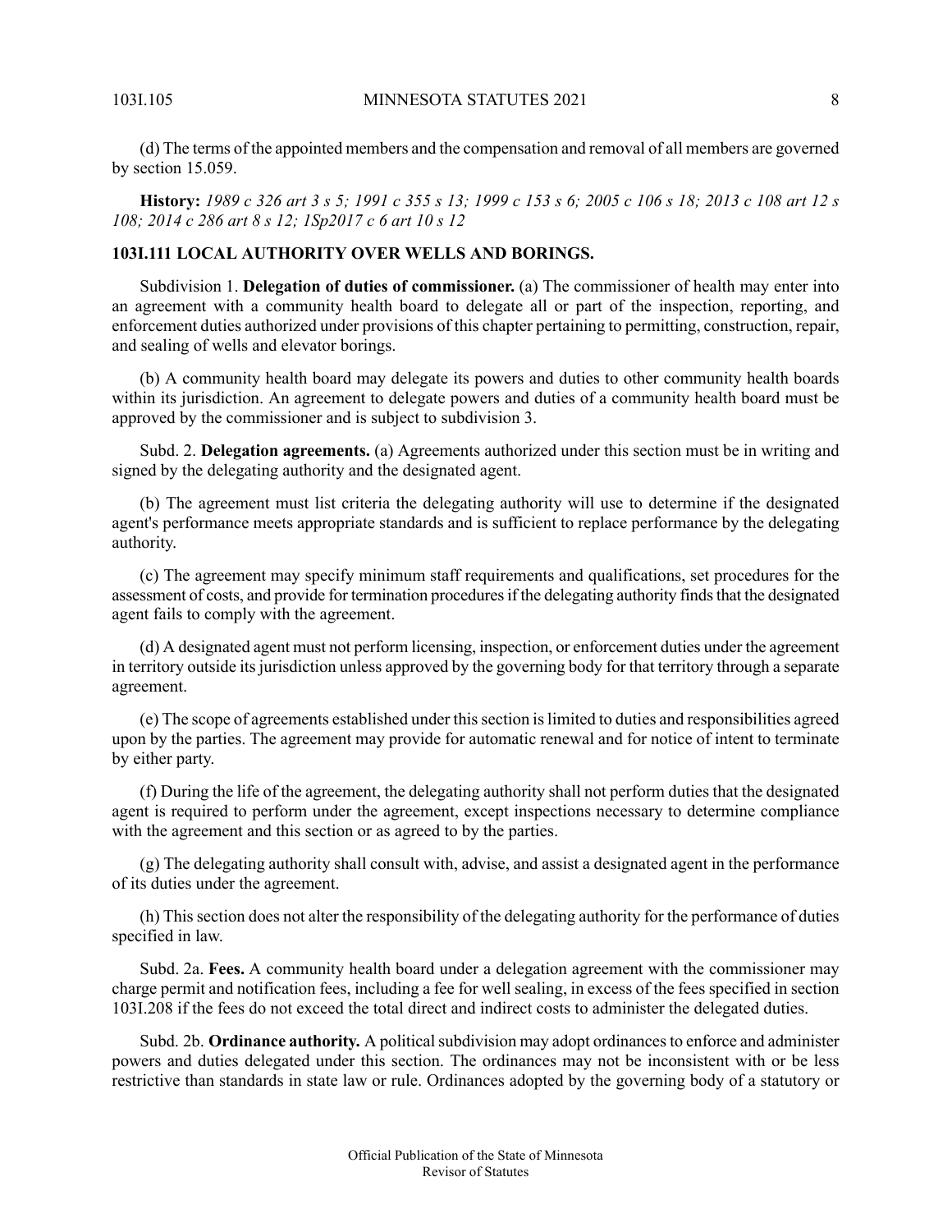(d) The terms of the appointed members and the compensation and removal of all members are governed by section 15.059.

<span id="page-7-0"></span>History: 1989 c 326 art 3 s 5; 1991 c 355 s 13; 1999 c 153 s 6; 2005 c 106 s 18; 2013 c 108 art 12 s *108; 2014 c 286 art 8 s 12; 1Sp2017 c 6 art 10 s 12*

# **103I.111 LOCAL AUTHORITY OVER WELLS AND BORINGS.**

Subdivision 1. **Delegation of duties of commissioner.** (a) The commissioner of health may enter into an agreement with a community health board to delegate all or part of the inspection, reporting, and enforcement duties authorized under provisions of this chapter pertaining to permitting, construction, repair, and sealing of wells and elevator borings.

(b) A community health board may delegate its powers and duties to other community health boards within its jurisdiction. An agreement to delegate powers and duties of a community health board must be approved by the commissioner and is subject to subdivision 3.

Subd. 2. **Delegation agreements.** (a) Agreements authorized under this section must be in writing and signed by the delegating authority and the designated agent.

(b) The agreement must list criteria the delegating authority will use to determine if the designated agent's performance meets appropriate standards and is sufficient to replace performance by the delegating authority.

(c) The agreement may specify minimum staff requirements and qualifications, set procedures for the assessment of costs, and provide for termination procedures if the delegating authority finds that the designated agent fails to comply with the agreement.

(d) A designated agent must not perform licensing, inspection, or enforcement duties under the agreement in territory outside its jurisdiction unless approved by the governing body for that territory through a separate agreement.

(e) The scope of agreements established under thissection islimited to duties and responsibilities agreed upon by the parties. The agreement may provide for automatic renewal and for notice of intent to terminate by either party.

(f) During the life of the agreement, the delegating authority shall not perform duties that the designated agent is required to perform under the agreement, except inspections necessary to determine compliance with the agreement and this section or as agreed to by the parties.

(g) The delegating authority shall consult with, advise, and assist a designated agent in the performance of its duties under the agreement.

(h) This section does not alter the responsibility of the delegating authority for the performance of duties specified in law.

Subd. 2a. **Fees.** A community health board under a delegation agreement with the commissioner may charge permit and notification fees, including a fee for well sealing, in excess of the fees specified in section 103I.208 if the fees do not exceed the total direct and indirect costs to administer the delegated duties.

Subd. 2b. **Ordinance authority.** A political subdivision may adopt ordinances to enforce and administer powers and duties delegated under this section. The ordinances may not be inconsistent with or be less restrictive than standards in state law or rule. Ordinances adopted by the governing body of a statutory or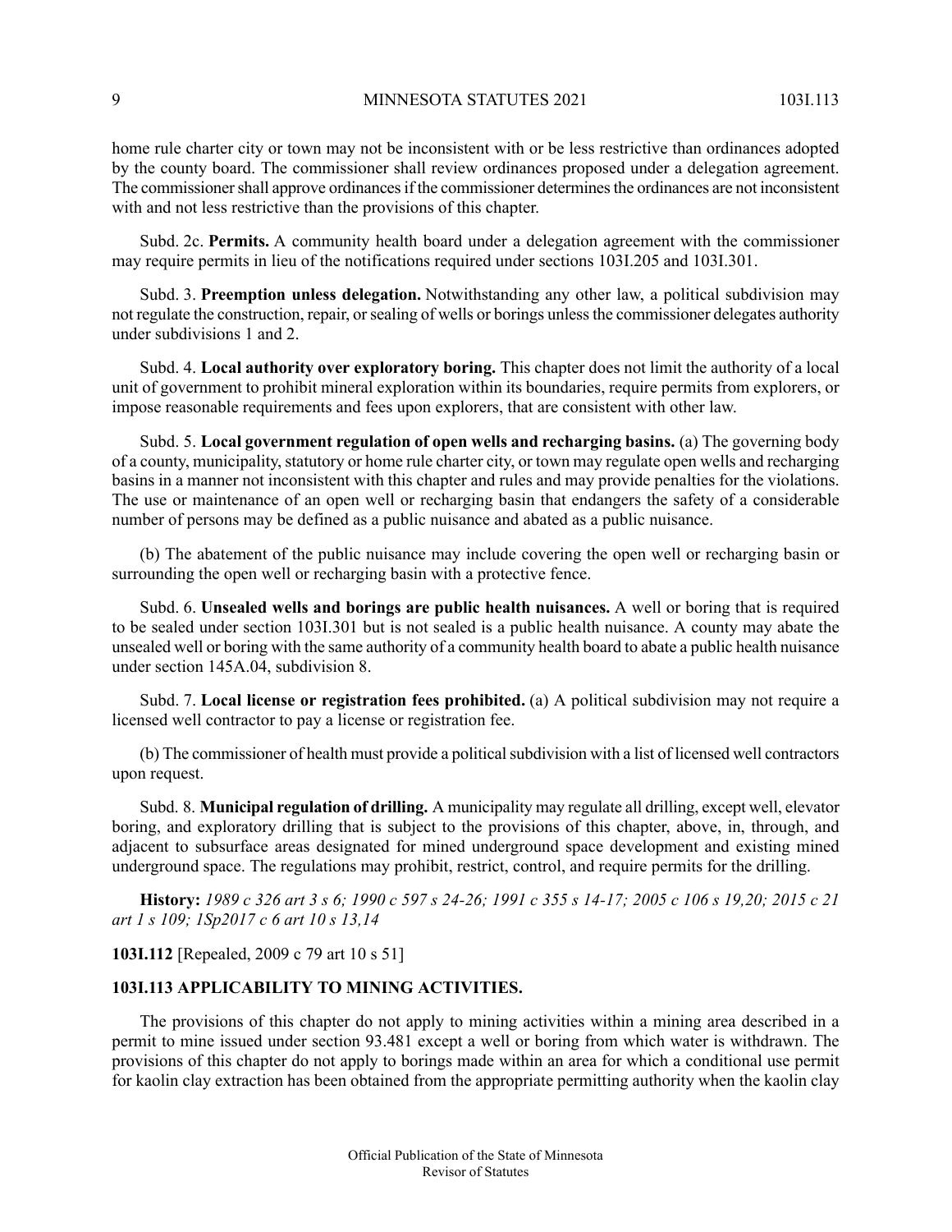home rule charter city or town may not be inconsistent with or be less restrictive than ordinances adopted by the county board. The commissioner shall review ordinances proposed under a delegation agreement. The commissioner shall approve ordinances if the commissioner determines the ordinances are not inconsistent with and not less restrictive than the provisions of this chapter.

Subd. 2c. **Permits.** A community health board under a delegation agreement with the commissioner may require permits in lieu of the notifications required under sections 103I.205 and 103I.301.

Subd. 3. **Preemption unless delegation.** Notwithstanding any other law, a political subdivision may not regulate the construction, repair, orsealing of wells or borings unlessthe commissioner delegates authority under subdivisions 1 and 2.

Subd. 4. **Local authority over exploratory boring.** This chapter does not limit the authority of a local unit of government to prohibit mineral exploration within its boundaries, require permits from explorers, or impose reasonable requirements and fees upon explorers, that are consistent with other law.

Subd. 5. **Local government regulation of open wells and recharging basins.** (a) The governing body of a county, municipality, statutory or home rule charter city, or town may regulate open wells and recharging basins in a manner not inconsistent with this chapter and rules and may provide penalties for the violations. The use or maintenance of an open well or recharging basin that endangers the safety of a considerable number of persons may be defined as a public nuisance and abated as a public nuisance.

(b) The abatement of the public nuisance may include covering the open well or recharging basin or surrounding the open well or recharging basin with a protective fence.

Subd. 6. **Unsealed wells and borings are public health nuisances.** A well or boring that is required to be sealed under section 103I.301 but is not sealed is a public health nuisance. A county may abate the unsealed well or boring with the same authority of a community health board to abate a public health nuisance under section 145A.04, subdivision 8.

Subd. 7. **Local license or registration fees prohibited.** (a) A political subdivision may not require a licensed well contractor to pay a license or registration fee.

(b) The commissioner of health must provide a political subdivision with a list of licensed well contractors upon request.

Subd. 8. **Municipal regulation of drilling.** A municipality may regulate all drilling, except well, elevator boring, and exploratory drilling that is subject to the provisions of this chapter, above, in, through, and adjacent to subsurface areas designated for mined underground space development and existing mined underground space. The regulations may prohibit, restrict, control, and require permits for the drilling.

<span id="page-8-0"></span>History: 1989 c 326 art 3 s 6; 1990 c 597 s 24-26; 1991 c 355 s 14-17; 2005 c 106 s 19,20; 2015 c 21 *art 1 s 109; 1Sp2017 c 6 art 10 s 13,14*

**103I.112** [Repealed, 2009 c 79 art 10 s 51]

# **103I.113 APPLICABILITY TO MINING ACTIVITIES.**

The provisions of this chapter do not apply to mining activities within a mining area described in a permit to mine issued under section 93.481 except a well or boring from which water is withdrawn. The provisions of this chapter do not apply to borings made within an area for which a conditional use permit for kaolin clay extraction has been obtained from the appropriate permitting authority when the kaolin clay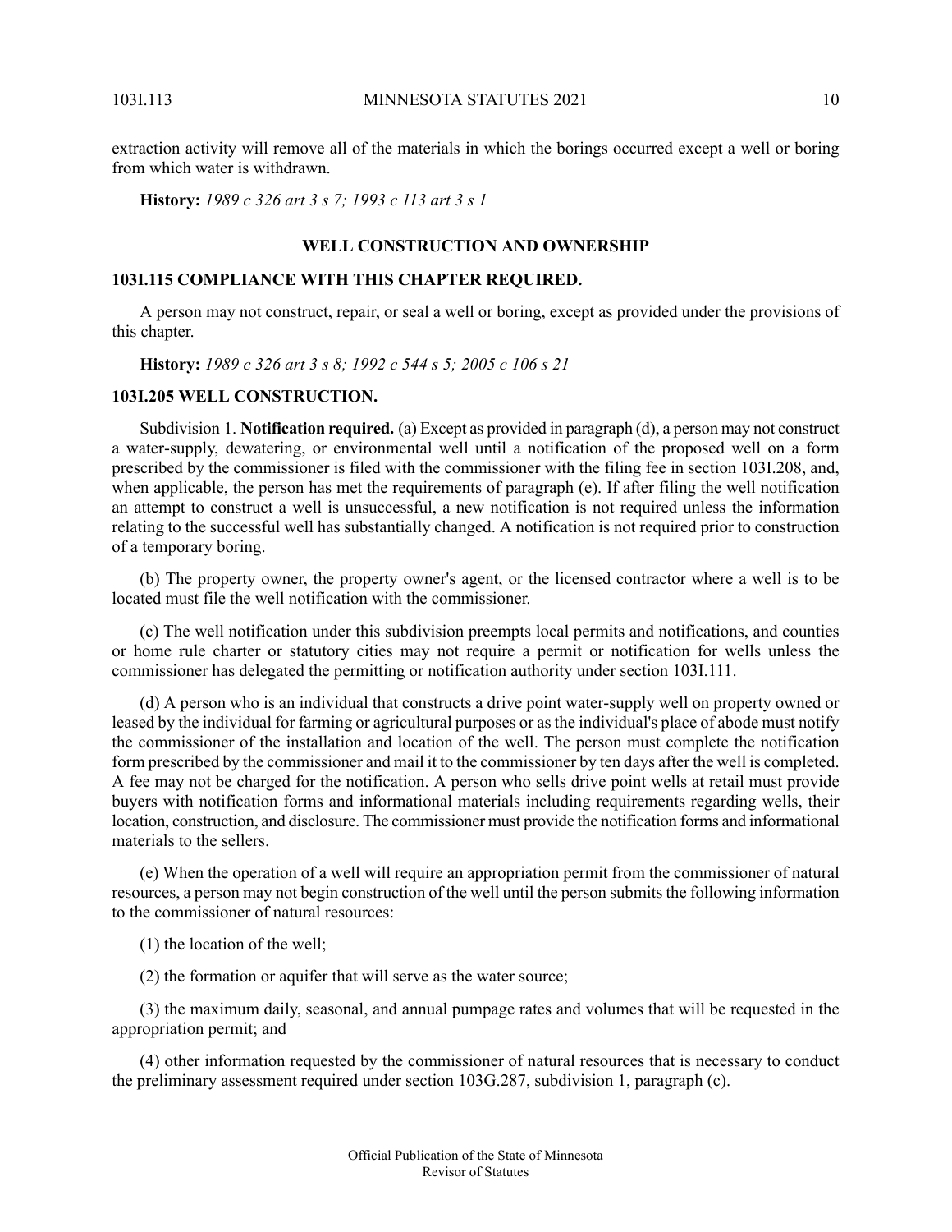extraction activity will remove all of the materials in which the borings occurred except a well or boring from which water is withdrawn.

<span id="page-9-0"></span>**History:** *1989 c 326 art 3 s 7; 1993 c 113 art 3 s 1*

#### **WELL CONSTRUCTION AND OWNERSHIP**

### <span id="page-9-1"></span>**103I.115 COMPLIANCE WITH THIS CHAPTER REQUIRED.**

<span id="page-9-2"></span>A person may not construct, repair, or seal a well or boring, except as provided under the provisions of this chapter.

**History:** *1989 c 326 art 3 s 8; 1992 c 544 s 5; 2005 c 106 s 21*

### **103I.205 WELL CONSTRUCTION.**

Subdivision 1. **Notification required.** (a) Except as provided in paragraph (d), a person may not construct a water-supply, dewatering, or environmental well until a notification of the proposed well on a form prescribed by the commissioner is filed with the commissioner with the filing fee in section 103I.208, and, when applicable, the person has met the requirements of paragraph (e). If after filing the well notification an attempt to construct a well is unsuccessful, a new notification is not required unless the information relating to the successful well has substantially changed. A notification is not required prior to construction of a temporary boring.

(b) The property owner, the property owner's agent, or the licensed contractor where a well is to be located must file the well notification with the commissioner.

(c) The well notification under this subdivision preempts local permits and notifications, and counties or home rule charter or statutory cities may not require a permit or notification for wells unless the commissioner has delegated the permitting or notification authority under section 103I.111.

(d) A person who is an individual that constructs a drive point water-supply well on property owned or leased by the individual for farming or agricultural purposes or asthe individual's place of abode must notify the commissioner of the installation and location of the well. The person must complete the notification form prescribed by the commissioner and mail it to the commissioner by ten days after the well is completed. A fee may not be charged for the notification. A person who sells drive point wells at retail must provide buyers with notification forms and informational materials including requirements regarding wells, their location, construction, and disclosure. The commissioner must provide the notification forms and informational materials to the sellers.

(e) When the operation of a well will require an appropriation permit from the commissioner of natural resources, a person may not begin construction of the well until the person submits the following information to the commissioner of natural resources:

(1) the location of the well;

(2) the formation or aquifer that will serve as the water source;

(3) the maximum daily, seasonal, and annual pumpage rates and volumes that will be requested in the appropriation permit; and

(4) other information requested by the commissioner of natural resources that is necessary to conduct the preliminary assessment required under section 103G.287, subdivision 1, paragraph (c).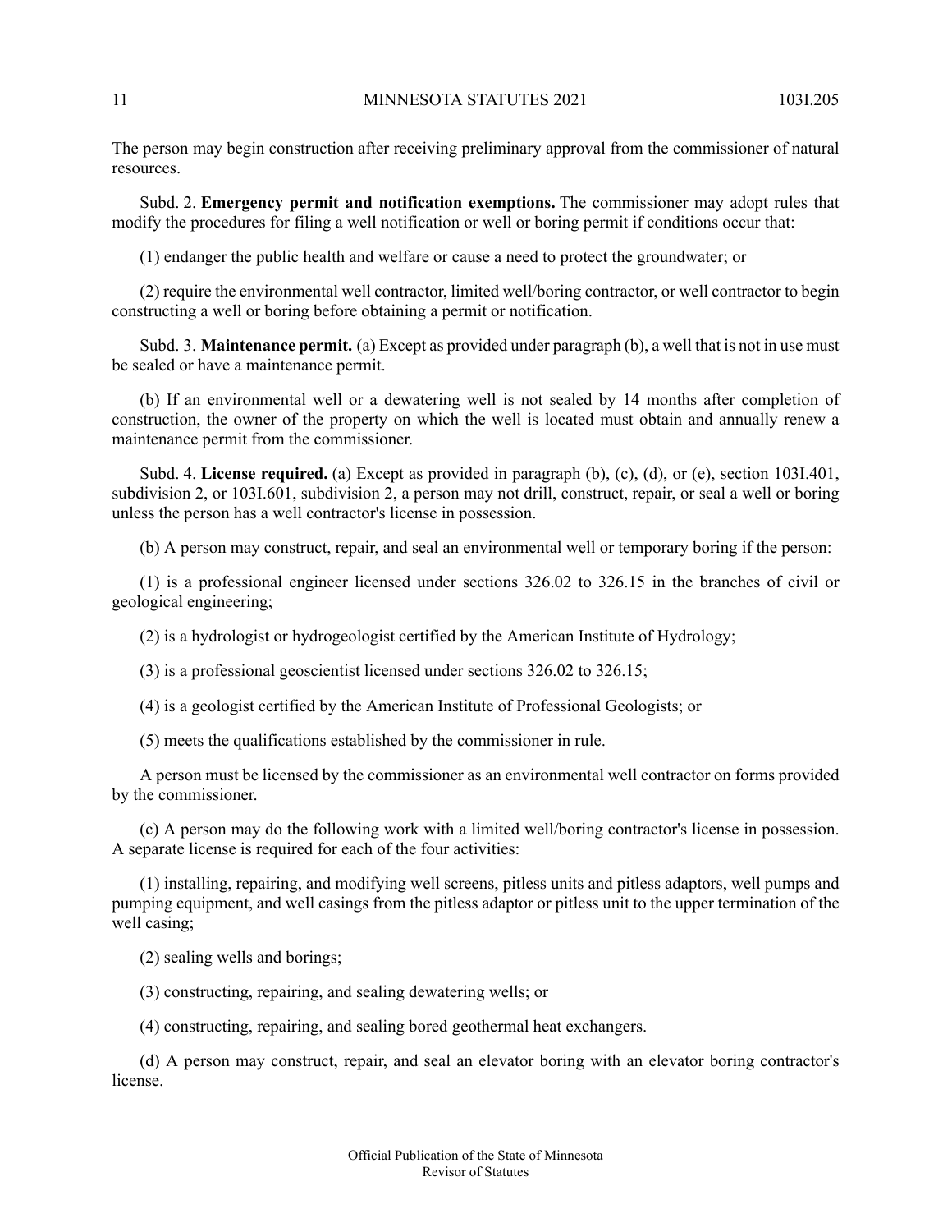The person may begin construction after receiving preliminary approval from the commissioner of natural resources.

Subd. 2. **Emergency permit and notification exemptions.** The commissioner may adopt rules that modify the procedures for filing a well notification or well or boring permit if conditions occur that:

(1) endanger the public health and welfare or cause a need to protect the groundwater; or

(2) require the environmental well contractor, limited well/boring contractor, or well contractor to begin constructing a well or boring before obtaining a permit or notification.

Subd. 3. **Maintenance permit.** (a) Except as provided under paragraph (b), a well that is not in use must be sealed or have a maintenance permit.

(b) If an environmental well or a dewatering well is not sealed by 14 months after completion of construction, the owner of the property on which the well is located must obtain and annually renew a maintenance permit from the commissioner.

Subd. 4. **License required.** (a) Except as provided in paragraph (b), (c), (d), or (e), section 103I.401, subdivision 2, or 103I.601, subdivision 2, a person may not drill, construct, repair, or seal a well or boring unless the person has a well contractor's license in possession.

(b) A person may construct, repair, and seal an environmental well or temporary boring if the person:

(1) is a professional engineer licensed under sections 326.02 to 326.15 in the branches of civil or geological engineering;

(2) is a hydrologist or hydrogeologist certified by the American Institute of Hydrology;

(3) is a professional geoscientist licensed under sections 326.02 to 326.15;

(4) is a geologist certified by the American Institute of Professional Geologists; or

(5) meets the qualifications established by the commissioner in rule.

A person must be licensed by the commissioner as an environmental well contractor on forms provided by the commissioner.

(c) A person may do the following work with a limited well/boring contractor's license in possession. A separate license is required for each of the four activities:

(1) installing, repairing, and modifying well screens, pitless units and pitless adaptors, well pumps and pumping equipment, and well casings from the pitless adaptor or pitless unit to the upper termination of the well casing;

(2) sealing wells and borings;

(3) constructing, repairing, and sealing dewatering wells; or

(4) constructing, repairing, and sealing bored geothermal heat exchangers.

(d) A person may construct, repair, and seal an elevator boring with an elevator boring contractor's license.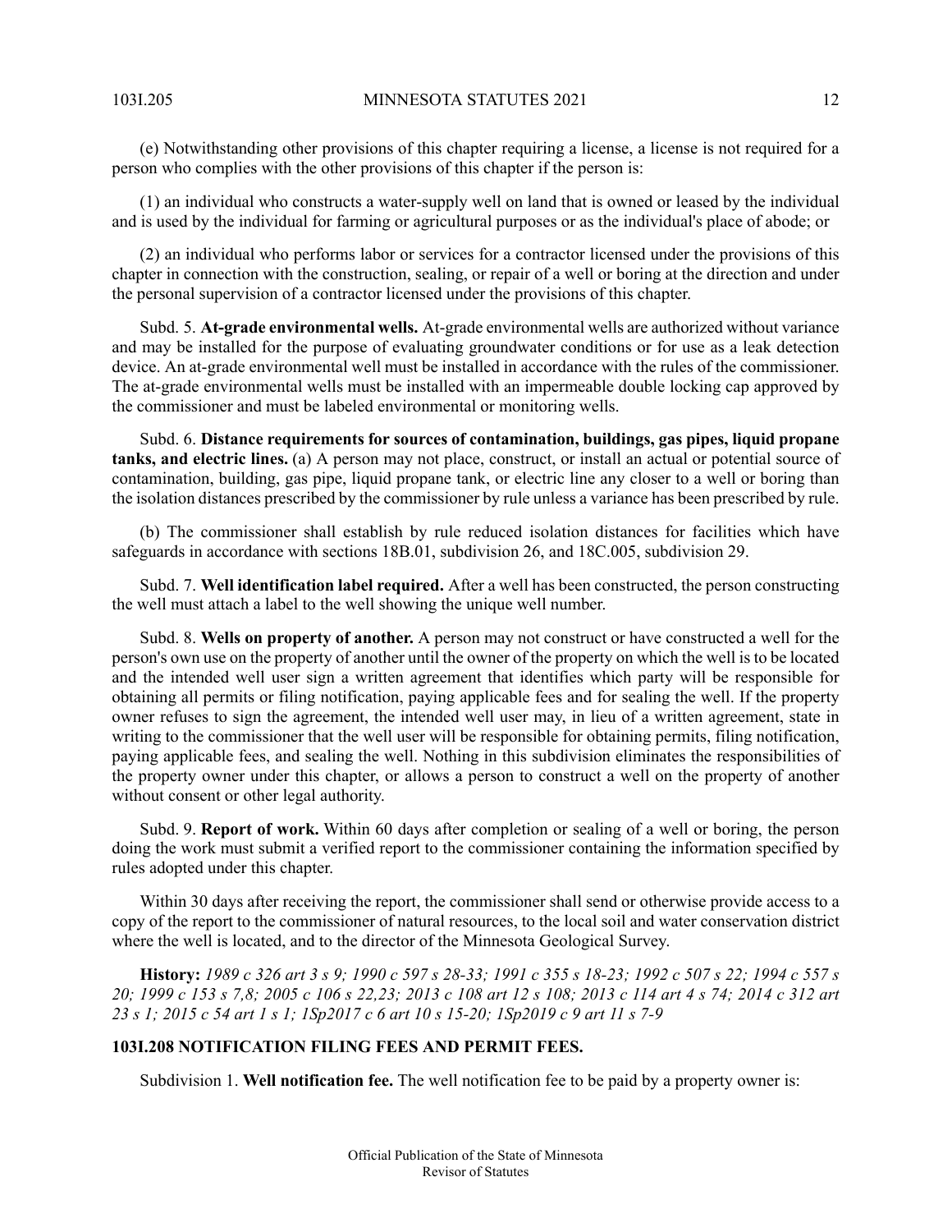(e) Notwithstanding other provisions of this chapter requiring a license, a license is not required for a person who complies with the other provisions of this chapter if the person is:

(1) an individual who constructs a water-supply well on land that is owned or leased by the individual and is used by the individual for farming or agricultural purposes or as the individual's place of abode; or

(2) an individual who performs labor or services for a contractor licensed under the provisions of this chapter in connection with the construction, sealing, or repair of a well or boring at the direction and under the personal supervision of a contractor licensed under the provisions of this chapter.

Subd. 5. **At-grade environmental wells.** At-grade environmental wells are authorized without variance and may be installed for the purpose of evaluating groundwater conditions or for use as a leak detection device. An at-grade environmental well must be installed in accordance with the rules of the commissioner. The at-grade environmental wells must be installed with an impermeable double locking cap approved by the commissioner and must be labeled environmental or monitoring wells.

Subd. 6. **Distance requirements for sources of contamination, buildings, gas pipes, liquid propane tanks, and electric lines.** (a) A person may not place, construct, or install an actual or potential source of contamination, building, gas pipe, liquid propane tank, or electric line any closer to a well or boring than the isolation distances prescribed by the commissioner by rule unless a variance has been prescribed by rule.

(b) The commissioner shall establish by rule reduced isolation distances for facilities which have safeguards in accordance with sections 18B.01, subdivision 26, and 18C.005, subdivision 29.

Subd. 7. **Well identification label required.** After a well has been constructed, the person constructing the well must attach a label to the well showing the unique well number.

Subd. 8. **Wells on property of another.** A person may not construct or have constructed a well for the person's own use on the property of another until the owner of the property on which the well is to be located and the intended well user sign a written agreement that identifies which party will be responsible for obtaining all permits or filing notification, paying applicable fees and for sealing the well. If the property owner refuses to sign the agreement, the intended well user may, in lieu of a written agreement, state in writing to the commissioner that the well user will be responsible for obtaining permits, filing notification, paying applicable fees, and sealing the well. Nothing in this subdivision eliminates the responsibilities of the property owner under this chapter, or allows a person to construct a well on the property of another without consent or other legal authority.

Subd. 9. **Report of work.** Within 60 days after completion or sealing of a well or boring, the person doing the work must submit a verified report to the commissioner containing the information specified by rules adopted under this chapter.

<span id="page-11-0"></span>Within 30 days after receiving the report, the commissioner shall send or otherwise provide access to a copy of the report to the commissioner of natural resources, to the local soil and water conservation district where the well is located, and to the director of the Minnesota Geological Survey.

History: 1989 c 326 art 3 s 9; 1990 c 597 s 28-33; 1991 c 355 s 18-23; 1992 c 507 s 22; 1994 c 557 s 20; 1999 c 153 s 7,8; 2005 c 106 s 22,23; 2013 c 108 art 12 s 108; 2013 c 114 art 4 s 74; 2014 c 312 art 23 s 1; 2015 c 54 art 1 s 1; 1Sp2017 c 6 art 10 s 15-20; 1Sp2019 c 9 art 11 s 7-9

# **103I.208 NOTIFICATION FILING FEES AND PERMIT FEES.**

Subdivision 1. **Well notification fee.** The well notification fee to be paid by a property owner is: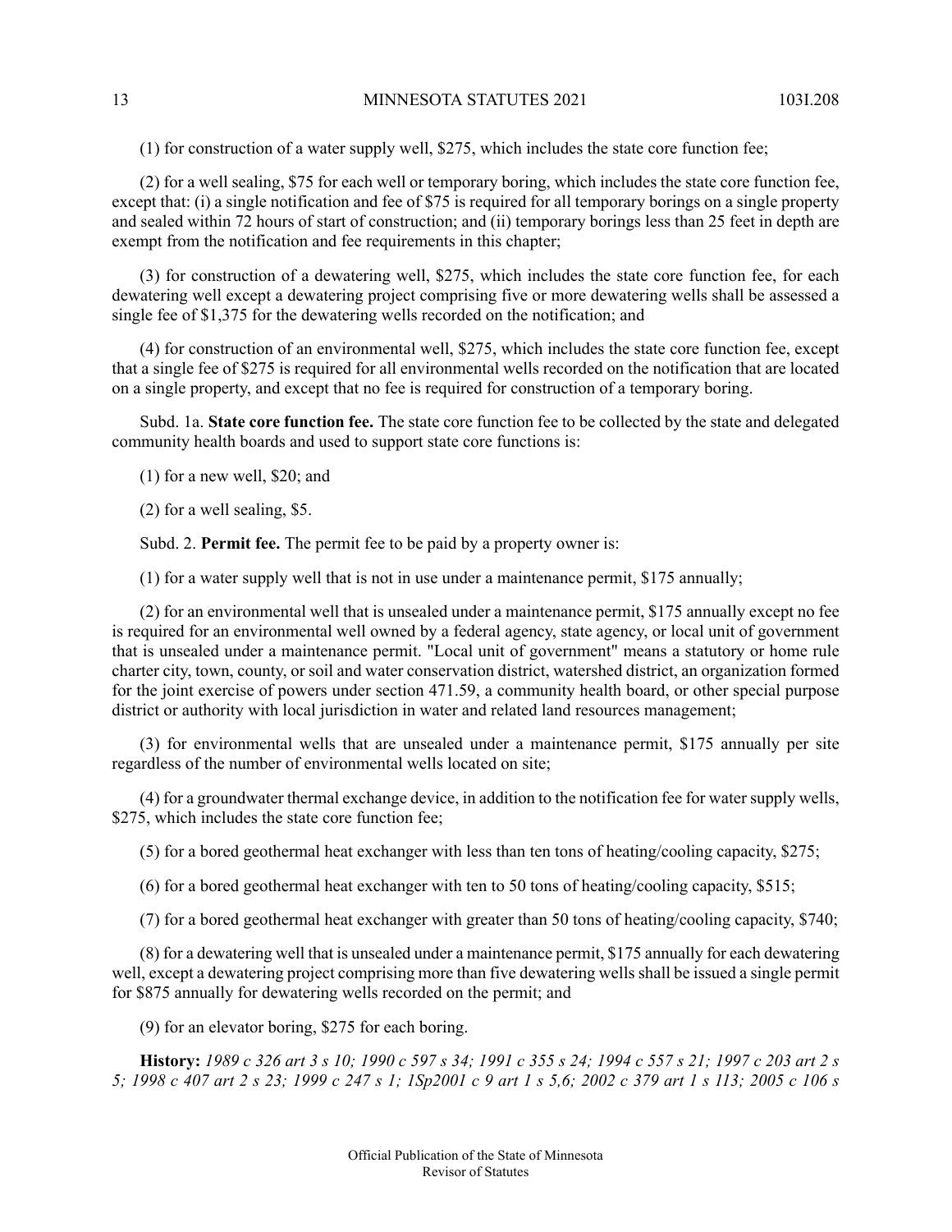(1) for construction of a water supply well, \$275, which includes the state core function fee;

(2) for a well sealing, \$75 for each well or temporary boring, which includes the state core function fee, except that: (i) a single notification and fee of \$75 is required for all temporary borings on a single property and sealed within 72 hours of start of construction; and (ii) temporary borings less than 25 feet in depth are exempt from the notification and fee requirements in this chapter;

(3) for construction of a dewatering well, \$275, which includes the state core function fee, for each dewatering well except a dewatering project comprising five or more dewatering wells shall be assessed a single fee of \$1,375 for the dewatering wells recorded on the notification; and

(4) for construction of an environmental well, \$275, which includes the state core function fee, except that a single fee of \$275 is required for all environmental wells recorded on the notification that are located on a single property, and except that no fee is required for construction of a temporary boring.

Subd. 1a. **State core function fee.** The state core function fee to be collected by the state and delegated community health boards and used to support state core functions is:

(1) for a new well, \$20; and

(2) for a well sealing, \$5.

Subd. 2. **Permit fee.** The permit fee to be paid by a property owner is:

(1) for a water supply well that is not in use under a maintenance permit, \$175 annually;

(2) for an environmental well that is unsealed under a maintenance permit, \$175 annually except no fee is required for an environmental well owned by a federal agency, state agency, or local unit of government that is unsealed under a maintenance permit. "Local unit of government" means a statutory or home rule charter city, town, county, or soil and water conservation district, watershed district, an organization formed for the joint exercise of powers under section 471.59, a community health board, or other special purpose district or authority with local jurisdiction in water and related land resources management;

(3) for environmental wells that are unsealed under a maintenance permit, \$175 annually per site regardless of the number of environmental wells located on site;

(4) for a groundwater thermal exchange device, in addition to the notification fee for water supply wells, \$275, which includes the state core function fee;

(5) for a bored geothermal heat exchanger with less than ten tons of heating/cooling capacity, \$275;

(6) for a bored geothermal heat exchanger with ten to 50 tons of heating/cooling capacity, \$515;

(7) for a bored geothermal heat exchanger with greater than 50 tons of heating/cooling capacity, \$740;

(8) for a dewatering well that is unsealed under a maintenance permit, \$175 annually for each dewatering well, except a dewatering project comprising more than five dewatering wells shall be issued a single permit for \$875 annually for dewatering wells recorded on the permit; and

(9) for an elevator boring, \$275 for each boring.

History: 1989 c 326 art 3 s 10; 1990 c 597 s 34; 1991 c 355 s 24; 1994 c 557 s 21; 1997 c 203 art 2 s 5; 1998 c 407 art 2 s 23; 1999 c 247 s 1; 1Sp2001 c 9 art 1 s 5,6; 2002 c 379 art 1 s 113; 2005 c 106 s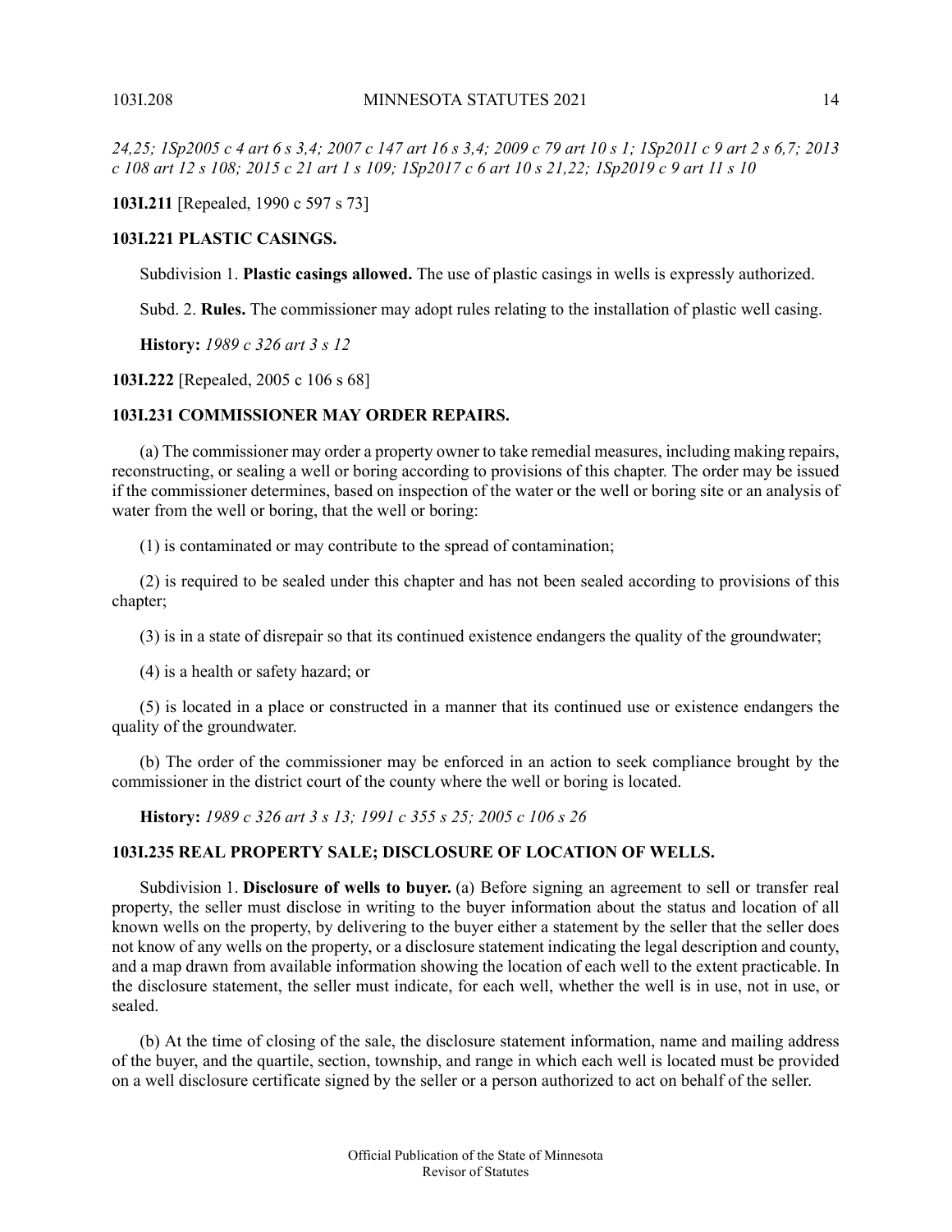24,25; ISp2005 c 4 art 6 s 3,4; 2007 c 147 art 16 s 3,4; 2009 c 79 art 10 s 1; ISp2011 c 9 art 2 s 6,7; 2013 c 108 art 12 s 108; 2015 c 21 art 1 s 109; 1Sp2017 c 6 art 10 s 21,22; 1Sp2019 c 9 art 11 s 10

<span id="page-13-0"></span>**103I.211** [Repealed, 1990 c 597 s 73]

### **103I.221 PLASTIC CASINGS.**

Subdivision 1. **Plastic casings allowed.** The use of plastic casings in wells is expressly authorized.

Subd. 2. **Rules.** The commissioner may adopt rules relating to the installation of plastic well casing.

<span id="page-13-1"></span>**History:** *1989 c 326 art 3 s 12*

**103I.222** [Repealed, 2005 c 106 s 68]

# **103I.231 COMMISSIONER MAY ORDER REPAIRS.**

(a) The commissioner may order a property owner to take remedial measures, including making repairs, reconstructing, or sealing a well or boring according to provisions of this chapter. The order may be issued if the commissioner determines, based on inspection of the water or the well or boring site or an analysis of water from the well or boring, that the well or boring:

(1) is contaminated or may contribute to the spread of contamination;

(2) is required to be sealed under this chapter and has not been sealed according to provisions of this chapter;

(3) is in a state of disrepair so that its continued existence endangers the quality of the groundwater;

(4) is a health or safety hazard; or

<span id="page-13-2"></span>(5) is located in a place or constructed in a manner that its continued use or existence endangers the quality of the groundwater.

(b) The order of the commissioner may be enforced in an action to seek compliance brought by the commissioner in the district court of the county where the well or boring is located.

**History:** *1989 c 326 art 3 s 13; 1991 c 355 s 25; 2005 c 106 s 26*

# **103I.235 REAL PROPERTY SALE; DISCLOSURE OF LOCATION OF WELLS.**

Subdivision 1. **Disclosure of wells to buyer.** (a) Before signing an agreement to sell or transfer real property, the seller must disclose in writing to the buyer information about the status and location of all known wells on the property, by delivering to the buyer either a statement by the seller that the seller does not know of any wells on the property, or a disclosure statement indicating the legal description and county, and a map drawn from available information showing the location of each well to the extent practicable. In the disclosure statement, the seller must indicate, for each well, whether the well is in use, not in use, or sealed.

(b) At the time of closing of the sale, the disclosure statement information, name and mailing address of the buyer, and the quartile, section, township, and range in which each well is located must be provided on a well disclosure certificate signed by the seller or a person authorized to act on behalf of the seller.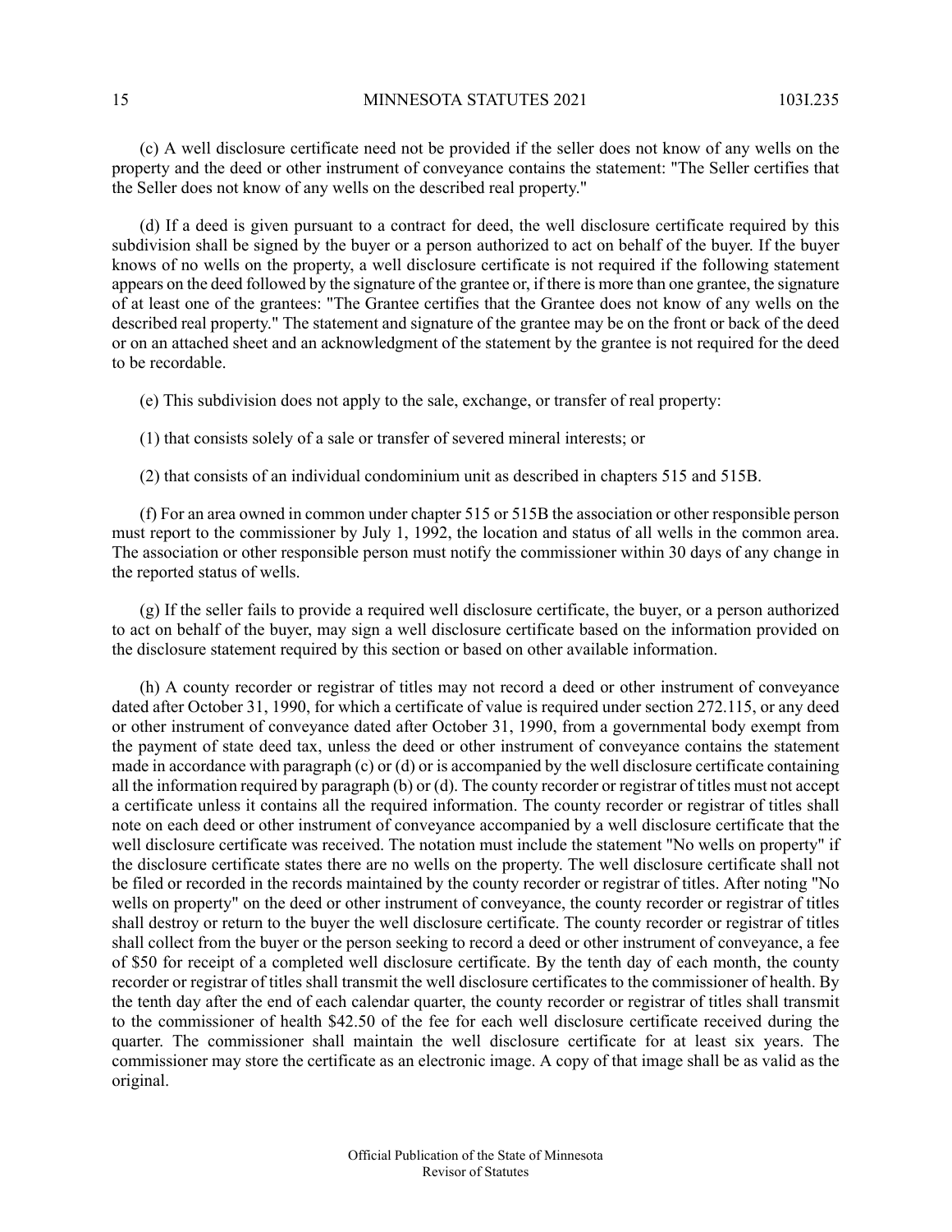(c) A well disclosure certificate need not be provided if the seller does not know of any wells on the property and the deed or other instrument of conveyance contains the statement: "The Seller certifies that the Seller does not know of any wells on the described real property."

(d) If a deed is given pursuant to a contract for deed, the well disclosure certificate required by this subdivision shall be signed by the buyer or a person authorized to act on behalf of the buyer. If the buyer knows of no wells on the property, a well disclosure certificate is not required if the following statement appears on the deed followed by the signature of the grantee or, if there is more than one grantee, the signature of at least one of the grantees: "The Grantee certifies that the Grantee does not know of any wells on the described real property." The statement and signature of the grantee may be on the front or back of the deed or on an attached sheet and an acknowledgment of the statement by the grantee is not required for the deed to be recordable.

(e) This subdivision does not apply to the sale, exchange, or transfer of real property:

(1) that consists solely of a sale or transfer of severed mineral interests; or

(2) that consists of an individual condominium unit as described in chapters 515 and 515B.

(f) For an area owned in common under chapter 515 or 515B the association or other responsible person must report to the commissioner by July 1, 1992, the location and status of all wells in the common area. The association or other responsible person must notify the commissioner within 30 days of any change in the reported status of wells.

(g) If the seller fails to provide a required well disclosure certificate, the buyer, or a person authorized to act on behalf of the buyer, may sign a well disclosure certificate based on the information provided on the disclosure statement required by this section or based on other available information.

(h) A county recorder or registrar of titles may not record a deed or other instrument of conveyance dated after October 31, 1990, for which a certificate of value is required under section 272.115, or any deed or other instrument of conveyance dated after October 31, 1990, from a governmental body exempt from the payment of state deed tax, unless the deed or other instrument of conveyance contains the statement made in accordance with paragraph  $(c)$  or  $(d)$  or is accompanied by the well disclosure certificate containing all the information required by paragraph (b) or (d). The county recorder or registrar of titles must not accept a certificate unless it contains all the required information. The county recorder or registrar of titles shall note on each deed or other instrument of conveyance accompanied by a well disclosure certificate that the well disclosure certificate was received. The notation must include the statement "No wells on property" if the disclosure certificate states there are no wells on the property. The well disclosure certificate shall not be filed or recorded in the records maintained by the county recorder or registrar of titles. After noting "No wells on property" on the deed or other instrument of conveyance, the county recorder or registrar of titles shall destroy or return to the buyer the well disclosure certificate. The county recorder or registrar of titles shall collect from the buyer or the person seeking to record a deed or other instrument of conveyance, a fee of \$50 for receipt of a completed well disclosure certificate. By the tenth day of each month, the county recorder or registrar of titles shall transmit the well disclosure certificates to the commissioner of health. By the tenth day after the end of each calendar quarter, the county recorder or registrar of titles shall transmit to the commissioner of health \$42.50 of the fee for each well disclosure certificate received during the quarter. The commissioner shall maintain the well disclosure certificate for at least six years. The commissioner may store the certificate as an electronic image. A copy of that image shall be as valid as the original.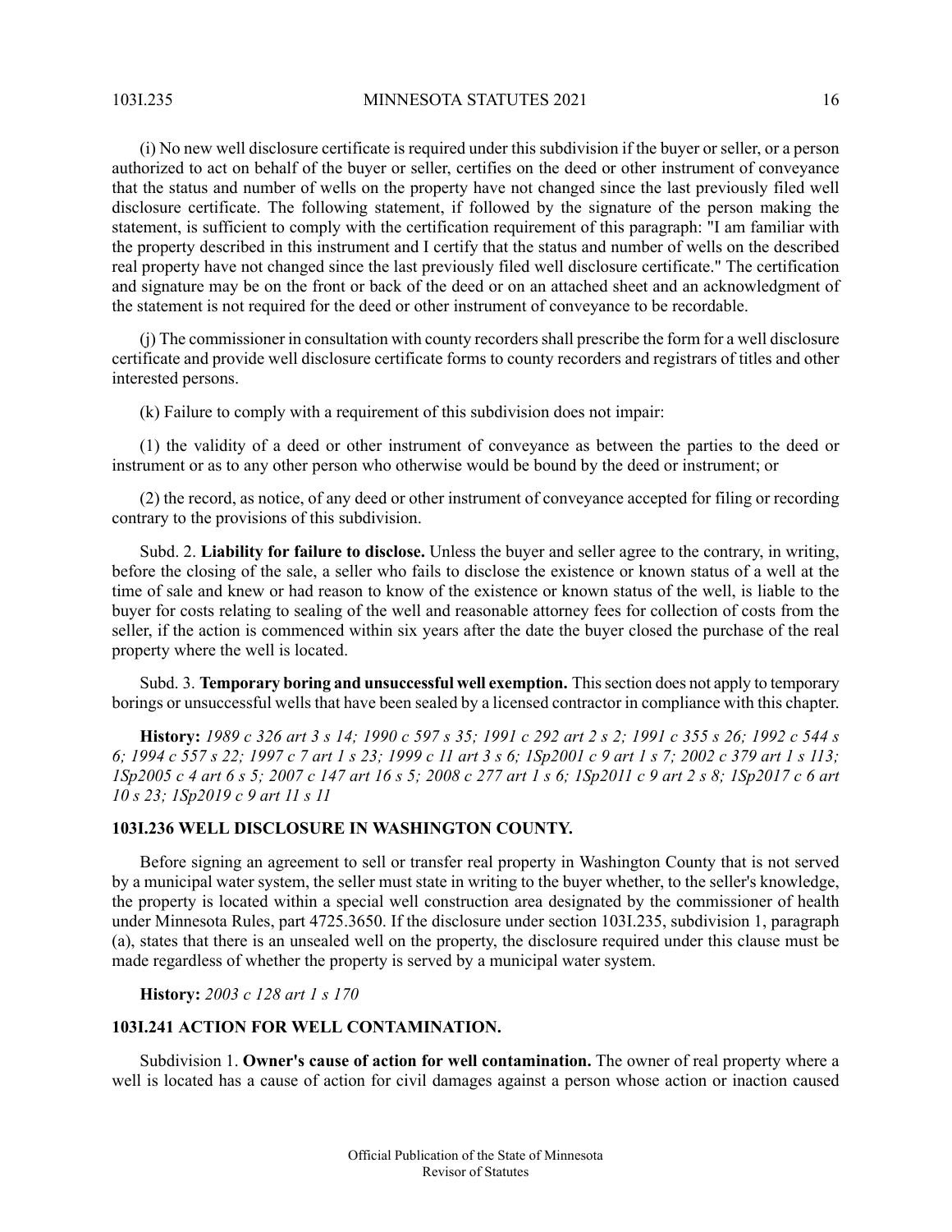(i) No new well disclosure certificate is required under this subdivision if the buyer or seller, or a person authorized to act on behalf of the buyer or seller, certifies on the deed or other instrument of conveyance that the status and number of wells on the property have not changed since the last previously filed well disclosure certificate. The following statement, if followed by the signature of the person making the statement, is sufficient to comply with the certification requirement of this paragraph: "I am familiar with the property described in this instrument and I certify that the status and number of wells on the described real property have not changed since the last previously filed well disclosure certificate." The certification and signature may be on the front or back of the deed or on an attached sheet and an acknowledgment of the statement is not required for the deed or other instrument of conveyance to be recordable.

(j) The commissioner in consultation with county recordersshall prescribe the form for a well disclosure certificate and provide well disclosure certificate forms to county recorders and registrars of titles and other interested persons.

(k) Failure to comply with a requirement of this subdivision does not impair:

(1) the validity of a deed or other instrument of conveyance as between the parties to the deed or instrument or as to any other person who otherwise would be bound by the deed or instrument; or

(2) the record, as notice, of any deed or other instrument of conveyance accepted for filing or recording contrary to the provisions of this subdivision.

Subd. 2. **Liability for failure to disclose.** Unless the buyer and seller agree to the contrary, in writing, before the closing of the sale, a seller who fails to disclose the existence or known status of a well at the time of sale and knew or had reason to know of the existence or known status of the well, is liable to the buyer for costs relating to sealing of the well and reasonable attorney fees for collection of costs from the seller, if the action is commenced within six years after the date the buyer closed the purchase of the real property where the well is located.

Subd. 3. **Temporary boring and unsuccessful well exemption.** Thissection does not apply to temporary borings or unsuccessful wells that have been sealed by a licensed contractor in compliance with this chapter.

<span id="page-15-0"></span>History: 1989 c 326 art 3 s 14; 1990 c 597 s 35; 1991 c 292 art 2 s 2; 1991 c 355 s 26; 1992 c 544 s 6; 1994 c 557 s 22; 1997 c 7 art 1 s 23; 1999 c 11 art 3 s 6; 1Sp2001 c 9 art 1 s 7; 2002 c 379 art 1 s 113; ISp2005 c 4 art 6 s 5; 2007 c 147 art 16 s 5; 2008 c 277 art 1 s 6; ISp2011 c 9 art 2 s 8; ISp2017 c 6 art *10 s 23; 1Sp2019 c 9 art 11 s 11*

#### **103I.236 WELL DISCLOSURE IN WASHINGTON COUNTY.**

<span id="page-15-1"></span>Before signing an agreement to sell or transfer real property in Washington County that is not served by a municipal water system, the seller must state in writing to the buyer whether, to the seller's knowledge, the property is located within a special well construction area designated by the commissioner of health under Minnesota Rules, part 4725.3650. If the disclosure under section 103I.235, subdivision 1, paragraph (a), states that there is an unsealed well on the property, the disclosure required under this clause must be made regardless of whether the property is served by a municipal water system.

**History:** *2003 c 128 art 1 s 170*

# **103I.241 ACTION FOR WELL CONTAMINATION.**

Subdivision 1. **Owner's cause of action for well contamination.** The owner of real property where a well is located has a cause of action for civil damages against a person whose action or inaction caused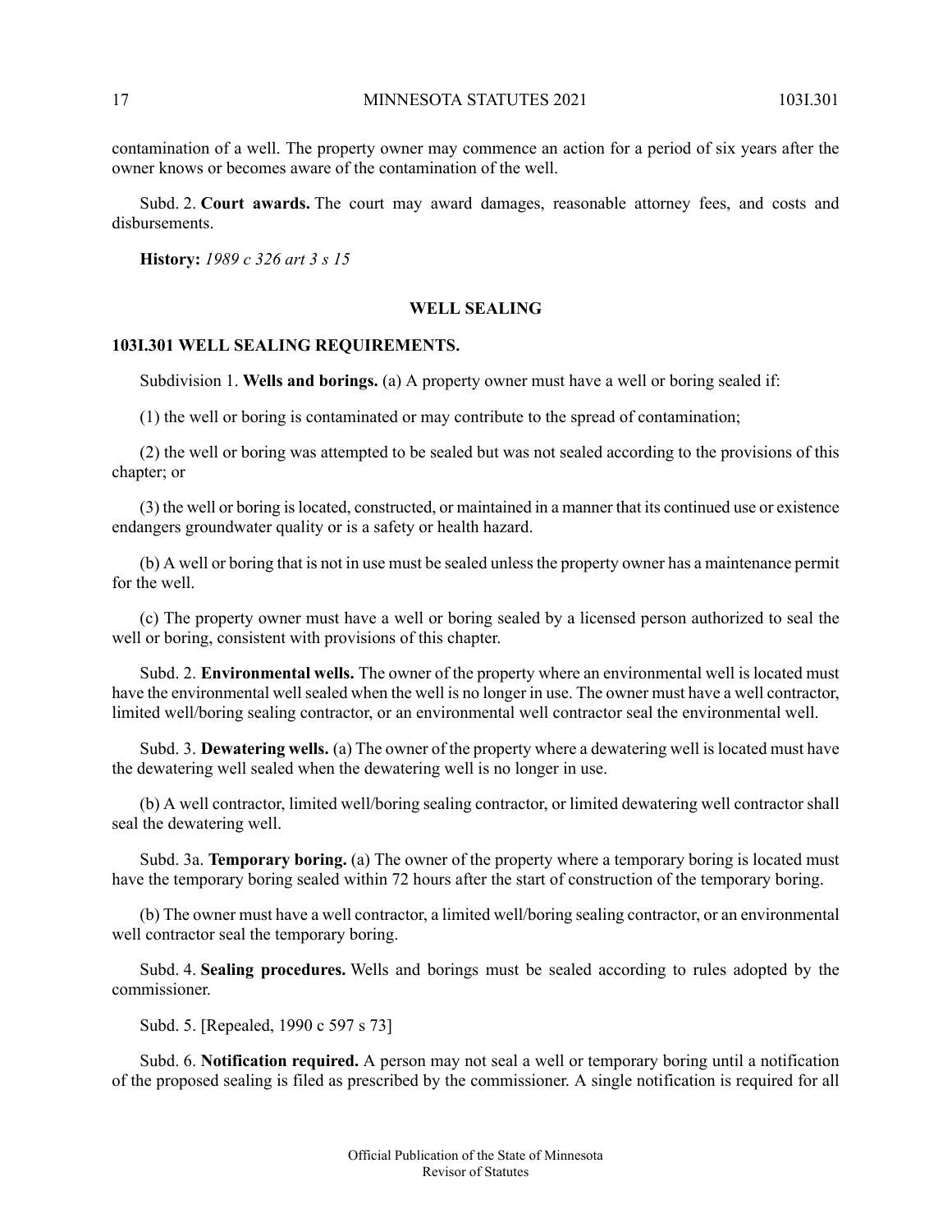contamination of a well. The property owner may commence an action for a period of six years after the owner knows or becomes aware of the contamination of the well.

Subd. 2. **Court awards.** The court may award damages, reasonable attorney fees, and costs and disbursements.

<span id="page-16-1"></span><span id="page-16-0"></span>**History:** *1989 c 326 art 3 s 15*

### **WELL SEALING**

#### **103I.301 WELL SEALING REQUIREMENTS.**

Subdivision 1. **Wells and borings.** (a) A property owner must have a well or boring sealed if:

(1) the well or boring is contaminated or may contribute to the spread of contamination;

(2) the well or boring was attempted to be sealed but was not sealed according to the provisions of this chapter; or

(3) the well or boring islocated, constructed, or maintained in a manner that its continued use or existence endangers groundwater quality or is a safety or health hazard.

(b) A well or boring that is not in use must be sealed unless the property owner has a maintenance permit for the well.

(c) The property owner must have a well or boring sealed by a licensed person authorized to seal the well or boring, consistent with provisions of this chapter.

Subd. 2. **Environmental wells.** The owner of the property where an environmental well is located must have the environmental well sealed when the well is no longer in use. The owner must have a well contractor, limited well/boring sealing contractor, or an environmental well contractor seal the environmental well.

Subd. 3. **Dewatering wells.** (a) The owner of the property where a dewatering well is located must have the dewatering well sealed when the dewatering well is no longer in use.

(b) A well contractor, limited well/boring sealing contractor, or limited dewatering well contractor shall seal the dewatering well.

Subd. 3a. **Temporary boring.** (a) The owner of the property where a temporary boring is located must have the temporary boring sealed within 72 hours after the start of construction of the temporary boring.

(b) The owner must have a well contractor, a limited well/boring sealing contractor, or an environmental well contractor seal the temporary boring.

Subd. 4. **Sealing procedures.** Wells and borings must be sealed according to rules adopted by the commissioner.

Subd. 5. [Repealed, 1990 c 597 s 73]

Subd. 6. **Notification required.** A person may not seal a well or temporary boring until a notification of the proposed sealing is filed as prescribed by the commissioner. A single notification is required for all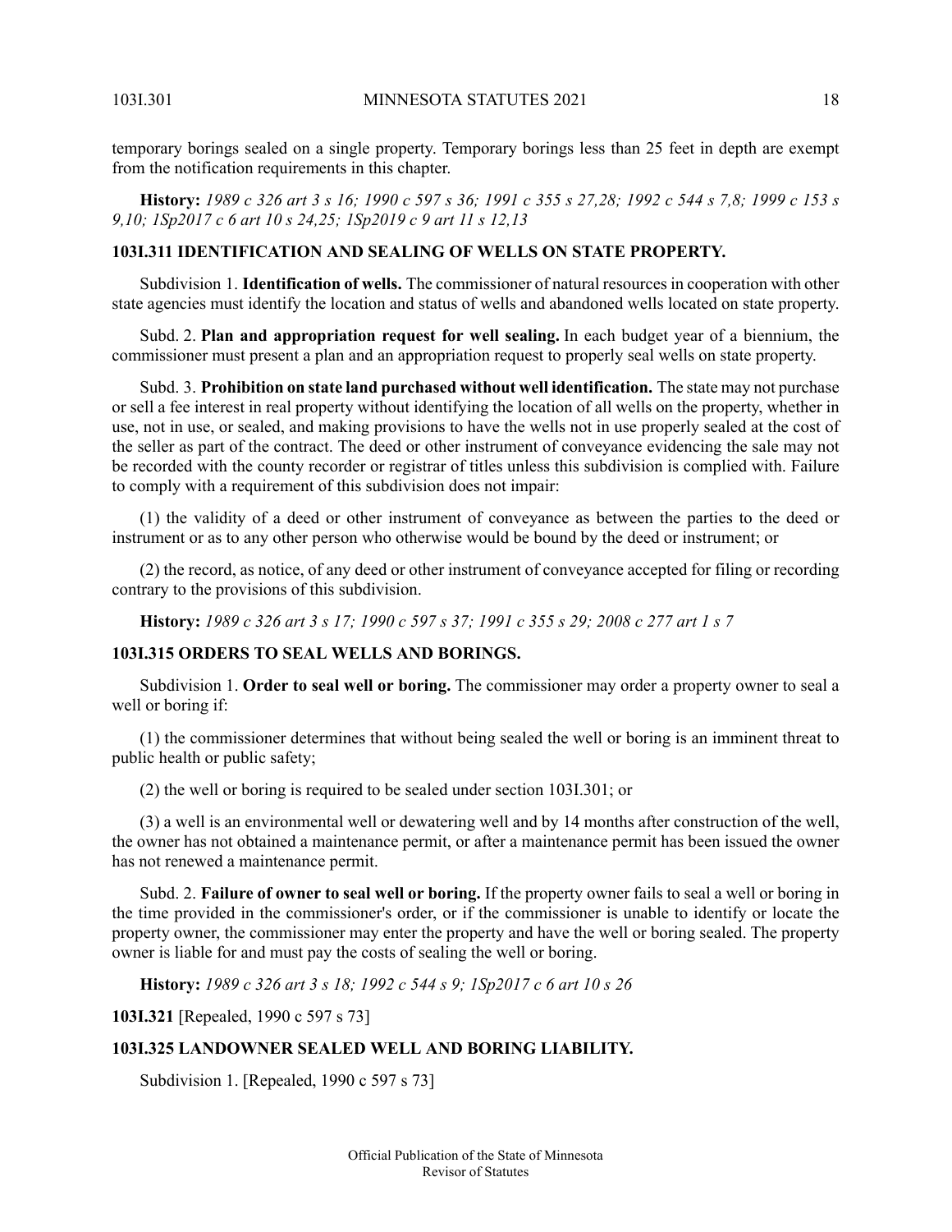temporary borings sealed on a single property. Temporary borings less than 25 feet in depth are exempt from the notification requirements in this chapter.

<span id="page-17-0"></span>History: 1989 c 326 art 3 s 16; 1990 c 597 s 36; 1991 c 355 s 27,28; 1992 c 544 s 7,8; 1999 c 153 s *9,10; 1Sp2017 c 6 art 10 s 24,25; 1Sp2019 c 9 art 11 s 12,13*

# **103I.311 IDENTIFICATION AND SEALING OF WELLS ON STATE PROPERTY.**

Subdivision 1. **Identification of wells.** The commissioner of natural resources in cooperation with other state agencies must identify the location and status of wells and abandoned wells located on state property.

Subd. 2. **Plan and appropriation request for well sealing.** In each budget year of a biennium, the commissioner must present a plan and an appropriation request to properly seal wells on state property.

Subd. 3. **Prohibition on state land purchased without well identification.** The state may not purchase or sell a fee interest in real property without identifying the location of all wells on the property, whether in use, not in use, or sealed, and making provisions to have the wells not in use properly sealed at the cost of the seller as part of the contract. The deed or other instrument of conveyance evidencing the sale may not be recorded with the county recorder or registrar of titles unless this subdivision is complied with. Failure to comply with a requirement of this subdivision does not impair:

(1) the validity of a deed or other instrument of conveyance as between the parties to the deed or instrument or as to any other person who otherwise would be bound by the deed or instrument; or

<span id="page-17-1"></span>(2) the record, as notice, of any deed or other instrument of conveyance accepted for filing or recording contrary to the provisions of this subdivision.

History: 1989 c 326 art 3 s 17; 1990 c 597 s 37; 1991 c 355 s 29; 2008 c 277 art 1 s 7

### **103I.315 ORDERS TO SEAL WELLS AND BORINGS.**

Subdivision 1. **Order to seal well or boring.** The commissioner may order a property owner to seal a well or boring if:

(1) the commissioner determines that without being sealed the well or boring is an imminent threat to public health or public safety;

(2) the well or boring is required to be sealed under section 103I.301; or

(3) a well is an environmental well or dewatering well and by 14 months after construction of the well, the owner has not obtained a maintenance permit, or after a maintenance permit has been issued the owner has not renewed a maintenance permit.

<span id="page-17-2"></span>Subd. 2. **Failure of owner to seal well or boring.** If the property owner fails to seal a well or boring in the time provided in the commissioner's order, or if the commissioner is unable to identify or locate the property owner, the commissioner may enter the property and have the well or boring sealed. The property owner is liable for and must pay the costs of sealing the well or boring.

**History:** *1989 c 326 art 3 s 18; 1992 c 544 s 9; 1Sp2017 c 6 art 10 s 26*

**103I.321** [Repealed, 1990 c 597 s 73]

### **103I.325 LANDOWNER SEALED WELL AND BORING LIABILITY.**

Subdivision 1. [Repealed, 1990 c 597 s 73]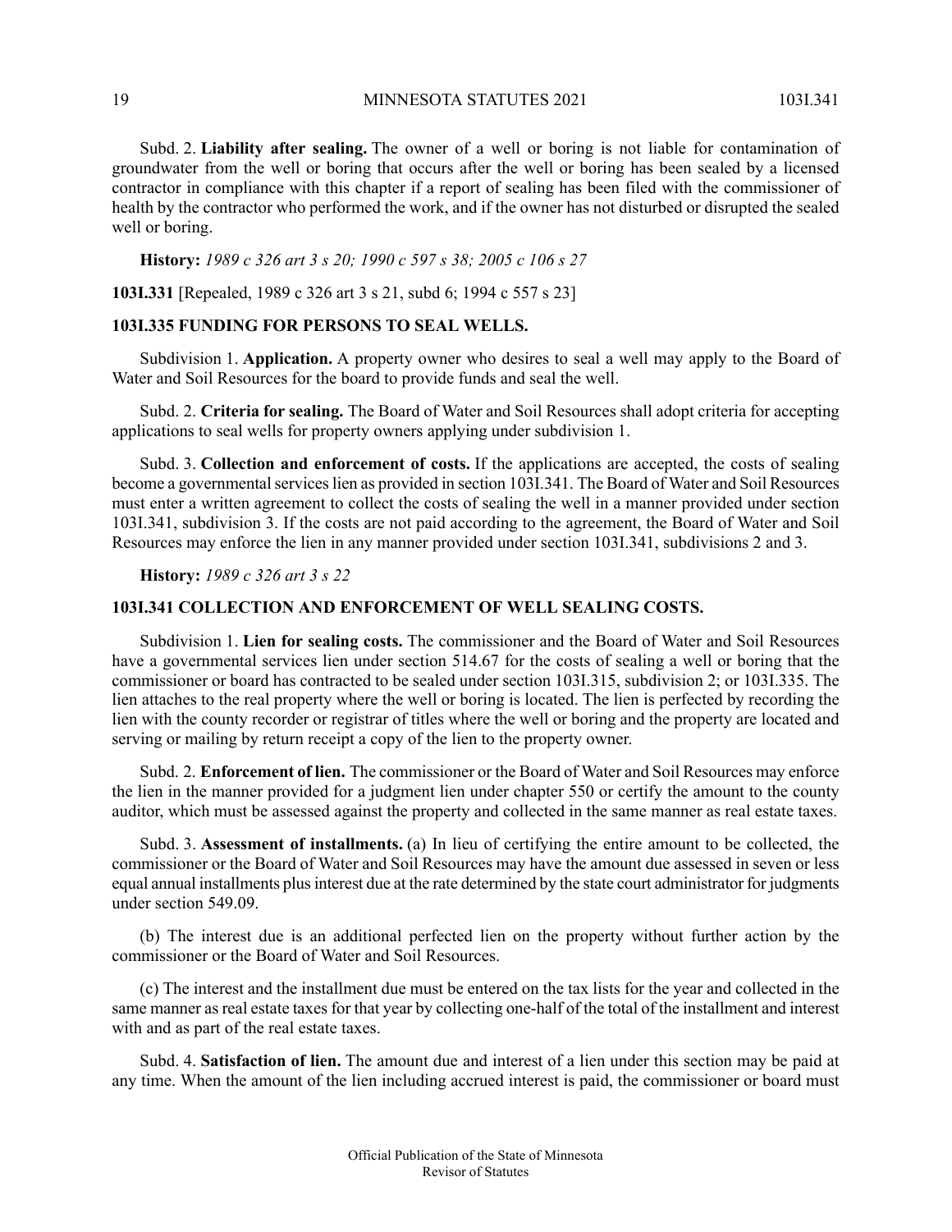Subd. 2. **Liability after sealing.** The owner of a well or boring is not liable for contamination of groundwater from the well or boring that occurs after the well or boring has been sealed by a licensed contractor in compliance with this chapter if a report of sealing has been filed with the commissioner of health by the contractor who performed the work, and if the owner has not disturbed or disrupted the sealed well or boring.

**History:** *1989 c 326 art 3 s 20; 1990 c 597 s 38; 2005 c 106 s 27*

<span id="page-18-0"></span>**103I.331** [Repealed, 1989 c 326 art 3 s 21, subd 6; 1994 c 557 s 23]

# **103I.335 FUNDING FOR PERSONS TO SEAL WELLS.**

Subdivision 1. **Application.** A property owner who desires to seal a well may apply to the Board of Water and Soil Resources for the board to provide funds and seal the well.

Subd. 2. **Criteria for sealing.** The Board of Water and Soil Resources shall adopt criteria for accepting applications to seal wells for property owners applying under subdivision 1.

Subd. 3. **Collection and enforcement of costs.** If the applications are accepted, the costs of sealing become a governmental services lien as provided in section 103I.341. The Board of Water and Soil Resources must enter a written agreement to collect the costs of sealing the well in a manner provided under section 103I.341, subdivision 3. If the costs are not paid according to the agreement, the Board of Water and Soil Resources may enforce the lien in any manner provided under section 103I.341, subdivisions 2 and 3.

<span id="page-18-1"></span>**History:** *1989 c 326 art 3 s 22*

### **103I.341 COLLECTION AND ENFORCEMENT OF WELL SEALING COSTS.**

Subdivision 1. **Lien for sealing costs.** The commissioner and the Board of Water and Soil Resources have a governmental services lien under section 514.67 for the costs of sealing a well or boring that the commissioner or board has contracted to be sealed under section 103I.315, subdivision 2; or 103I.335. The lien attaches to the real property where the well or boring is located. The lien is perfected by recording the lien with the county recorder or registrar of titles where the well or boring and the property are located and serving or mailing by return receipt a copy of the lien to the property owner.

Subd. 2. **Enforcement of lien.** The commissioner or the Board of Water and Soil Resources may enforce the lien in the manner provided for a judgment lien under chapter 550 or certify the amount to the county auditor, which must be assessed against the property and collected in the same manner as real estate taxes.

Subd. 3. **Assessment of installments.** (a) In lieu of certifying the entire amount to be collected, the commissioner or the Board of Water and Soil Resources may have the amount due assessed in seven or less equal annual installments plusinterest due at the rate determined by the state court administrator for judgments under section 549.09.

(b) The interest due is an additional perfected lien on the property without further action by the commissioner or the Board of Water and Soil Resources.

(c) The interest and the installment due must be entered on the tax lists for the year and collected in the same manner as real estate taxes for that year by collecting one-half of the total of the installment and interest with and as part of the real estate taxes.

Subd. 4. **Satisfaction of lien.** The amount due and interest of a lien under this section may be paid at any time. When the amount of the lien including accrued interest is paid, the commissioner or board must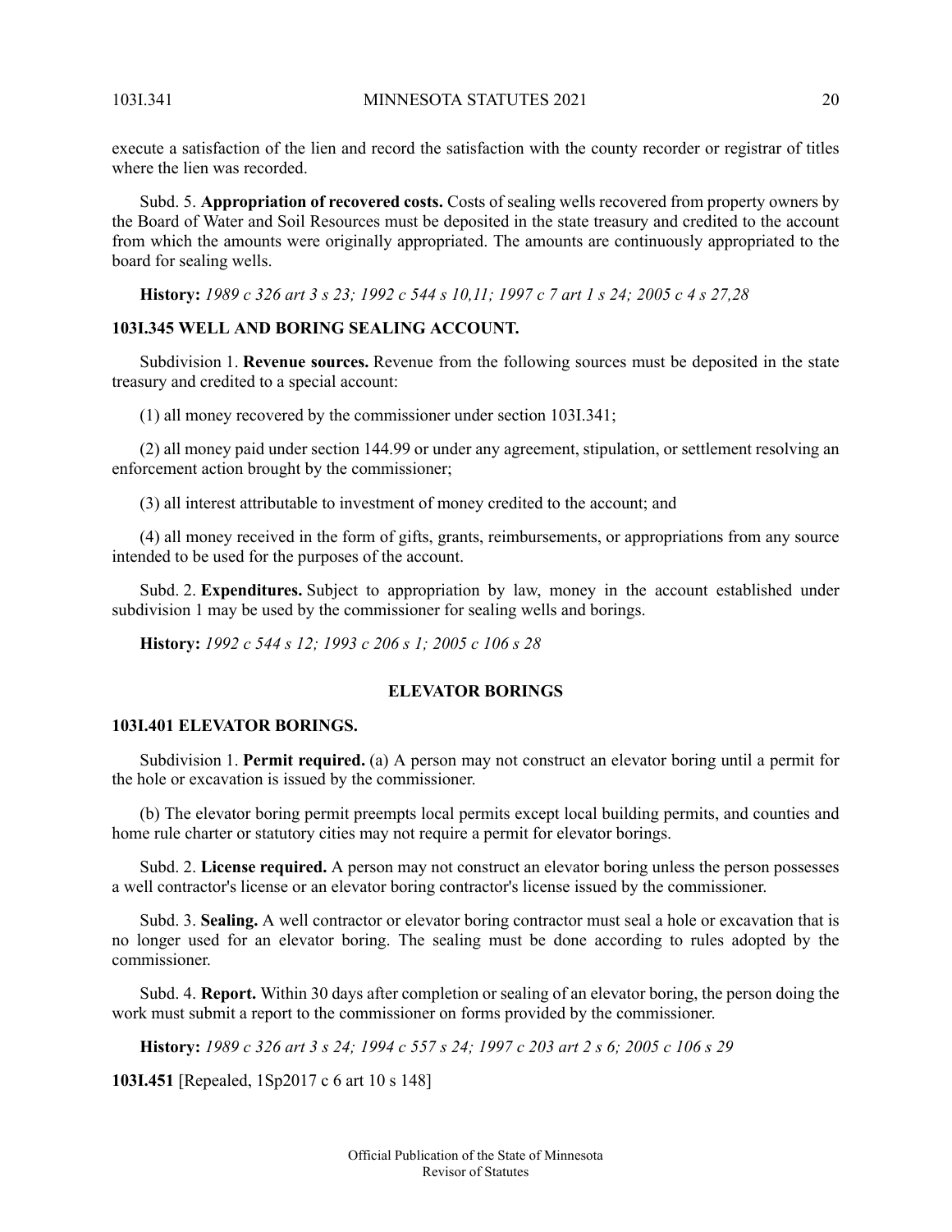execute a satisfaction of the lien and record the satisfaction with the county recorder or registrar of titles where the lien was recorded.

Subd. 5. **Appropriation of recovered costs.** Costs of sealing wells recovered from property owners by the Board of Water and Soil Resources must be deposited in the state treasury and credited to the account from which the amounts were originally appropriated. The amounts are continuously appropriated to the board for sealing wells.

<span id="page-19-0"></span>History: 1989 c 326 art 3 s 23; 1992 c 544 s 10.11; 1997 c 7 art 1 s 24; 2005 c 4 s 27.28

# **103I.345 WELL AND BORING SEALING ACCOUNT.**

Subdivision 1. **Revenue sources.** Revenue from the following sources must be deposited in the state treasury and credited to a special account:

(1) all money recovered by the commissioner under section 103I.341;

(2) all money paid under section 144.99 or under any agreement, stipulation, or settlement resolving an enforcement action brought by the commissioner;

(3) all interest attributable to investment of money credited to the account; and

(4) all money received in the form of gifts, grants, reimbursements, or appropriations from any source intended to be used for the purposes of the account.

<span id="page-19-2"></span><span id="page-19-1"></span>Subd. 2. **Expenditures.** Subject to appropriation by law, money in the account established under subdivision 1 may be used by the commissioner for sealing wells and borings.

**History:** *1992 c 544 s 12; 1993 c 206 s 1; 2005 c 106 s 28*

### **ELEVATOR BORINGS**

# **103I.401 ELEVATOR BORINGS.**

Subdivision 1. **Permit required.** (a) A person may not construct an elevator boring until a permit for the hole or excavation is issued by the commissioner.

(b) The elevator boring permit preempts local permits except local building permits, and counties and home rule charter or statutory cities may not require a permit for elevator borings.

Subd. 2. **License required.** A person may not construct an elevator boring unless the person possesses a well contractor's license or an elevator boring contractor's license issued by the commissioner.

Subd. 3. **Sealing.** A well contractor or elevator boring contractor must seal a hole or excavation that is no longer used for an elevator boring. The sealing must be done according to rules adopted by the commissioner.

Subd. 4. **Report.** Within 30 days after completion or sealing of an elevator boring, the person doing the work must submit a report to the commissioner on forms provided by the commissioner.

History: 1989 c 326 art 3 s 24; 1994 c 557 s 24; 1997 c 203 art 2 s 6; 2005 c 106 s 29

**103I.451** [Repealed, 1Sp2017 c 6 art 10 s 148]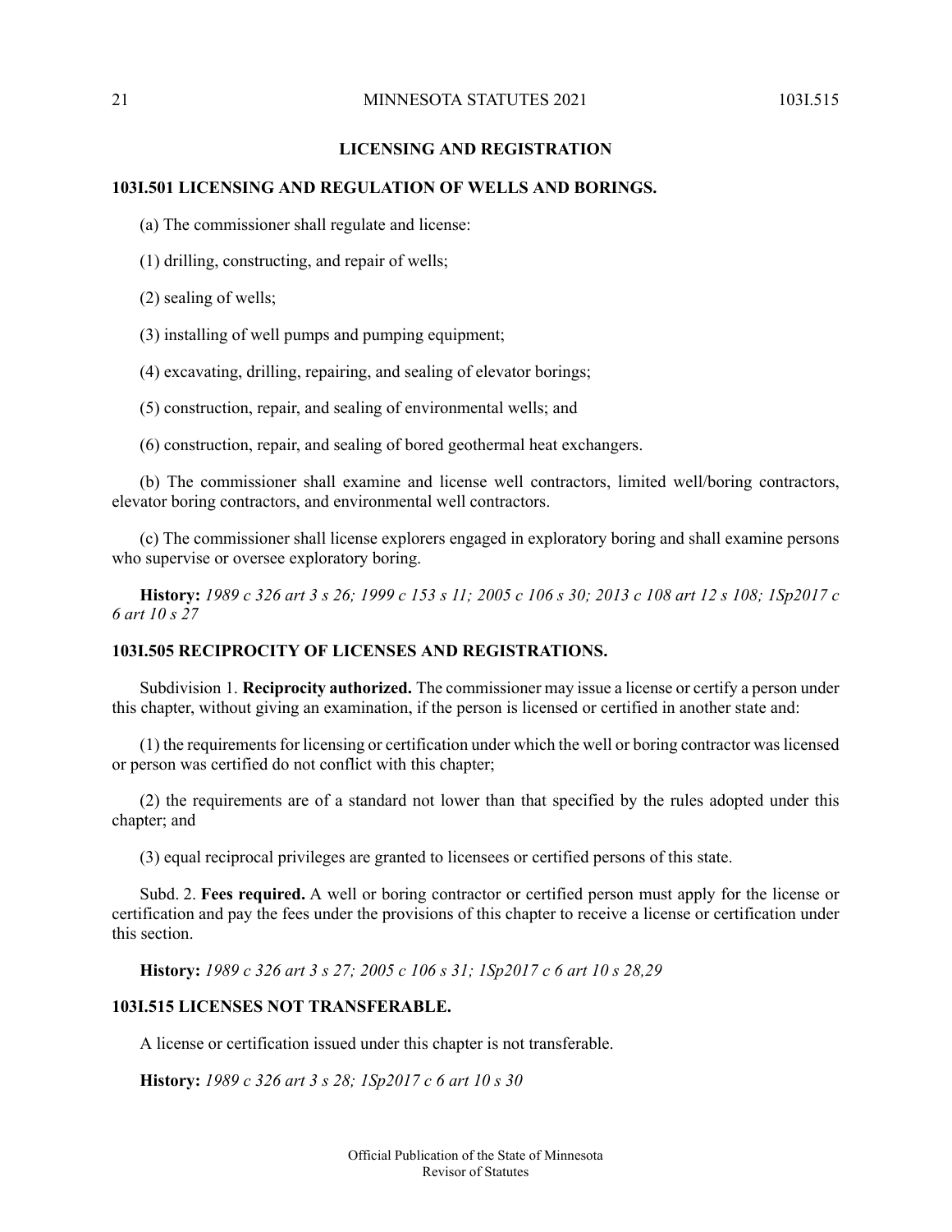# **LICENSING AND REGISTRATION**

# <span id="page-20-1"></span><span id="page-20-0"></span>**103I.501 LICENSING AND REGULATION OF WELLS AND BORINGS.**

(a) The commissioner shall regulate and license:

(1) drilling, constructing, and repair of wells;

(2) sealing of wells;

(3) installing of well pumps and pumping equipment;

(4) excavating, drilling, repairing, and sealing of elevator borings;

(5) construction, repair, and sealing of environmental wells; and

(6) construction, repair, and sealing of bored geothermal heat exchangers.

(b) The commissioner shall examine and license well contractors, limited well/boring contractors, elevator boring contractors, and environmental well contractors.

<span id="page-20-2"></span>(c) The commissioner shall license explorers engaged in exploratory boring and shall examine persons who supervise or oversee exploratory boring.

History: 1989 c 326 art 3 s 26; 1999 c 153 s 11; 2005 c 106 s 30; 2013 c 108 art 12 s 108; 1Sp2017 c *6 art 10 s 27*

# **103I.505 RECIPROCITY OF LICENSES AND REGISTRATIONS.**

Subdivision 1. **Reciprocity authorized.** The commissioner may issue a license or certify a person under this chapter, without giving an examination, if the person is licensed or certified in another state and:

(1) the requirements for licensing or certification under which the well or boring contractor was licensed or person was certified do not conflict with this chapter;

<span id="page-20-3"></span>(2) the requirements are of a standard not lower than that specified by the rules adopted under this chapter; and

(3) equal reciprocal privileges are granted to licensees or certified persons of this state.

<span id="page-20-4"></span>Subd. 2. **Fees required.** A well or boring contractor or certified person must apply for the license or certification and pay the fees under the provisions of this chapter to receive a license or certification under this section.

**History:** *1989 c 326 art 3 s 27; 2005 c 106 s 31; 1Sp2017 c 6 art 10 s 28,29*

### **103I.515 LICENSES NOT TRANSFERABLE.**

A license or certification issued under this chapter is not transferable.

**History:** *1989 c 326 art 3 s 28; 1Sp2017 c 6 art 10 s 30*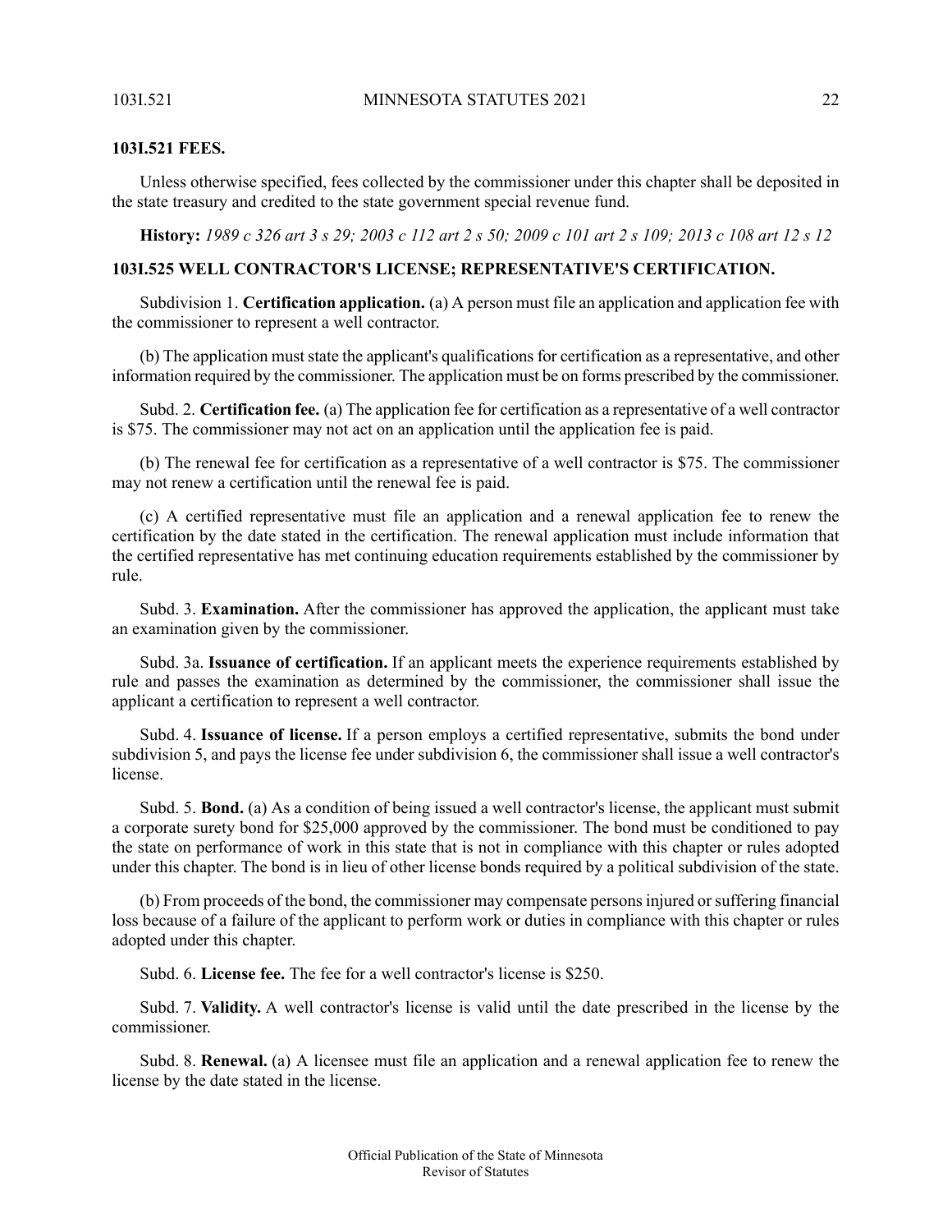### **103I.521 FEES.**

Unless otherwise specified, fees collected by the commissioner under this chapter shall be deposited in the state treasury and credited to the state government special revenue fund.

<span id="page-21-0"></span>History: 1989 c 326 art 3 s 29; 2003 c 112 art 2 s 50; 2009 c 101 art 2 s 109; 2013 c 108 art 12 s 12

# **103I.525 WELL CONTRACTOR'S LICENSE; REPRESENTATIVE'S CERTIFICATION.**

Subdivision 1. **Certification application.** (a) A person must file an application and application fee with the commissioner to represent a well contractor.

(b) The application must state the applicant's qualifications for certification as a representative, and other information required by the commissioner. The application must be on forms prescribed by the commissioner.

Subd. 2. **Certification fee.** (a) The application fee for certification as a representative of a well contractor is \$75. The commissioner may not act on an application until the application fee is paid.

(b) The renewal fee for certification as a representative of a well contractor is \$75. The commissioner may not renew a certification until the renewal fee is paid.

(c) A certified representative must file an application and a renewal application fee to renew the certification by the date stated in the certification. The renewal application must include information that the certified representative has met continuing education requirements established by the commissioner by rule.

Subd. 3. **Examination.** After the commissioner has approved the application, the applicant must take an examination given by the commissioner.

Subd. 3a. **Issuance of certification.** If an applicant meets the experience requirements established by rule and passes the examination as determined by the commissioner, the commissioner shall issue the applicant a certification to represent a well contractor.

Subd. 4. **Issuance of license.** If a person employs a certified representative, submits the bond under subdivision 5, and pays the license fee under subdivision 6, the commissioner shall issue a well contractor's license.

Subd. 5. **Bond.** (a) As a condition of being issued a well contractor's license, the applicant must submit a corporate surety bond for \$25,000 approved by the commissioner. The bond must be conditioned to pay the state on performance of work in this state that is not in compliance with this chapter or rules adopted under this chapter. The bond is in lieu of other license bonds required by a political subdivision of the state.

(b) From proceeds of the bond, the commissioner may compensate personsinjured orsuffering financial loss because of a failure of the applicant to perform work or duties in compliance with this chapter or rules adopted under this chapter.

Subd. 6. **License fee.** The fee for a well contractor's license is \$250.

Subd. 7. **Validity.** A well contractor's license is valid until the date prescribed in the license by the commissioner.

Subd. 8. **Renewal.** (a) A licensee must file an application and a renewal application fee to renew the license by the date stated in the license.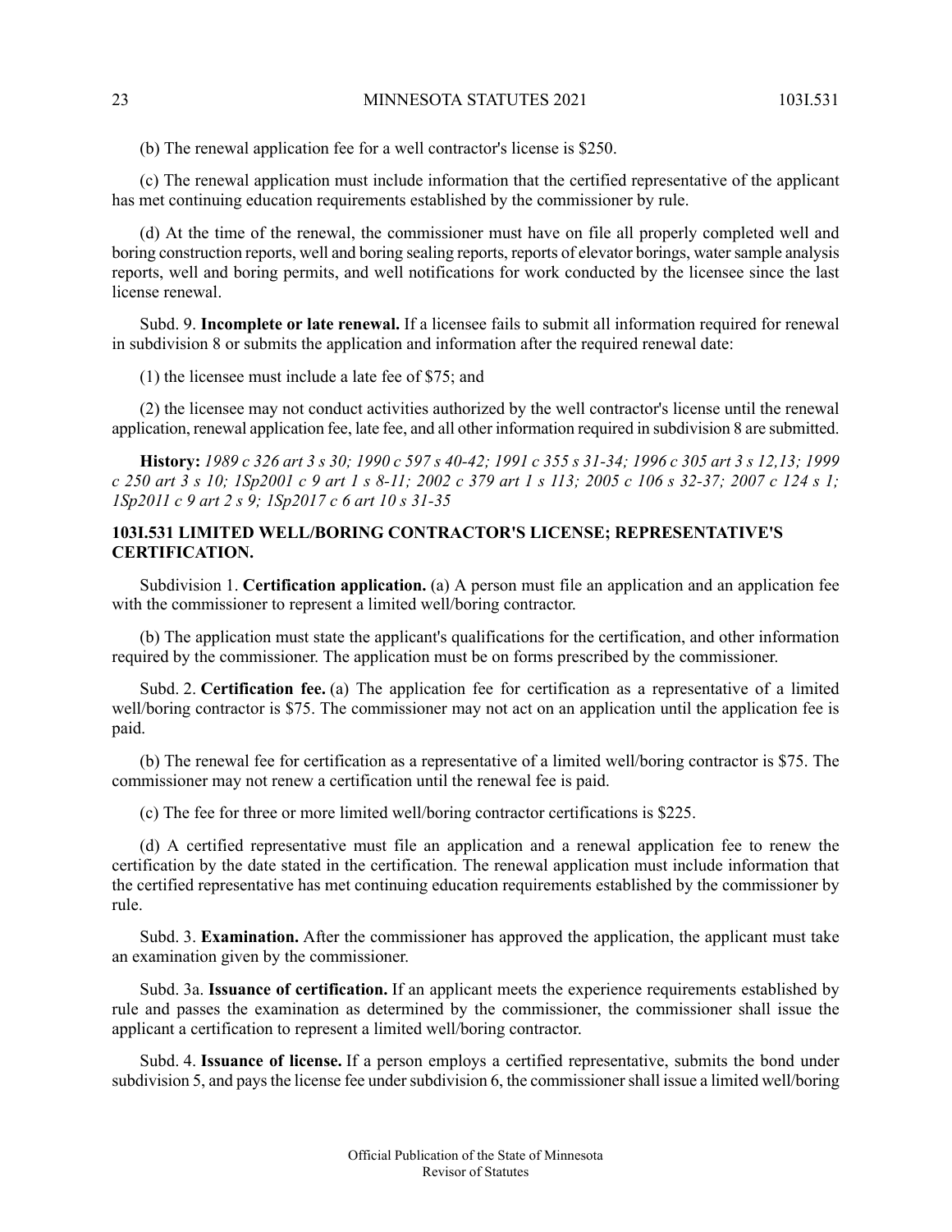(b) The renewal application fee for a well contractor's license is \$250.

(c) The renewal application must include information that the certified representative of the applicant has met continuing education requirements established by the commissioner by rule.

(d) At the time of the renewal, the commissioner must have on file all properly completed well and boring construction reports, well and boring sealing reports, reports of elevator borings, water sample analysis reports, well and boring permits, and well notifications for work conducted by the licensee since the last license renewal.

Subd. 9. **Incomplete or late renewal.** If a licensee fails to submit all information required for renewal in subdivision 8 or submits the application and information after the required renewal date:

(1) the licensee must include a late fee of \$75; and

(2) the licensee may not conduct activities authorized by the well contractor's license until the renewal application, renewal application fee, late fee, and all other information required in subdivision 8 are submitted.

<span id="page-22-0"></span>History: 1989 c 326 art 3 s 30; 1990 c 597 s 40-42; 1991 c 355 s 31-34; 1996 c 305 art 3 s 12,13; 1999 c 250 art 3 s 10; 1Sp2001 c 9 art 1 s 8-11; 2002 c 379 art 1 s 113; 2005 c 106 s 32-37; 2007 c 124 s 1; *1Sp2011 c 9 art 2 s 9; 1Sp2017 c 6 art 10 s 31-35*

# **103I.531 LIMITED WELL/BORING CONTRACTOR'S LICENSE; REPRESENTATIVE'S CERTIFICATION.**

Subdivision 1. **Certification application.** (a) A person must file an application and an application fee with the commissioner to represent a limited well/boring contractor.

(b) The application must state the applicant's qualifications for the certification, and other information required by the commissioner. The application must be on forms prescribed by the commissioner.

Subd. 2. **Certification fee.** (a) The application fee for certification as a representative of a limited well/boring contractor is \$75. The commissioner may not act on an application until the application fee is paid.

(b) The renewal fee for certification as a representative of a limited well/boring contractor is \$75. The commissioner may not renew a certification until the renewal fee is paid.

(c) The fee for three or more limited well/boring contractor certifications is \$225.

(d) A certified representative must file an application and a renewal application fee to renew the certification by the date stated in the certification. The renewal application must include information that the certified representative has met continuing education requirements established by the commissioner by rule.

Subd. 3. **Examination.** After the commissioner has approved the application, the applicant must take an examination given by the commissioner.

Subd. 3a. **Issuance of certification.** If an applicant meets the experience requirements established by rule and passes the examination as determined by the commissioner, the commissioner shall issue the applicant a certification to represent a limited well/boring contractor.

Subd. 4. **Issuance of license.** If a person employs a certified representative, submits the bond under subdivision 5, and pays the license fee under subdivision 6, the commissioner shall issue a limited well/boring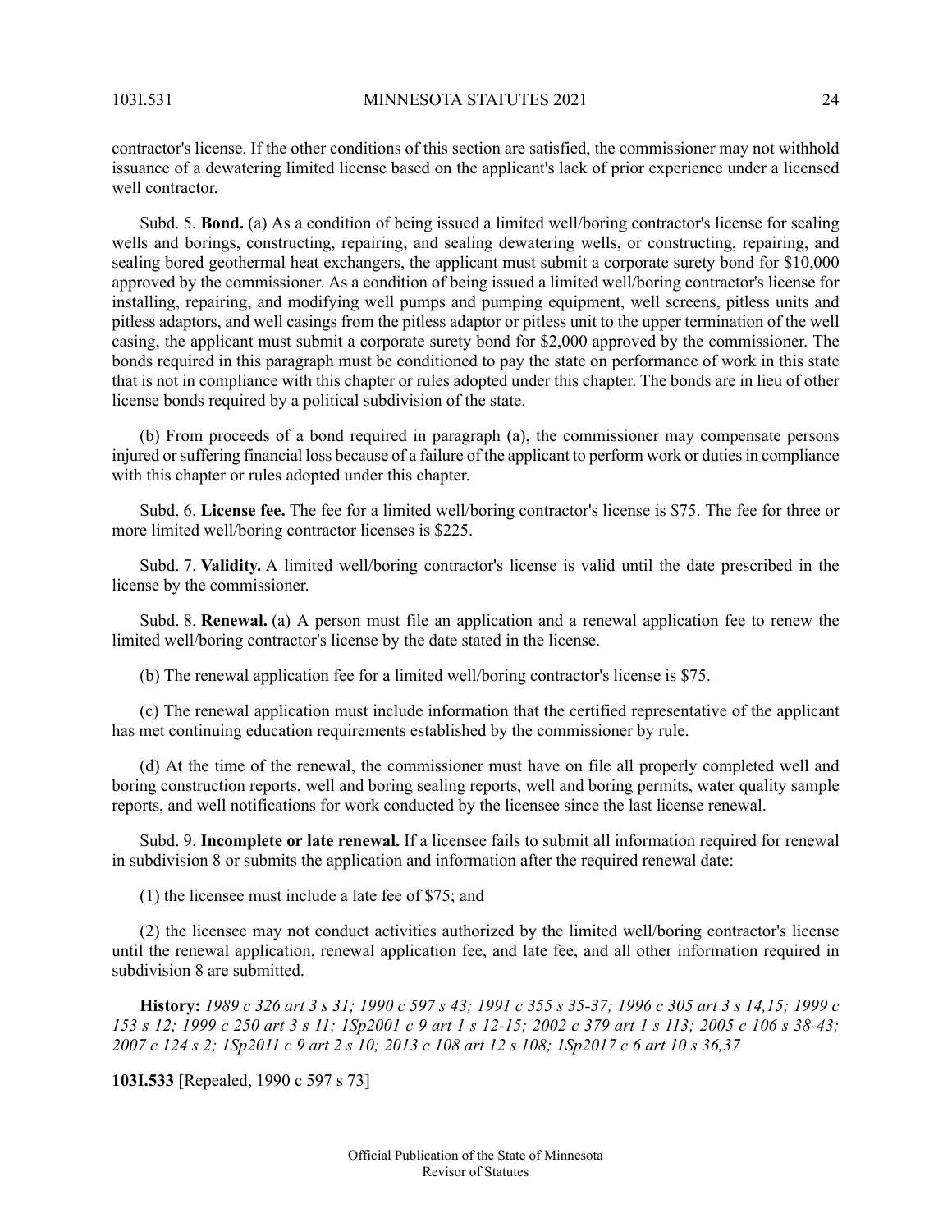contractor's license. If the other conditions of this section are satisfied, the commissioner may not withhold issuance of a dewatering limited license based on the applicant's lack of prior experience under a licensed well contractor.

Subd. 5. **Bond.** (a) As a condition of being issued a limited well/boring contractor's license for sealing wells and borings, constructing, repairing, and sealing dewatering wells, or constructing, repairing, and sealing bored geothermal heat exchangers, the applicant must submit a corporate surety bond for \$10,000 approved by the commissioner. As a condition of being issued a limited well/boring contractor's license for installing, repairing, and modifying well pumps and pumping equipment, well screens, pitless units and pitless adaptors, and well casings from the pitless adaptor or pitless unit to the upper termination of the well casing, the applicant must submit a corporate surety bond for \$2,000 approved by the commissioner. The bonds required in this paragraph must be conditioned to pay the state on performance of work in this state that is not in compliance with this chapter or rules adopted under this chapter. The bonds are in lieu of other license bonds required by a political subdivision of the state.

(b) From proceeds of a bond required in paragraph (a), the commissioner may compensate persons injured orsuffering financial loss because of a failure of the applicant to perform work or dutiesin compliance with this chapter or rules adopted under this chapter.

Subd. 6. **License fee.** The fee for a limited well/boring contractor's license is \$75. The fee for three or more limited well/boring contractor licenses is \$225.

Subd. 7. **Validity.** A limited well/boring contractor's license is valid until the date prescribed in the license by the commissioner.

Subd. 8. **Renewal.** (a) A person must file an application and a renewal application fee to renew the limited well/boring contractor's license by the date stated in the license.

(b) The renewal application fee for a limited well/boring contractor's license is \$75.

(c) The renewal application must include information that the certified representative of the applicant has met continuing education requirements established by the commissioner by rule.

(d) At the time of the renewal, the commissioner must have on file all properly completed well and boring construction reports, well and boring sealing reports, well and boring permits, water quality sample reports, and well notifications for work conducted by the licensee since the last license renewal.

Subd. 9. **Incomplete or late renewal.** If a licensee fails to submit all information required for renewal in subdivision 8 or submits the application and information after the required renewal date:

(1) the licensee must include a late fee of \$75; and

<span id="page-23-0"></span>(2) the licensee may not conduct activities authorized by the limited well/boring contractor's license until the renewal application, renewal application fee, and late fee, and all other information required in subdivision 8 are submitted.

History: 1989 c 326 art 3 s 31; 1990 c 597 s 43; 1991 c 355 s 35-37; 1996 c 305 art 3 s 14,15; 1999 c 153 s 12; 1999 c 250 art 3 s 11; 1Sp2001 c 9 art 1 s 12-15; 2002 c 379 art 1 s 113; 2005 c 106 s 38-43; 2007 c 124 s 2; 1Sp2011 c 9 art 2 s 10; 2013 c 108 art 12 s 108; 1Sp2017 c 6 art 10 s 36,37

**103I.533** [Repealed, 1990 c 597 s 73]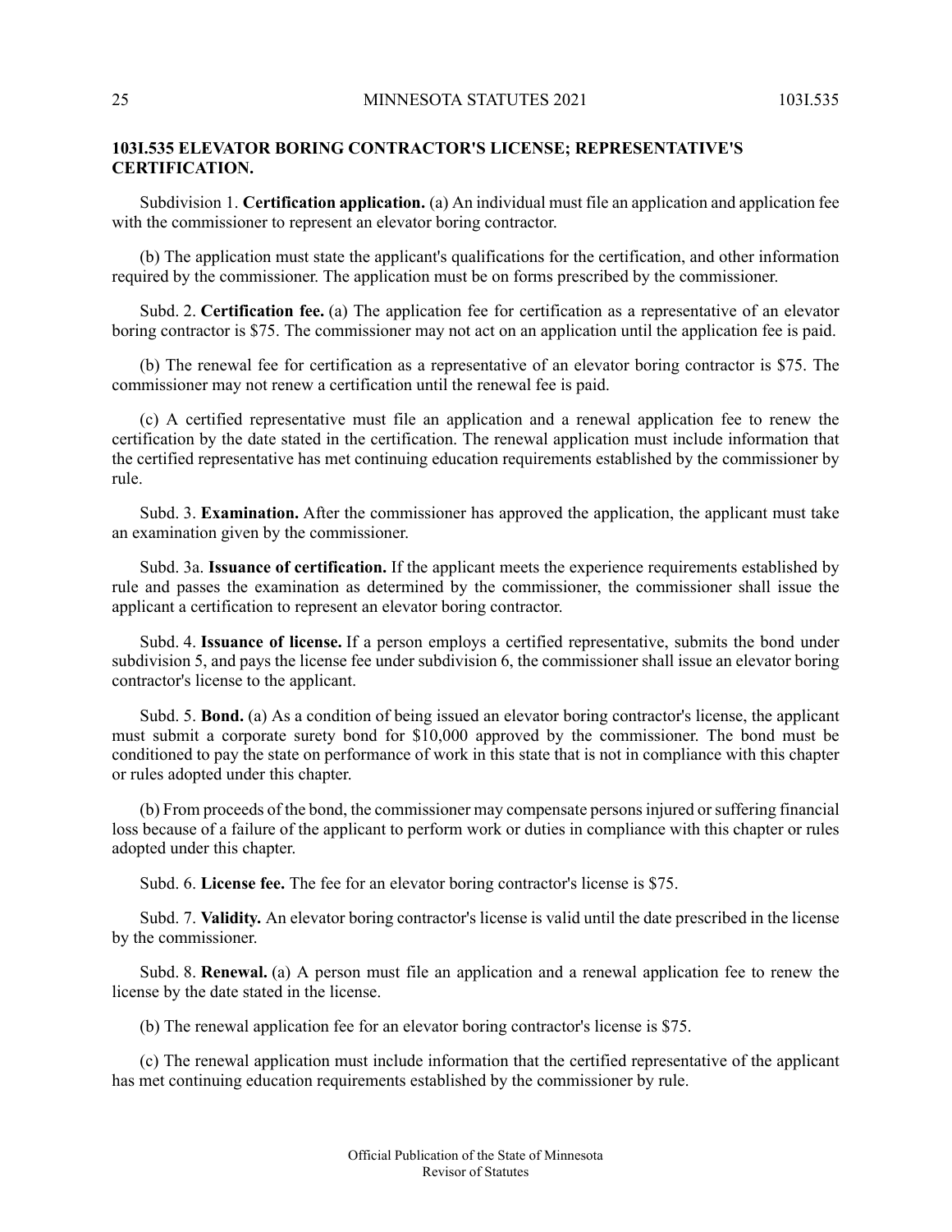# **103I.535 ELEVATOR BORING CONTRACTOR'S LICENSE; REPRESENTATIVE'S CERTIFICATION.**

Subdivision 1. **Certification application.** (a) An individual must file an application and application fee with the commissioner to represent an elevator boring contractor.

(b) The application must state the applicant's qualifications for the certification, and other information required by the commissioner. The application must be on forms prescribed by the commissioner.

Subd. 2. **Certification fee.** (a) The application fee for certification as a representative of an elevator boring contractor is \$75. The commissioner may not act on an application until the application fee is paid.

(b) The renewal fee for certification as a representative of an elevator boring contractor is \$75. The commissioner may not renew a certification until the renewal fee is paid.

(c) A certified representative must file an application and a renewal application fee to renew the certification by the date stated in the certification. The renewal application must include information that the certified representative has met continuing education requirements established by the commissioner by rule.

Subd. 3. **Examination.** After the commissioner has approved the application, the applicant must take an examination given by the commissioner.

Subd. 3a. **Issuance of certification.** If the applicant meets the experience requirements established by rule and passes the examination as determined by the commissioner, the commissioner shall issue the applicant a certification to represent an elevator boring contractor.

Subd. 4. **Issuance of license.** If a person employs a certified representative, submits the bond under subdivision 5, and pays the license fee under subdivision 6, the commissioner shall issue an elevator boring contractor's license to the applicant.

Subd. 5. **Bond.** (a) As a condition of being issued an elevator boring contractor's license, the applicant must submit a corporate surety bond for \$10,000 approved by the commissioner. The bond must be conditioned to pay the state on performance of work in this state that is not in compliance with this chapter or rules adopted under this chapter.

(b) From proceeds of the bond, the commissioner may compensate personsinjured orsuffering financial loss because of a failure of the applicant to perform work or duties in compliance with this chapter or rules adopted under this chapter.

Subd. 6. **License fee.** The fee for an elevator boring contractor's license is \$75.

Subd. 7. **Validity.** An elevator boring contractor's license is valid until the date prescribed in the license by the commissioner.

Subd. 8. **Renewal.** (a) A person must file an application and a renewal application fee to renew the license by the date stated in the license.

(b) The renewal application fee for an elevator boring contractor's license is \$75.

(c) The renewal application must include information that the certified representative of the applicant has met continuing education requirements established by the commissioner by rule.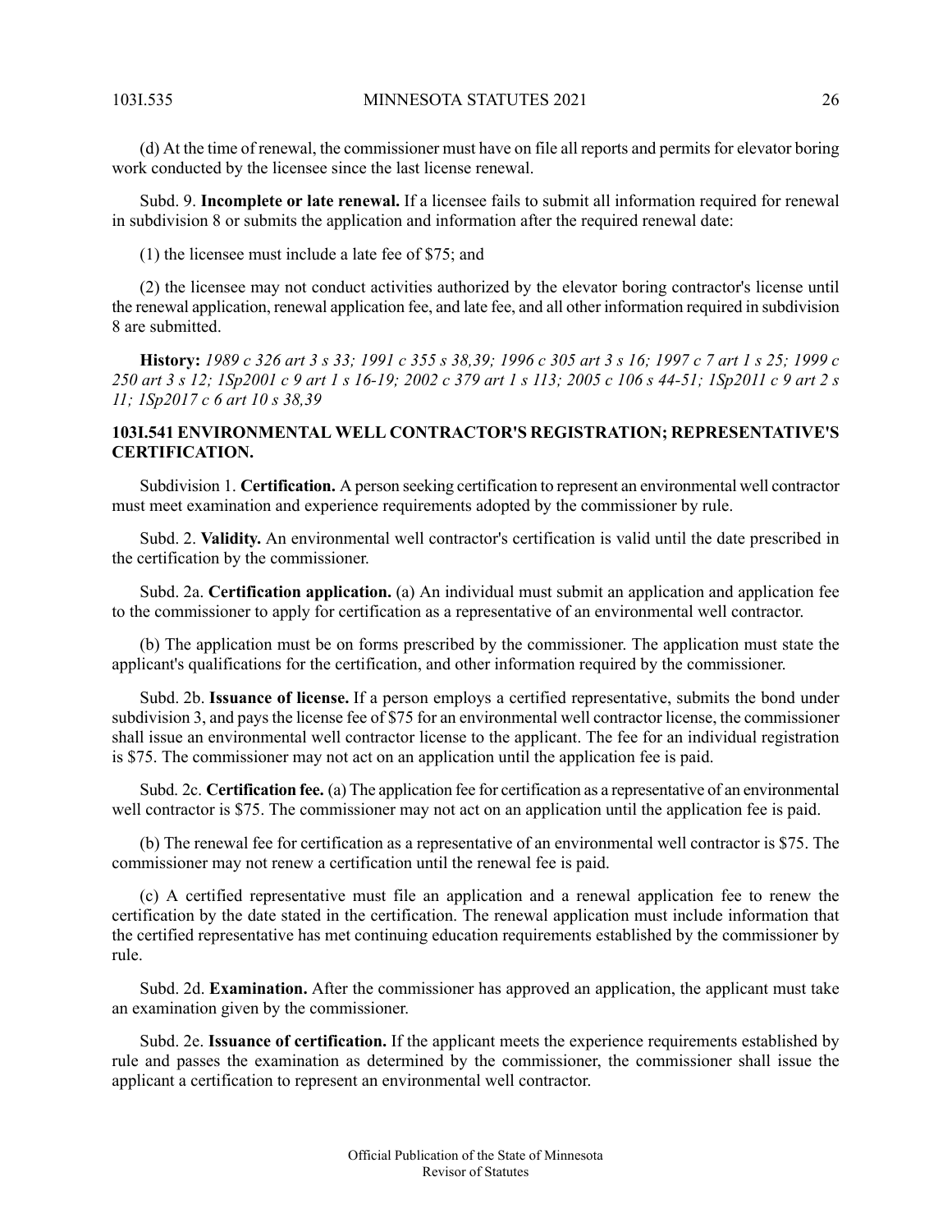(d) At the time of renewal, the commissioner must have on file all reports and permits for elevator boring work conducted by the licensee since the last license renewal.

Subd. 9. **Incomplete or late renewal.** If a licensee fails to submit all information required for renewal in subdivision 8 or submits the application and information after the required renewal date:

(1) the licensee must include a late fee of \$75; and

(2) the licensee may not conduct activities authorized by the elevator boring contractor's license until the renewal application, renewal application fee, and late fee, and all other information required in subdivision 8 are submitted.

<span id="page-25-0"></span>History: 1989 c 326 art 3 s 33; 1991 c 355 s 38,39; 1996 c 305 art 3 s 16; 1997 c 7 art 1 s 25; 1999 c 250 art 3 s 12; ISp2001 c 9 art 1 s 16-19; 2002 c 379 art 1 s 113; 2005 c 106 s 44-51; ISp2011 c 9 art 2 s *11; 1Sp2017 c 6 art 10 s 38,39*

# **103I.541 ENVIRONMENTAL WELL CONTRACTOR'S REGISTRATION; REPRESENTATIVE'S CERTIFICATION.**

Subdivision 1. **Certification.** A person seeking certification to represent an environmental well contractor must meet examination and experience requirements adopted by the commissioner by rule.

Subd. 2. **Validity.** An environmental well contractor's certification is valid until the date prescribed in the certification by the commissioner.

Subd. 2a. **Certification application.** (a) An individual must submit an application and application fee to the commissioner to apply for certification as a representative of an environmental well contractor.

(b) The application must be on forms prescribed by the commissioner. The application must state the applicant's qualifications for the certification, and other information required by the commissioner.

Subd. 2b. **Issuance of license.** If a person employs a certified representative, submits the bond under subdivision 3, and pays the license fee of \$75 for an environmental well contractor license, the commissioner shall issue an environmental well contractor license to the applicant. The fee for an individual registration is \$75. The commissioner may not act on an application until the application fee is paid.

Subd. 2c. **Certification fee.** (a) The application fee for certification as a representative of an environmental well contractor is \$75. The commissioner may not act on an application until the application fee is paid.

(b) The renewal fee for certification as a representative of an environmental well contractor is \$75. The commissioner may not renew a certification until the renewal fee is paid.

(c) A certified representative must file an application and a renewal application fee to renew the certification by the date stated in the certification. The renewal application must include information that the certified representative has met continuing education requirements established by the commissioner by rule.

Subd. 2d. **Examination.** After the commissioner has approved an application, the applicant must take an examination given by the commissioner.

Subd. 2e. **Issuance of certification.** If the applicant meets the experience requirements established by rule and passes the examination as determined by the commissioner, the commissioner shall issue the applicant a certification to represent an environmental well contractor.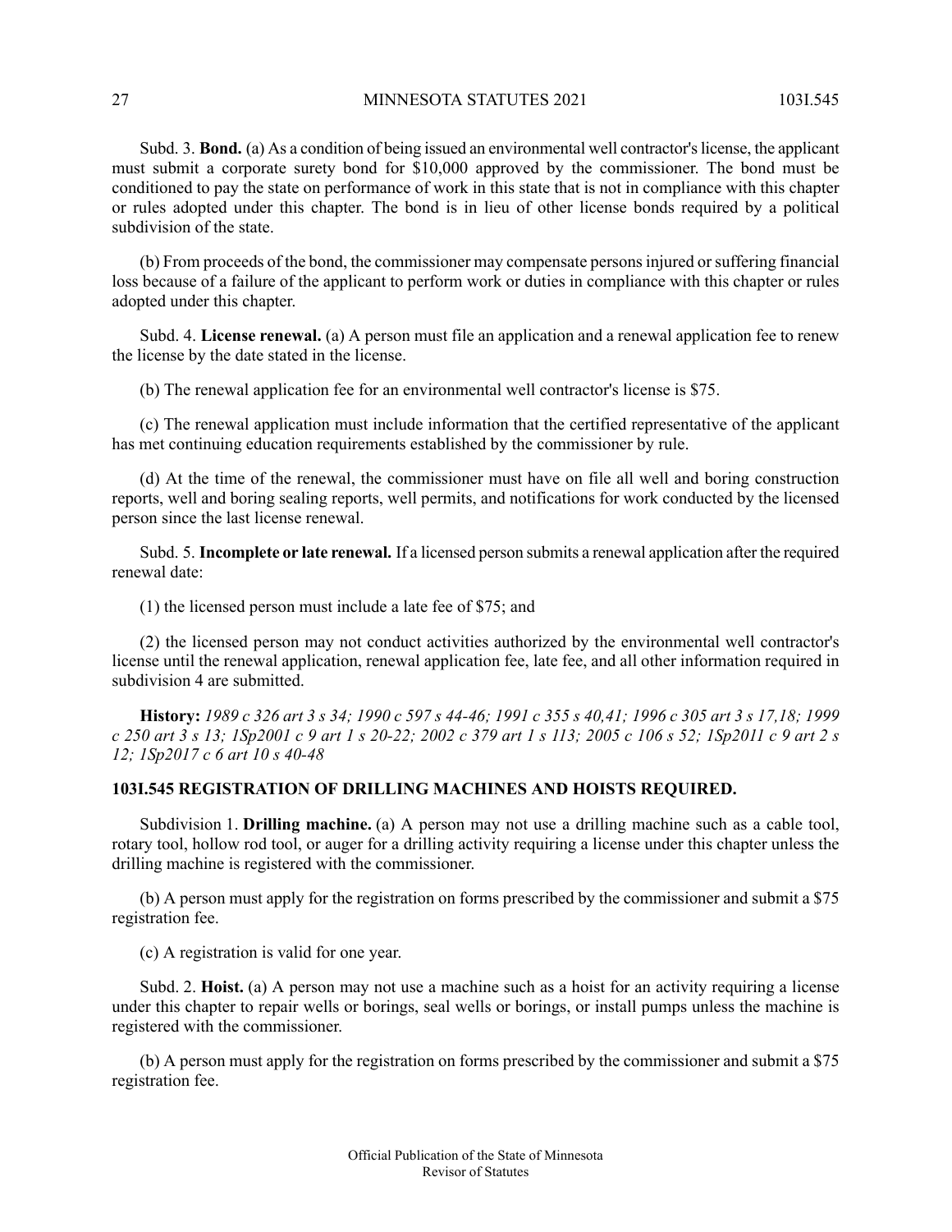Subd. 3. **Bond.** (a) As a condition of being issued an environmental well contractor's license, the applicant must submit a corporate surety bond for \$10,000 approved by the commissioner. The bond must be conditioned to pay the state on performance of work in this state that is not in compliance with this chapter or rules adopted under this chapter. The bond is in lieu of other license bonds required by a political subdivision of the state.

(b) From proceeds of the bond, the commissioner may compensate personsinjured orsuffering financial loss because of a failure of the applicant to perform work or duties in compliance with this chapter or rules adopted under this chapter.

Subd. 4. **License renewal.** (a) A person must file an application and a renewal application fee to renew the license by the date stated in the license.

(b) The renewal application fee for an environmental well contractor's license is \$75.

(c) The renewal application must include information that the certified representative of the applicant has met continuing education requirements established by the commissioner by rule.

(d) At the time of the renewal, the commissioner must have on file all well and boring construction reports, well and boring sealing reports, well permits, and notifications for work conducted by the licensed person since the last license renewal.

Subd. 5. **Incomplete or late renewal.** If a licensed person submits a renewal application after the required renewal date:

(1) the licensed person must include a late fee of \$75; and

<span id="page-26-0"></span>(2) the licensed person may not conduct activities authorized by the environmental well contractor's license until the renewal application, renewal application fee, late fee, and all other information required in subdivision 4 are submitted.

History: 1989 c 326 art 3 s 34; 1990 c 597 s 44-46; 1991 c 355 s 40,41; 1996 c 305 art 3 s 17,18; 1999 c 250 art 3 s 13; 1Sp2001 c 9 art 1 s 20-22; 2002 c 379 art 1 s 113; 2005 c 106 s 52; 1Sp2011 c 9 art 2 s *12; 1Sp2017 c 6 art 10 s 40-48*

### **103I.545 REGISTRATION OF DRILLING MACHINES AND HOISTS REQUIRED.**

Subdivision 1. **Drilling machine.** (a) A person may not use a drilling machine such as a cable tool, rotary tool, hollow rod tool, or auger for a drilling activity requiring a license under this chapter unless the drilling machine is registered with the commissioner.

(b) A person must apply for the registration on forms prescribed by the commissioner and submit a \$75 registration fee.

(c) A registration is valid for one year.

Subd. 2. **Hoist.** (a) A person may not use a machine such as a hoist for an activity requiring a license under this chapter to repair wells or borings, seal wells or borings, or install pumps unless the machine is registered with the commissioner.

(b) A person must apply for the registration on forms prescribed by the commissioner and submit a \$75 registration fee.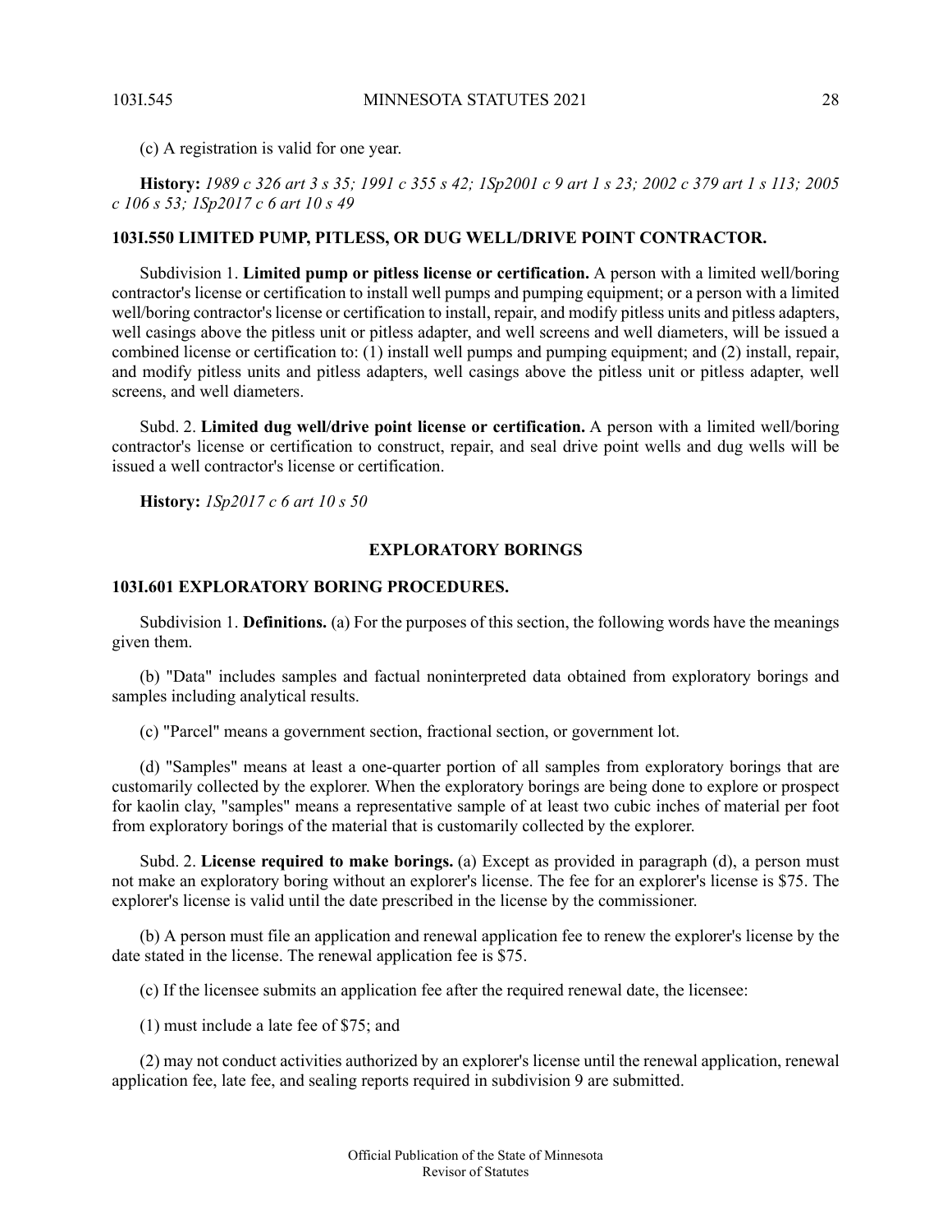(c) A registration is valid for one year.

<span id="page-27-0"></span>History: 1989 c 326 art 3 s 35; 1991 c 355 s 42; 1Sp2001 c 9 art 1 s 23; 2002 c 379 art 1 s 113; 2005 *c 106 s 53; 1Sp2017 c 6 art 10 s 49*

#### **103I.550 LIMITED PUMP, PITLESS, OR DUG WELL/DRIVE POINT CONTRACTOR.**

Subdivision 1. **Limited pump or pitless license or certification.** A person with a limited well/boring contractor's license or certification to install well pumps and pumping equipment; or a person with a limited well/boring contractor's license or certification to install, repair, and modify pitless units and pitless adapters, well casings above the pitless unit or pitless adapter, and well screens and well diameters, will be issued a combined license or certification to: (1) install well pumps and pumping equipment; and (2) install, repair, and modify pitless units and pitless adapters, well casings above the pitless unit or pitless adapter, well screens, and well diameters.

Subd. 2. **Limited dug well/drive point license or certification.** A person with a limited well/boring contractor's license or certification to construct, repair, and seal drive point wells and dug wells will be issued a well contractor's license or certification.

<span id="page-27-2"></span><span id="page-27-1"></span>**History:** *1Sp2017 c 6 art 10 s 50*

# **EXPLORATORY BORINGS**

### **103I.601 EXPLORATORY BORING PROCEDURES.**

Subdivision 1. **Definitions.** (a) For the purposes of this section, the following words have the meanings given them.

(b) "Data" includes samples and factual noninterpreted data obtained from exploratory borings and samples including analytical results.

(c) "Parcel" means a government section, fractional section, or government lot.

(d) "Samples" means at least a one-quarter portion of all samples from exploratory borings that are customarily collected by the explorer. When the exploratory borings are being done to explore or prospect for kaolin clay, "samples" means a representative sample of at least two cubic inches of material per foot from exploratory borings of the material that is customarily collected by the explorer.

Subd. 2. **License required to make borings.** (a) Except as provided in paragraph (d), a person must not make an exploratory boring without an explorer's license. The fee for an explorer's license is \$75. The explorer's license is valid until the date prescribed in the license by the commissioner.

(b) A person must file an application and renewal application fee to renew the explorer's license by the date stated in the license. The renewal application fee is \$75.

(c) If the licensee submits an application fee after the required renewal date, the licensee:

(1) must include a late fee of \$75; and

(2) may not conduct activities authorized by an explorer's license until the renewal application, renewal application fee, late fee, and sealing reports required in subdivision 9 are submitted.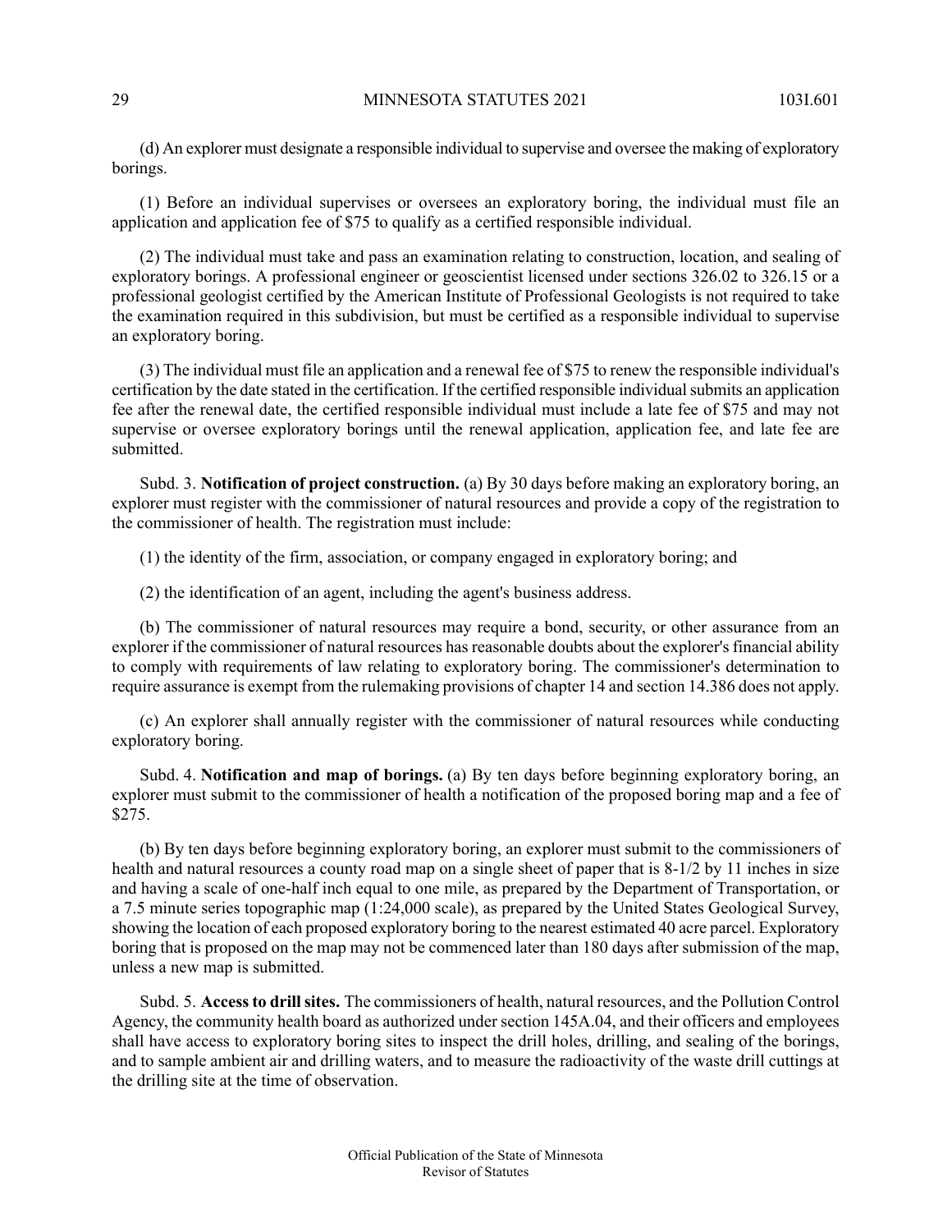(d) An explorer must designate a responsible individual to supervise and oversee the making of exploratory borings.

(1) Before an individual supervises or oversees an exploratory boring, the individual must file an application and application fee of \$75 to qualify as a certified responsible individual.

(2) The individual must take and pass an examination relating to construction, location, and sealing of exploratory borings. A professional engineer or geoscientist licensed under sections 326.02 to 326.15 or a professional geologist certified by the American Institute of Professional Geologists is not required to take the examination required in this subdivision, but must be certified as a responsible individual to supervise an exploratory boring.

(3) The individual must file an application and a renewal fee of \$75 to renew the responsible individual's certification by the date stated in the certification. If the certified responsible individualsubmits an application fee after the renewal date, the certified responsible individual must include a late fee of \$75 and may not supervise or oversee exploratory borings until the renewal application, application fee, and late fee are submitted.

Subd. 3. **Notification of project construction.** (a) By 30 days before making an exploratory boring, an explorer must register with the commissioner of natural resources and provide a copy of the registration to the commissioner of health. The registration must include:

(1) the identity of the firm, association, or company engaged in exploratory boring; and

(2) the identification of an agent, including the agent's business address.

(b) The commissioner of natural resources may require a bond, security, or other assurance from an explorer if the commissioner of natural resources has reasonable doubts about the explorer's financial ability to comply with requirements of law relating to exploratory boring. The commissioner's determination to require assurance is exempt from the rulemaking provisions of chapter 14 and section 14.386 does not apply.

(c) An explorer shall annually register with the commissioner of natural resources while conducting exploratory boring.

Subd. 4. **Notification and map of borings.** (a) By ten days before beginning exploratory boring, an explorer must submit to the commissioner of health a notification of the proposed boring map and a fee of \$275.

(b) By ten days before beginning exploratory boring, an explorer must submit to the commissioners of health and natural resources a county road map on a single sheet of paper that is 8-1/2 by 11 inches in size and having a scale of one-half inch equal to one mile, as prepared by the Department of Transportation, or a 7.5 minute series topographic map (1:24,000 scale), as prepared by the United States Geological Survey, showing the location of each proposed exploratory boring to the nearest estimated 40 acre parcel. Exploratory boring that is proposed on the map may not be commenced later than 180 days after submission of the map, unless a new map is submitted.

Subd. 5. **Accessto drillsites.** The commissioners of health, natural resources, and the Pollution Control Agency, the community health board as authorized under section 145A.04, and their officers and employees shall have access to exploratory boring sites to inspect the drill holes, drilling, and sealing of the borings, and to sample ambient air and drilling waters, and to measure the radioactivity of the waste drill cuttings at the drilling site at the time of observation.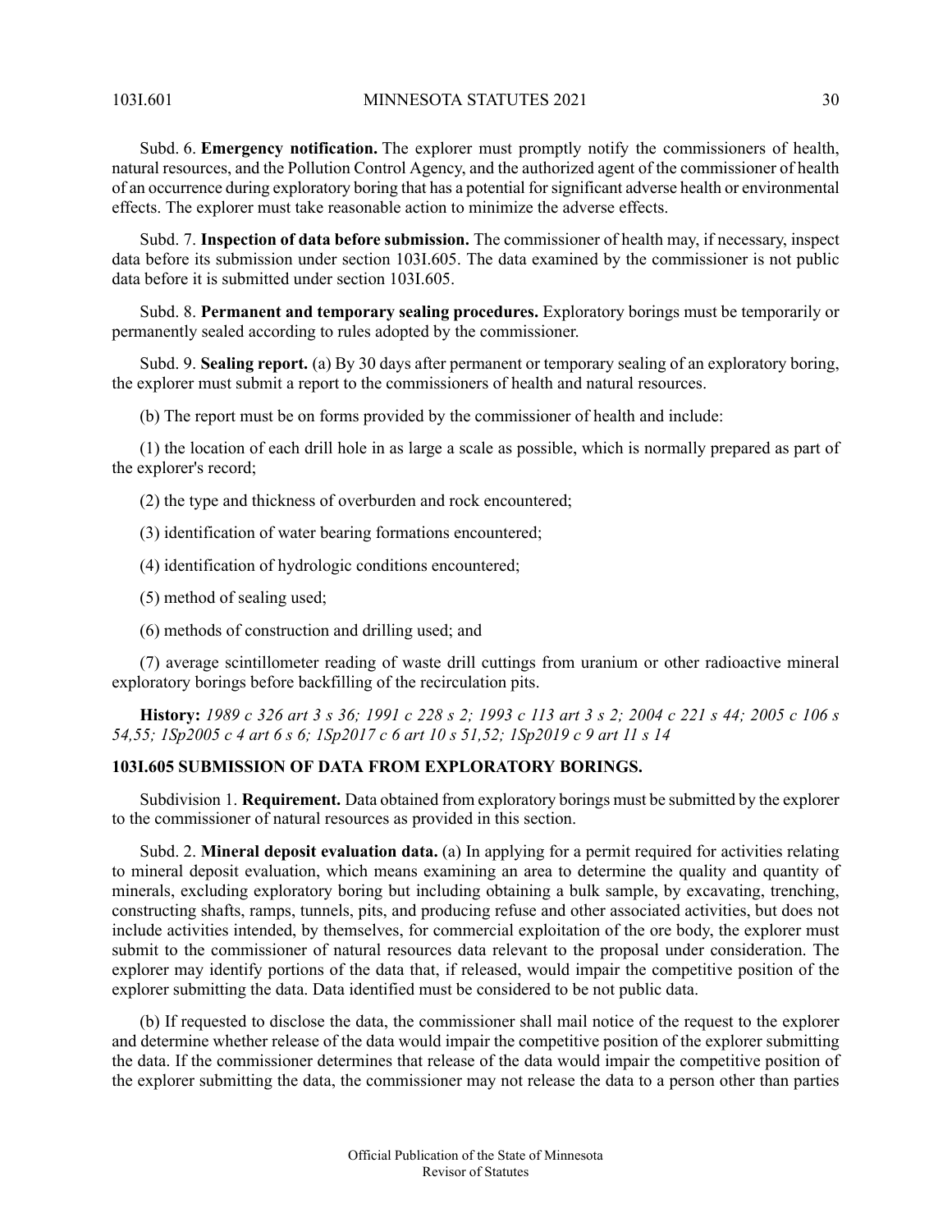103I.601 MINNESOTA STATUTES 2021 30

Subd. 6. **Emergency notification.** The explorer must promptly notify the commissioners of health, natural resources, and the Pollution Control Agency, and the authorized agent of the commissioner of health of an occurrence during exploratory boring that has a potential forsignificant adverse health or environmental effects. The explorer must take reasonable action to minimize the adverse effects.

Subd. 7. **Inspection of data before submission.** The commissioner of health may, if necessary, inspect data before its submission under section 103I.605. The data examined by the commissioner is not public data before it is submitted under section 103I.605.

Subd. 8. **Permanent and temporary sealing procedures.** Exploratory borings must be temporarily or permanently sealed according to rules adopted by the commissioner.

Subd. 9. **Sealing report.** (a) By 30 days after permanent or temporary sealing of an exploratory boring, the explorer must submit a report to the commissioners of health and natural resources.

(b) The report must be on forms provided by the commissioner of health and include:

(1) the location of each drill hole in as large a scale as possible, which is normally prepared as part of the explorer's record;

(2) the type and thickness of overburden and rock encountered;

(3) identification of water bearing formations encountered;

(4) identification of hydrologic conditions encountered;

- (5) method of sealing used;
- (6) methods of construction and drilling used; and

<span id="page-29-0"></span>(7) average scintillometer reading of waste drill cuttings from uranium or other radioactive mineral exploratory borings before backfilling of the recirculation pits.

History: 1989 c 326 art 3 s 36; 1991 c 228 s 2; 1993 c 113 art 3 s 2; 2004 c 221 s 44; 2005 c 106 s 54,55; ISp2005 c 4 art 6 s 6; ISp2017 c 6 art 10 s 51,52; ISp2019 c 9 art 11 s 14

### **103I.605 SUBMISSION OF DATA FROM EXPLORATORY BORINGS.**

Subdivision 1. **Requirement.** Data obtained from exploratory borings must be submitted by the explorer to the commissioner of natural resources as provided in this section.

Subd. 2. **Mineral deposit evaluation data.** (a) In applying for a permit required for activities relating to mineral deposit evaluation, which means examining an area to determine the quality and quantity of minerals, excluding exploratory boring but including obtaining a bulk sample, by excavating, trenching, constructing shafts, ramps, tunnels, pits, and producing refuse and other associated activities, but does not include activities intended, by themselves, for commercial exploitation of the ore body, the explorer must submit to the commissioner of natural resources data relevant to the proposal under consideration. The explorer may identify portions of the data that, if released, would impair the competitive position of the explorer submitting the data. Data identified must be considered to be not public data.

(b) If requested to disclose the data, the commissioner shall mail notice of the request to the explorer and determine whether release of the data would impair the competitive position of the explorer submitting the data. If the commissioner determines that release of the data would impair the competitive position of the explorer submitting the data, the commissioner may not release the data to a person other than parties

Revisor of Statutes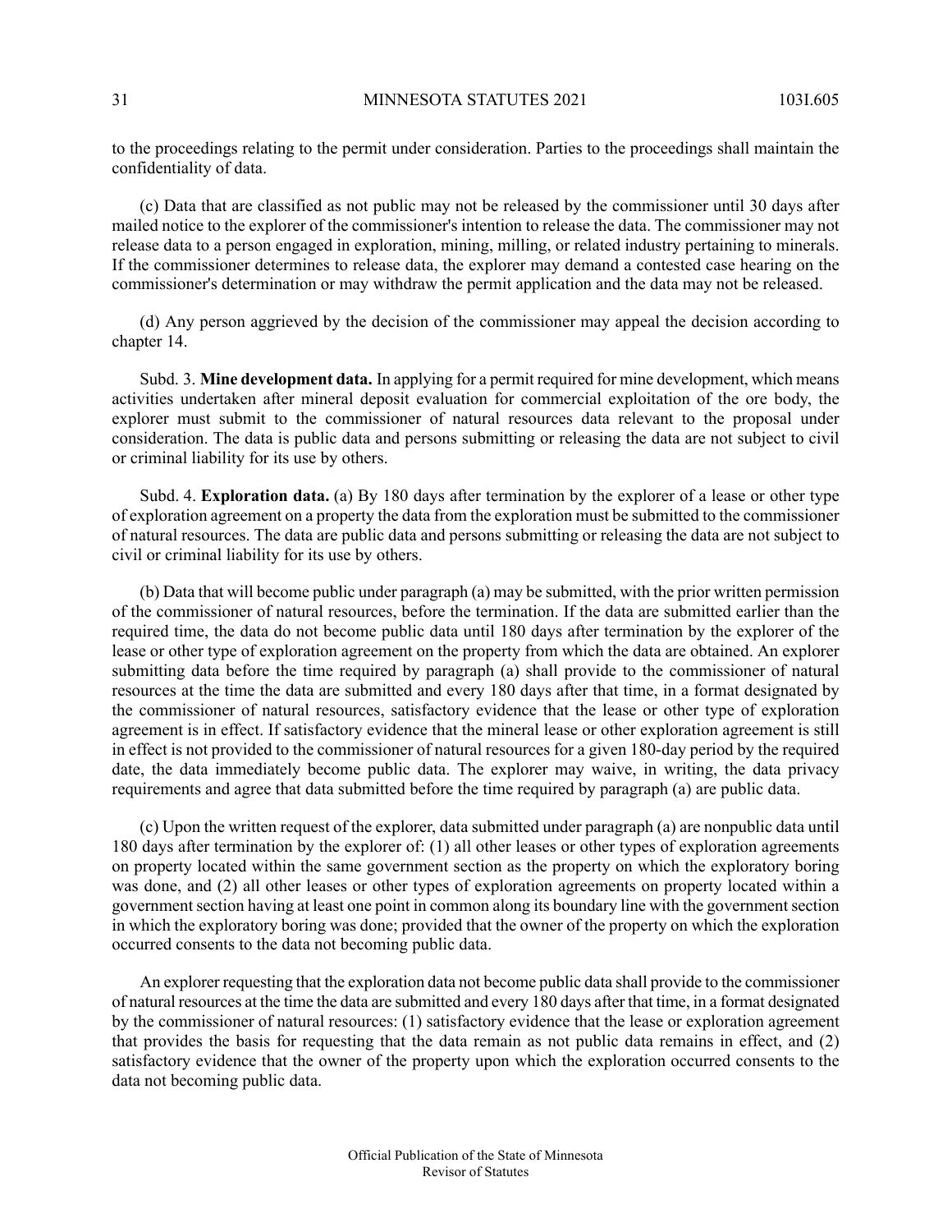to the proceedings relating to the permit under consideration. Parties to the proceedings shall maintain the confidentiality of data.

(c) Data that are classified as not public may not be released by the commissioner until 30 days after mailed notice to the explorer of the commissioner's intention to release the data. The commissioner may not release data to a person engaged in exploration, mining, milling, or related industry pertaining to minerals. If the commissioner determines to release data, the explorer may demand a contested case hearing on the commissioner's determination or may withdraw the permit application and the data may not be released.

(d) Any person aggrieved by the decision of the commissioner may appeal the decision according to chapter 14.

Subd. 3. **Mine development data.** In applying for a permit required for mine development, which means activities undertaken after mineral deposit evaluation for commercial exploitation of the ore body, the explorer must submit to the commissioner of natural resources data relevant to the proposal under consideration. The data is public data and persons submitting or releasing the data are not subject to civil or criminal liability for its use by others.

Subd. 4. **Exploration data.** (a) By 180 days after termination by the explorer of a lease or other type of exploration agreement on a property the data from the exploration must be submitted to the commissioner of natural resources. The data are public data and persons submitting or releasing the data are not subject to civil or criminal liability for its use by others.

(b) Data that will become public under paragraph (a) may be submitted, with the prior written permission of the commissioner of natural resources, before the termination. If the data are submitted earlier than the required time, the data do not become public data until 180 days after termination by the explorer of the lease or other type of exploration agreement on the property from which the data are obtained. An explorer submitting data before the time required by paragraph (a) shall provide to the commissioner of natural resources at the time the data are submitted and every 180 days after that time, in a format designated by the commissioner of natural resources, satisfactory evidence that the lease or other type of exploration agreement is in effect. If satisfactory evidence that the mineral lease or other exploration agreement is still in effect is not provided to the commissioner of natural resources for a given 180-day period by the required date, the data immediately become public data. The explorer may waive, in writing, the data privacy requirements and agree that data submitted before the time required by paragraph (a) are public data.

(c) Upon the written request of the explorer, data submitted under paragraph (a) are nonpublic data until 180 days after termination by the explorer of: (1) all other leases or other types of exploration agreements on property located within the same government section as the property on which the exploratory boring was done, and (2) all other leases or other types of exploration agreements on property located within a government section having at least one point in common along its boundary line with the government section in which the exploratory boring was done; provided that the owner of the property on which the exploration occurred consents to the data not becoming public data.

An explorer requesting that the exploration data not become public data shall provide to the commissioner of natural resources at the time the data are submitted and every 180 days after that time, in a format designated by the commissioner of natural resources: (1) satisfactory evidence that the lease or exploration agreement that provides the basis for requesting that the data remain as not public data remains in effect, and (2) satisfactory evidence that the owner of the property upon which the exploration occurred consents to the data not becoming public data.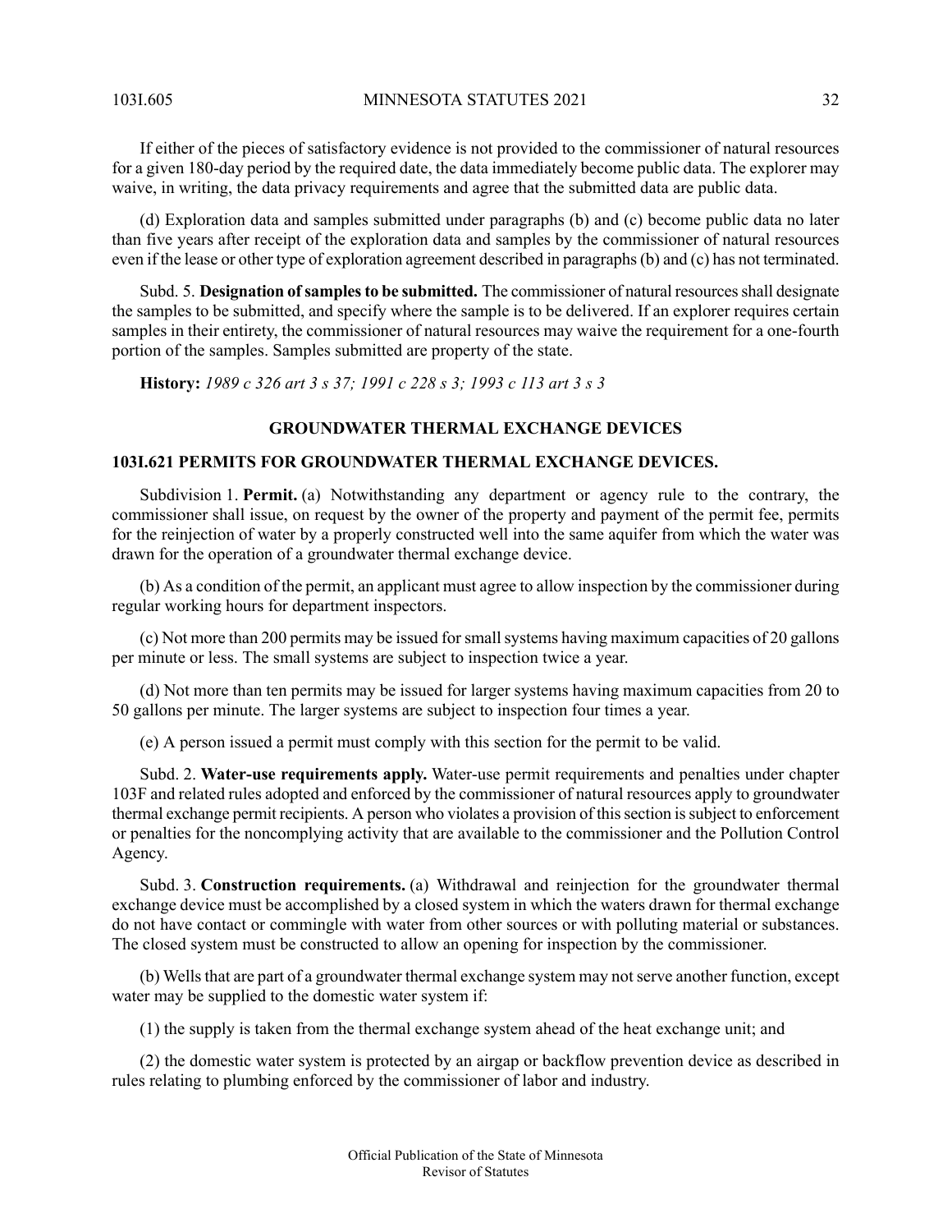103I.605 MINNESOTA STATUTES 2021 32

If either of the pieces of satisfactory evidence is not provided to the commissioner of natural resources for a given 180-day period by the required date, the data immediately become public data. The explorer may waive, in writing, the data privacy requirements and agree that the submitted data are public data.

(d) Exploration data and samples submitted under paragraphs (b) and (c) become public data no later than five years after receipt of the exploration data and samples by the commissioner of natural resources even if the lease or other type of exploration agreement described in paragraphs(b) and (c) has not terminated.

Subd. 5. **Designation ofsamplesto be submitted.** The commissioner of natural resourcesshall designate the samples to be submitted, and specify where the sample is to be delivered. If an explorer requires certain samples in their entirety, the commissioner of natural resources may waive the requirement for a one-fourth portion of the samples. Samples submitted are property of the state.

<span id="page-31-1"></span><span id="page-31-0"></span>**History:** *1989 c 326 art 3 s 37; 1991 c 228 s 3; 1993 c 113 art 3 s 3*

# **GROUNDWATER THERMAL EXCHANGE DEVICES**

# **103I.621 PERMITS FOR GROUNDWATER THERMAL EXCHANGE DEVICES.**

Subdivision 1. **Permit.** (a) Notwithstanding any department or agency rule to the contrary, the commissioner shall issue, on request by the owner of the property and payment of the permit fee, permits for the reinjection of water by a properly constructed well into the same aquifer from which the water was drawn for the operation of a groundwater thermal exchange device.

(b) As a condition of the permit, an applicant must agree to allow inspection by the commissioner during regular working hours for department inspectors.

(c) Not more than 200 permits may be issued forsmallsystems having maximum capacities of 20 gallons per minute or less. The small systems are subject to inspection twice a year.

(d) Not more than ten permits may be issued for larger systems having maximum capacities from 20 to 50 gallons per minute. The larger systems are subject to inspection four times a year.

(e) A person issued a permit must comply with this section for the permit to be valid.

Subd. 2. **Water-use requirements apply.** Water-use permit requirements and penalties under chapter 103F and related rules adopted and enforced by the commissioner of natural resources apply to groundwater thermal exchange permit recipients. A person who violates a provision of this section is subject to enforcement or penalties for the noncomplying activity that are available to the commissioner and the Pollution Control Agency.

Subd. 3. **Construction requirements.** (a) Withdrawal and reinjection for the groundwater thermal exchange device must be accomplished by a closed system in which the waters drawn for thermal exchange do not have contact or commingle with water from other sources or with polluting material or substances. The closed system must be constructed to allow an opening for inspection by the commissioner.

(b) Wells that are part of a groundwater thermal exchange system may not serve another function, except water may be supplied to the domestic water system if:

(1) the supply is taken from the thermal exchange system ahead of the heat exchange unit; and

(2) the domestic water system is protected by an airgap or backflow prevention device as described in rules relating to plumbing enforced by the commissioner of labor and industry.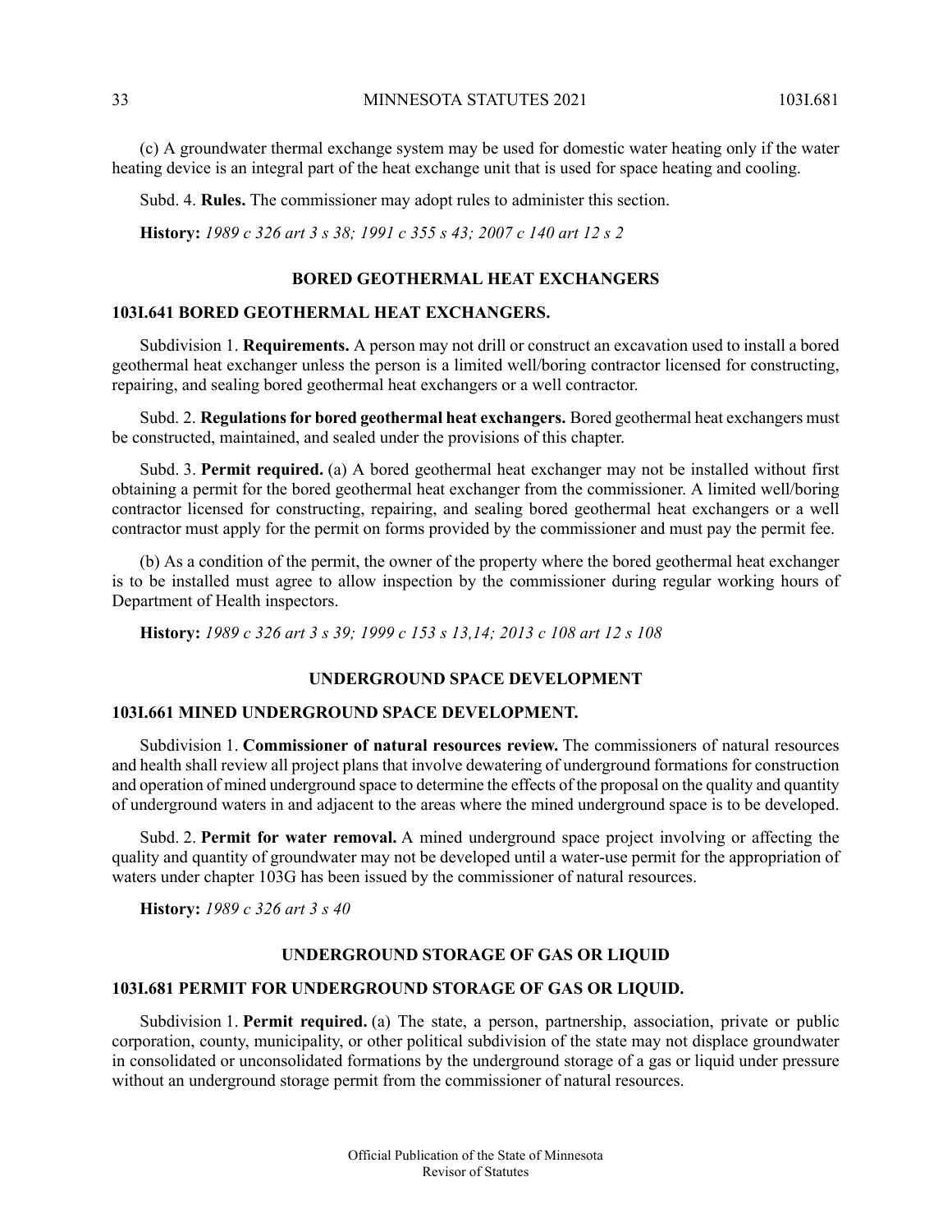(c) A groundwater thermal exchange system may be used for domestic water heating only if the water heating device is an integral part of the heat exchange unit that is used for space heating and cooling.

Subd. 4. **Rules.** The commissioner may adopt rules to administer this section.

<span id="page-32-0"></span>**History:** *1989 c 326 art 3 s 38; 1991 c 355 s 43; 2007 c 140 art 12 s 2*

### **BORED GEOTHERMAL HEAT EXCHANGERS**

### <span id="page-32-1"></span>**103I.641 BORED GEOTHERMAL HEAT EXCHANGERS.**

Subdivision 1. **Requirements.** A person may not drill or construct an excavation used to install a bored geothermal heat exchanger unless the person is a limited well/boring contractor licensed for constructing, repairing, and sealing bored geothermal heat exchangers or a well contractor.

Subd. 2. **Regulationsfor bored geothermal heat exchangers.** Bored geothermal heat exchangers must be constructed, maintained, and sealed under the provisions of this chapter.

Subd. 3. **Permit required.** (a) A bored geothermal heat exchanger may not be installed without first obtaining a permit for the bored geothermal heat exchanger from the commissioner. A limited well/boring contractor licensed for constructing, repairing, and sealing bored geothermal heat exchangers or a well contractor must apply for the permit on forms provided by the commissioner and must pay the permit fee.

<span id="page-32-2"></span>(b) As a condition of the permit, the owner of the property where the bored geothermal heat exchanger is to be installed must agree to allow inspection by the commissioner during regular working hours of Department of Health inspectors.

<span id="page-32-3"></span>**History:** *1989 c 326 art 3 s 39; 1999 c 153 s 13,14; 2013 c 108 art 12 s 108*

# **UNDERGROUND SPACE DEVELOPMENT**

### **103I.661 MINED UNDERGROUND SPACE DEVELOPMENT.**

Subdivision 1. **Commissioner of natural resources review.** The commissioners of natural resources and health shall review all project plans that involve dewatering of underground formations for construction and operation of mined underground space to determine the effects of the proposal on the quality and quantity of underground waters in and adjacent to the areas where the mined underground space is to be developed.

<span id="page-32-5"></span><span id="page-32-4"></span>Subd. 2. **Permit for water removal.** A mined underground space project involving or affecting the quality and quantity of groundwater may not be developed until a water-use permit for the appropriation of waters under chapter 103G has been issued by the commissioner of natural resources.

**History:** *1989 c 326 art 3 s 40*

#### **UNDERGROUND STORAGE OF GAS OR LIQUID**

#### **103I.681 PERMIT FOR UNDERGROUND STORAGE OF GAS OR LIQUID.**

Subdivision 1. **Permit required.** (a) The state, a person, partnership, association, private or public corporation, county, municipality, or other political subdivision of the state may not displace groundwater in consolidated or unconsolidated formations by the underground storage of a gas or liquid under pressure without an underground storage permit from the commissioner of natural resources.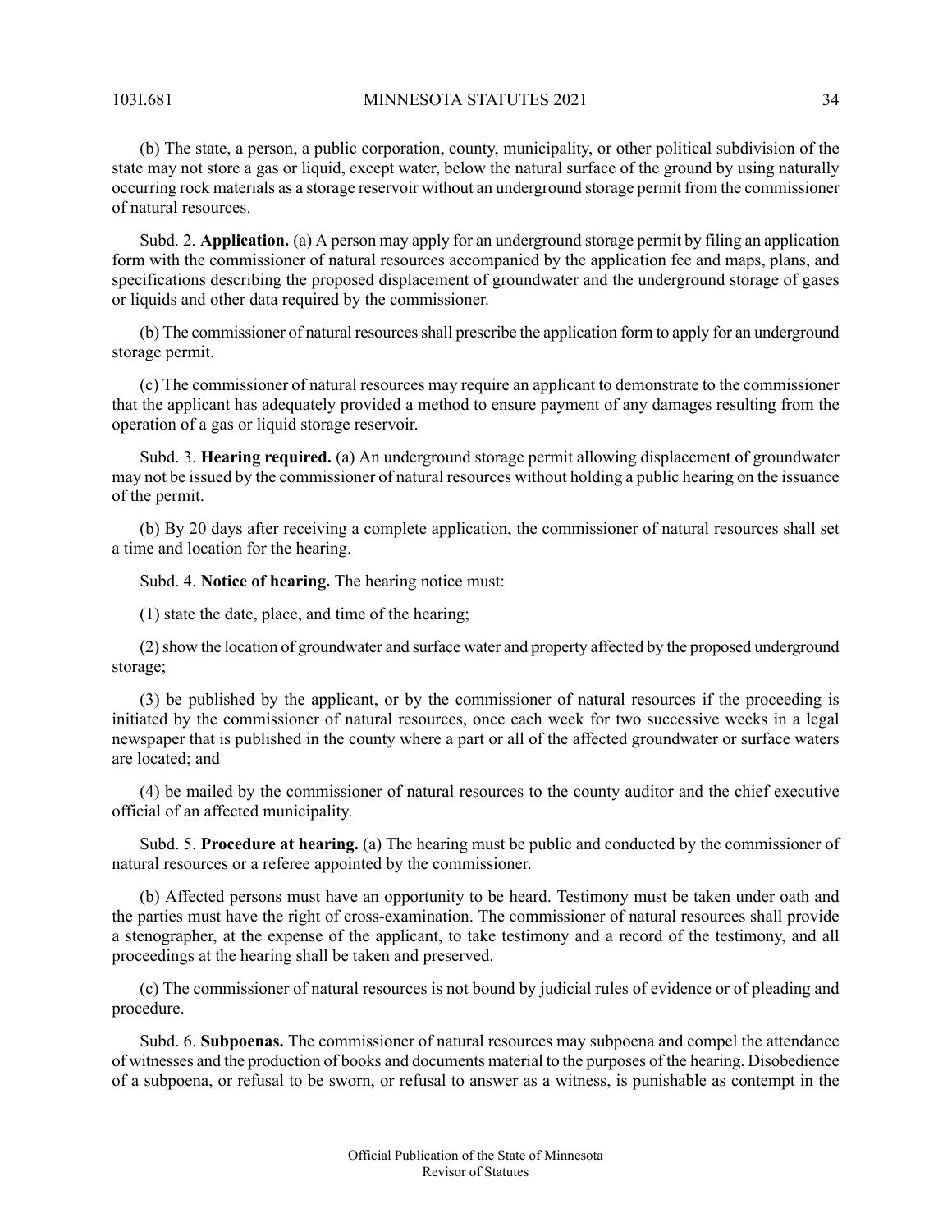103I.681 MINNESOTA STATUTES 2021 34

(b) The state, a person, a public corporation, county, municipality, or other political subdivision of the state may not store a gas or liquid, except water, below the natural surface of the ground by using naturally occurring rock materials as a storage reservoir without an underground storage permit from the commissioner of natural resources.

Subd. 2. **Application.** (a) A person may apply for an underground storage permit by filing an application form with the commissioner of natural resources accompanied by the application fee and maps, plans, and specifications describing the proposed displacement of groundwater and the underground storage of gases or liquids and other data required by the commissioner.

(b) The commissioner of natural resourcesshall prescribe the application form to apply for an underground storage permit.

(c) The commissioner of natural resources may require an applicant to demonstrate to the commissioner that the applicant has adequately provided a method to ensure payment of any damages resulting from the operation of a gas or liquid storage reservoir.

Subd. 3. **Hearing required.** (a) An underground storage permit allowing displacement of groundwater may not be issued by the commissioner of natural resources without holding a public hearing on the issuance of the permit.

(b) By 20 days after receiving a complete application, the commissioner of natural resources shall set a time and location for the hearing.

Subd. 4. **Notice of hearing.** The hearing notice must:

(1) state the date, place, and time of the hearing;

(2)show the location of groundwater and surface water and property affected by the proposed underground storage;

(3) be published by the applicant, or by the commissioner of natural resources if the proceeding is initiated by the commissioner of natural resources, once each week for two successive weeks in a legal newspaper that is published in the county where a part or all of the affected groundwater or surface waters are located; and

(4) be mailed by the commissioner of natural resources to the county auditor and the chief executive official of an affected municipality.

Subd. 5. **Procedure at hearing.** (a) The hearing must be public and conducted by the commissioner of natural resources or a referee appointed by the commissioner.

(b) Affected persons must have an opportunity to be heard. Testimony must be taken under oath and the parties must have the right of cross-examination. The commissioner of natural resources shall provide a stenographer, at the expense of the applicant, to take testimony and a record of the testimony, and all proceedings at the hearing shall be taken and preserved.

(c) The commissioner of natural resources is not bound by judicial rules of evidence or of pleading and procedure.

Subd. 6. **Subpoenas.** The commissioner of natural resources may subpoena and compel the attendance of witnesses and the production of books and documents material to the purposes of the hearing. Disobedience of a subpoena, or refusal to be sworn, or refusal to answer as a witness, is punishable as contempt in the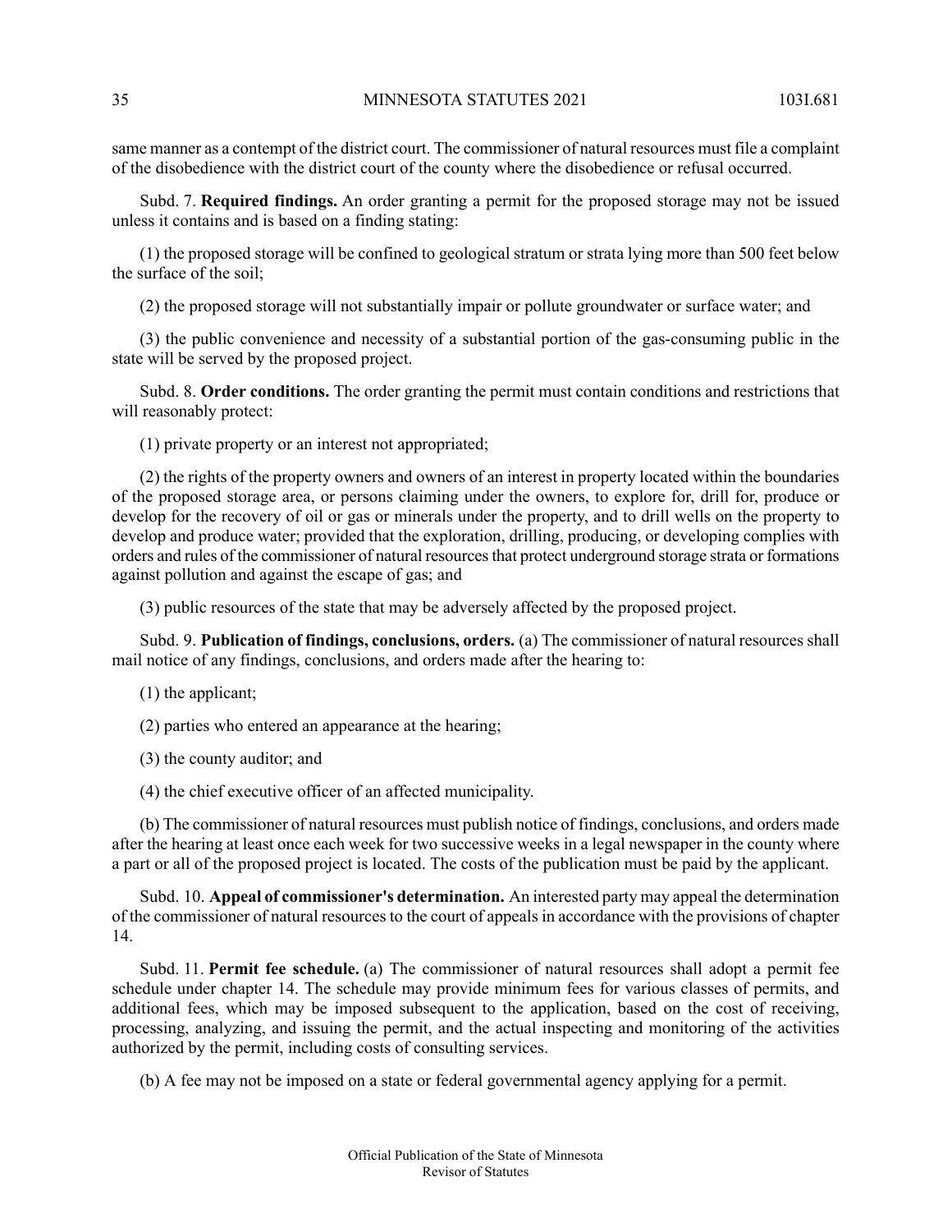same manner as a contempt of the district court. The commissioner of natural resources must file a complaint of the disobedience with the district court of the county where the disobedience or refusal occurred.

Subd. 7. **Required findings.** An order granting a permit for the proposed storage may not be issued unless it contains and is based on a finding stating:

(1) the proposed storage will be confined to geological stratum or strata lying more than 500 feet below the surface of the soil;

(2) the proposed storage will not substantially impair or pollute groundwater or surface water; and

(3) the public convenience and necessity of a substantial portion of the gas-consuming public in the state will be served by the proposed project.

Subd. 8. **Order conditions.** The order granting the permit must contain conditions and restrictions that will reasonably protect:

(1) private property or an interest not appropriated;

(2) the rights of the property owners and owners of an interest in property located within the boundaries of the proposed storage area, or persons claiming under the owners, to explore for, drill for, produce or develop for the recovery of oil or gas or minerals under the property, and to drill wells on the property to develop and produce water; provided that the exploration, drilling, producing, or developing complies with orders and rules of the commissioner of natural resources that protect underground storage strata or formations against pollution and against the escape of gas; and

(3) public resources of the state that may be adversely affected by the proposed project.

Subd. 9. **Publication of findings, conclusions, orders.** (a) The commissioner of natural resources shall mail notice of any findings, conclusions, and orders made after the hearing to:

- (1) the applicant;
- (2) parties who entered an appearance at the hearing;
- (3) the county auditor; and
- (4) the chief executive officer of an affected municipality.

(b) The commissioner of natural resources must publish notice of findings, conclusions, and orders made after the hearing at least once each week for two successive weeks in a legal newspaper in the county where a part or all of the proposed project is located. The costs of the publication must be paid by the applicant.

Subd. 10. **Appeal of commissioner's determination.** An interested party may appeal the determination of the commissioner of natural resources to the court of appeals in accordance with the provisions of chapter 14.

Subd. 11. **Permit fee schedule.** (a) The commissioner of natural resources shall adopt a permit fee schedule under chapter 14. The schedule may provide minimum fees for various classes of permits, and additional fees, which may be imposed subsequent to the application, based on the cost of receiving, processing, analyzing, and issuing the permit, and the actual inspecting and monitoring of the activities authorized by the permit, including costs of consulting services.

(b) A fee may not be imposed on a state or federal governmental agency applying for a permit.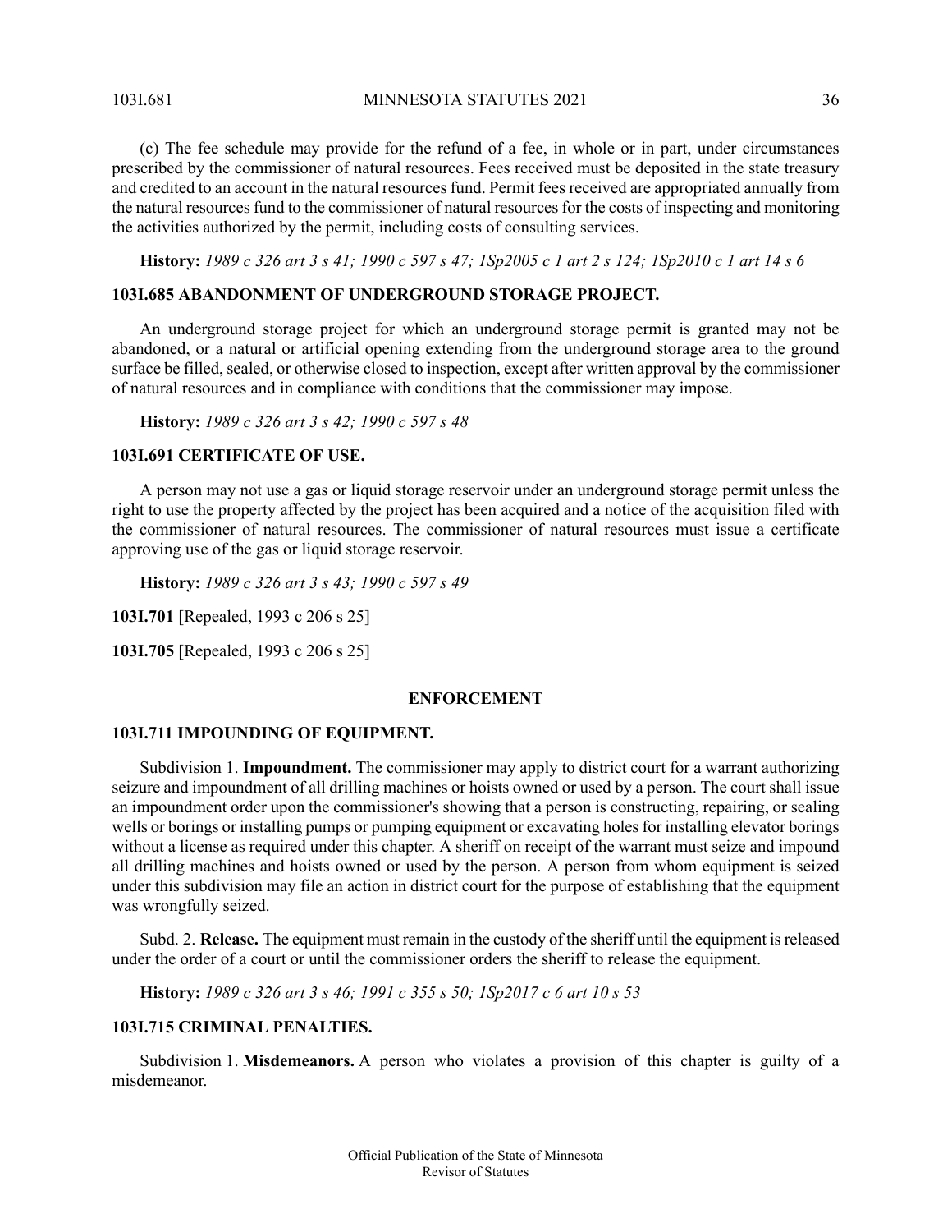103I.681 MINNESOTA STATUTES 2021 36

(c) The fee schedule may provide for the refund of a fee, in whole or in part, under circumstances prescribed by the commissioner of natural resources. Fees received must be deposited in the state treasury and credited to an account in the natural resources fund. Permit fees received are appropriated annually from the natural resourcesfund to the commissioner of natural resourcesfor the costs of inspecting and monitoring the activities authorized by the permit, including costs of consulting services.

<span id="page-35-0"></span>History: 1989 c 326 art 3 s 41; 1990 c 597 s 47; 1Sp2005 c 1 art 2 s 124; 1Sp2010 c 1 art 14 s 6

# **103I.685 ABANDONMENT OF UNDERGROUND STORAGE PROJECT.**

An underground storage project for which an underground storage permit is granted may not be abandoned, or a natural or artificial opening extending from the underground storage area to the ground surface be filled, sealed, or otherwise closed to inspection, except after written approval by the commissioner of natural resources and in compliance with conditions that the commissioner may impose.

<span id="page-35-1"></span>**History:** *1989 c 326 art 3 s 42; 1990 c 597 s 48*

# **103I.691 CERTIFICATE OF USE.**

A person may not use a gas or liquid storage reservoir under an underground storage permit unless the right to use the property affected by the project has been acquired and a notice of the acquisition filed with the commissioner of natural resources. The commissioner of natural resources must issue a certificate approving use of the gas or liquid storage reservoir.

**History:** *1989 c 326 art 3 s 43; 1990 c 597 s 49*

<span id="page-35-3"></span><span id="page-35-2"></span>**103I.701** [Repealed, 1993 c 206 s 25]

**103I.705** [Repealed, 1993 c 206 s 25]

# **ENFORCEMENT**

#### **103I.711 IMPOUNDING OF EQUIPMENT.**

Subdivision 1. **Impoundment.** The commissioner may apply to district court for a warrant authorizing seizure and impoundment of all drilling machines or hoists owned or used by a person. The court shall issue an impoundment order upon the commissioner's showing that a person is constructing, repairing, or sealing wells or borings or installing pumps or pumping equipment or excavating holes for installing elevator borings without a license as required under this chapter. A sheriff on receipt of the warrant must seize and impound all drilling machines and hoists owned or used by the person. A person from whom equipment is seized under this subdivision may file an action in district court for the purpose of establishing that the equipment was wrongfully seized.

<span id="page-35-4"></span>Subd. 2. **Release.** The equipment must remain in the custody of the sheriff until the equipment isreleased under the order of a court or until the commissioner orders the sheriff to release the equipment.

**History:** *1989 c 326 art 3 s 46; 1991 c 355 s 50; 1Sp2017 c 6 art 10 s 53*

# **103I.715 CRIMINAL PENALTIES.**

Subdivision 1. **Misdemeanors.** A person who violates a provision of this chapter is guilty of a misdemeanor.